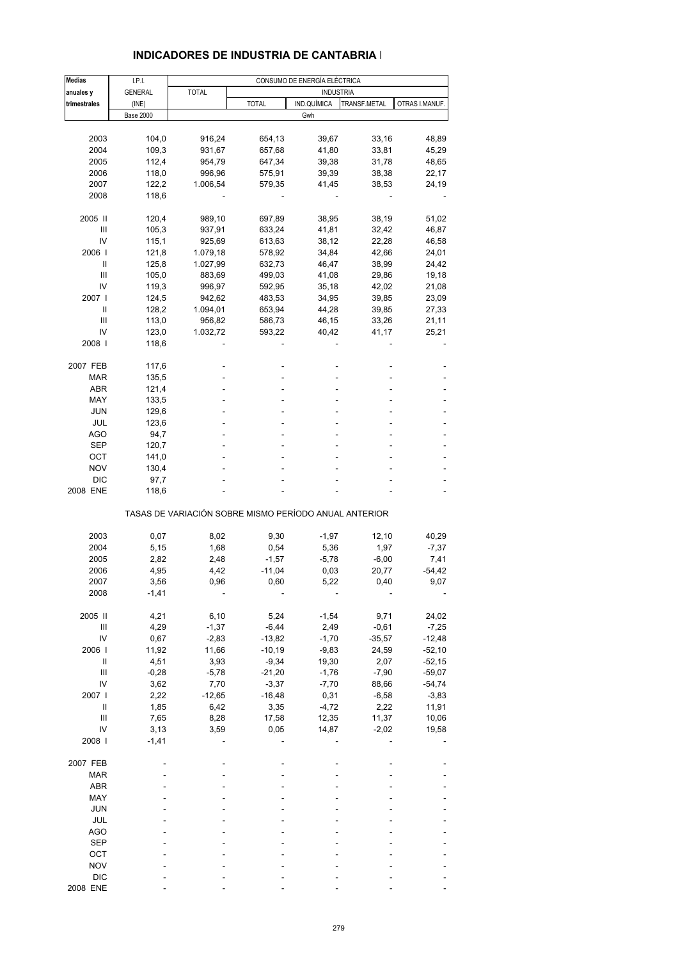| <b>Medias</b>                      | I.P.I.           |                                                       |              | CONSUMO DE ENERGÍA ELÉCTRICA |              |                |
|------------------------------------|------------------|-------------------------------------------------------|--------------|------------------------------|--------------|----------------|
| anuales y                          | <b>GENERAL</b>   | <b>TOTAL</b>                                          |              | <b>INDUSTRIA</b>             |              |                |
| trimestrales                       | (INE)            |                                                       | <b>TOTAL</b> | IND.QUÍMICA                  | TRANSF.METAL | OTRAS I.MANUF. |
|                                    | <b>Base 2000</b> |                                                       |              | Gwh                          |              |                |
|                                    |                  |                                                       |              |                              |              |                |
| 2003                               | 104,0            | 916,24                                                | 654,13       | 39,67                        | 33,16        | 48,89          |
| 2004                               | 109,3            | 931,67                                                | 657,68       | 41,80                        | 33,81        | 45,29          |
| 2005                               | 112,4            | 954,79                                                | 647,34       | 39,38                        | 31,78        | 48,65          |
| 2006                               | 118,0            | 996,96                                                | 575,91       | 39,39                        | 38,38        | 22,17          |
| 2007                               | 122,2            | 1.006,54                                              |              |                              |              |                |
|                                    |                  |                                                       | 579,35       | 41,45                        | 38,53        | 24,19          |
| 2008                               | 118,6            |                                                       |              |                              |              |                |
| 2005 II                            | 120,4            | 989,10                                                | 697,89       | 38,95                        | 38,19        | 51,02          |
| Ш                                  | 105,3            | 937,91                                                | 633,24       | 41,81                        | 32,42        | 46,87          |
| IV                                 | 115,1            | 925,69                                                | 613,63       | 38,12                        | 22,28        | 46,58          |
| 2006                               | 121,8            | 1.079,18                                              | 578,92       | 34,84                        | 42,66        | 24,01          |
| Ш                                  |                  |                                                       |              |                              |              |                |
|                                    | 125,8            | 1.027,99                                              | 632,73       | 46,47                        | 38,99        | 24,42          |
| Ш                                  | 105,0            | 883,69                                                | 499,03       | 41,08                        | 29,86        | 19,18          |
| IV                                 | 119,3            | 996,97                                                | 592,95       | 35,18                        | 42,02        | 21,08          |
| 2007 l                             | 124,5            | 942,62                                                | 483,53       | 34,95                        | 39,85        | 23,09          |
| Ш                                  | 128,2            | 1.094,01                                              | 653,94       | 44,28                        | 39,85        | 27,33          |
| Ш                                  | 113,0            | 956,82                                                | 586,73       | 46,15                        | 33,26        | 21,11          |
| IV                                 | 123,0            | 1.032,72                                              | 593,22       | 40,42                        | 41,17        | 25,21          |
| 2008                               | 118,6            |                                                       |              |                              |              |                |
|                                    |                  |                                                       |              |                              |              |                |
| 2007 FEB                           | 117,6            |                                                       |              |                              |              |                |
| MAR                                | 135,5            |                                                       |              |                              |              |                |
| <b>ABR</b>                         | 121,4            |                                                       |              |                              |              |                |
| MAY                                | 133,5            |                                                       |              |                              |              |                |
| JUN                                | 129,6            |                                                       |              |                              |              |                |
| JUL                                | 123,6            |                                                       |              |                              |              |                |
| AGO                                | 94,7             |                                                       |              |                              |              |                |
| SEP                                | 120,7            |                                                       |              |                              |              |                |
| ОСТ                                | 141,0            |                                                       |              |                              |              |                |
| <b>NOV</b>                         | 130,4            |                                                       |              |                              |              |                |
| <b>DIC</b>                         | 97,7             |                                                       |              |                              |              |                |
| 2008 ENE                           | 118,6            |                                                       |              |                              |              |                |
|                                    |                  | TASAS DE VARIACIÓN SOBRE MISMO PERÍODO ANUAL ANTERIOR |              |                              |              |                |
|                                    |                  |                                                       |              |                              |              |                |
| 2003                               | 0,07             | 8,02                                                  | 9,30         | $-1,97$                      | 12,10        | 40,29          |
| 2004                               | 5,15             | 1,68                                                  | 0,54         | 5,36                         | 1,97         | $-7,37$        |
| 2005                               | 2,82             | 2,48                                                  | $-1,57$      | $-5,78$                      | $-6,00$      | 7,41           |
| 2006                               | 4,95             | 4,42                                                  | $-11,04$     | 0,03                         | 20,77        | $-54,42$       |
| 2007                               | 3,56             | 0,96                                                  | 0,60         | 5,22                         | 0,40         | 9,07           |
| 2008                               | $-1,41$          |                                                       |              |                              |              |                |
| 2005 II                            | 4,21             | 6, 10                                                 | 5,24         | $-1,54$                      | 9,71         | 24,02          |
| Ш                                  | 4,29             | $-1,37$                                               | $-6,44$      | 2,49                         | $-0,61$      | $-7,25$        |
| IV                                 |                  |                                                       |              |                              |              |                |
|                                    | 0,67             | $-2,83$                                               | $-13,82$     | $-1,70$                      | $-35,57$     | $-12,48$       |
| 2006                               | 11,92            | 11,66                                                 | $-10,19$     | $-9,83$                      | 24,59        | $-52,10$       |
| Ш                                  | 4,51             | 3,93                                                  | $-9,34$      | 19,30                        | 2,07         | $-52,15$       |
| $\ensuremath{\mathsf{III}}\xspace$ | $-0,28$          | $-5,78$                                               | $-21,20$     | $-1,76$                      | $-7,90$      | $-59,07$       |
| IV                                 | 3,62             | 7,70                                                  | $-3,37$      | $-7,70$                      | 88,66        | $-54,74$       |
| 2007 l                             | 2,22             | $-12,65$                                              | $-16,48$     | 0,31                         | $-6,58$      | $-3,83$        |
| $\sf II$                           | 1,85             | 6,42                                                  | 3,35         | $-4,72$                      | 2,22         | 11,91          |
| Ш                                  | 7,65             | 8,28                                                  | 17,58        | 12,35                        | 11,37        | 10,06          |
| IV                                 | 3,13             | 3,59                                                  | 0,05         | 14,87                        | $-2,02$      | 19,58          |
| 2008                               | $-1,41$          |                                                       |              |                              |              |                |
|                                    |                  |                                                       |              |                              |              |                |
| 2007 FEB<br><b>MAR</b>             |                  |                                                       |              |                              |              |                |
|                                    |                  |                                                       |              |                              |              |                |
| <b>ABR</b>                         |                  |                                                       |              |                              |              |                |
| MAY                                |                  |                                                       |              |                              |              |                |
| <b>JUN</b>                         |                  |                                                       |              |                              |              |                |
| JUL                                |                  |                                                       |              |                              |              |                |
| <b>AGO</b>                         |                  |                                                       |              |                              |              |                |
| <b>SEP</b>                         |                  |                                                       |              |                              |              |                |
| OCT                                |                  |                                                       |              |                              |              |                |
| <b>NOV</b>                         |                  |                                                       |              |                              |              |                |
| <b>DIC</b>                         |                  |                                                       |              |                              |              |                |
| 2008 ENE                           |                  |                                                       |              |                              |              |                |

### **INDICADORES DE INDUSTRIA DE CANTABRIA I**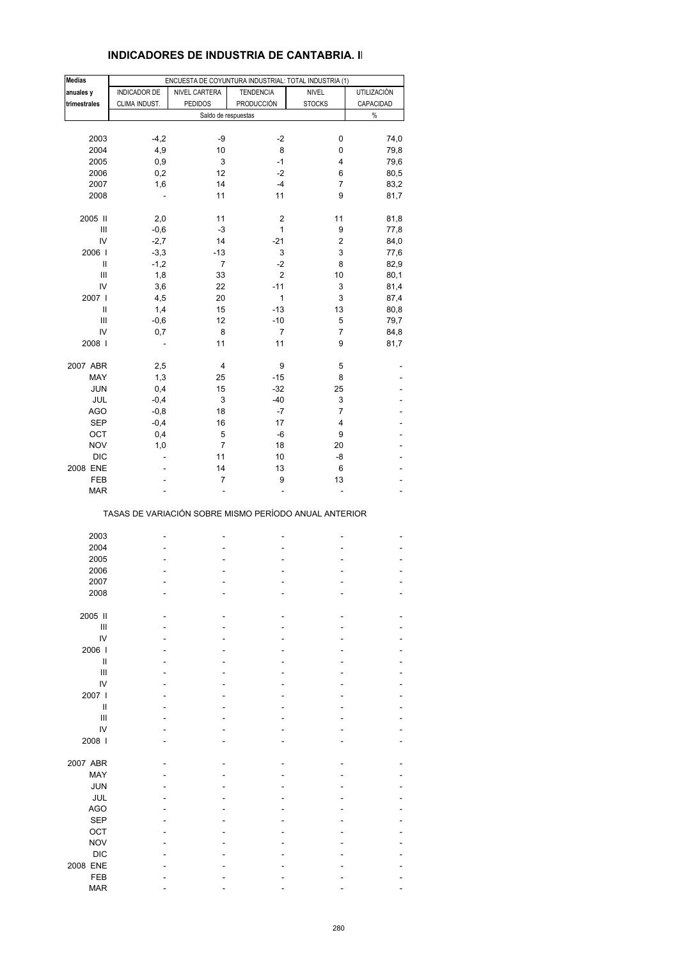### **INDICADORES DE INDUSTRIA DE CANTABRIA. II**

| Medias       |               | ENCUESTA DE COYUNTURA INDUSTRIAL: TOTAL INDUSTRIA (1) |                  |                |             |
|--------------|---------------|-------------------------------------------------------|------------------|----------------|-------------|
| anuales y    | INDICADOR DE  | NIVEL CARTERA                                         | <b>TENDENCIA</b> | <b>NIVEL</b>   | UTILIZACIÓN |
| trimestrales | CLIMA INDUST. | <b>PEDIDOS</b>                                        | PRODUCCIÓN       | <b>STOCKS</b>  | CAPACIDAD   |
|              |               | Saldo de respuestas                                   |                  |                | $\%$        |
|              |               |                                                       |                  |                |             |
| 2003         | $-4,2$        | -9                                                    | $-2$             | 0              | 74,0        |
| 2004         | 4,9           | 10                                                    | 8                | 0              | 79,8        |
| 2005         | 0,9           | 3                                                     | $-1$             | 4              | 79,6        |
| 2006         | 0,2           | 12                                                    | $-2$             | 6              | 80,5        |
| 2007         | 1,6           | 14                                                    | $-4$             | 7              | 83,2        |
| 2008         | ÷,            | 11                                                    | 11               | 9              | 81,7        |
|              |               |                                                       |                  |                |             |
| 2005 II      | 2,0           | 11                                                    | $\boldsymbol{2}$ | 11             | 81,8        |
| Ш            | $-0,6$        | $-3$                                                  | 1                | 9              | 77,8        |
| IV           | $-2,7$        | 14                                                    | $-21$            | $\overline{c}$ | 84,0        |
| 2006         | $-3,3$        | $-13$                                                 | 3                | 3              | 77,6        |
| Ш            | $-1,2$        | 7                                                     | $-2$             | 8              | 82,9        |
| Ш            | 1,8           | 33                                                    | $\mathbf 2$      | 10             | 80,1        |
| IV           | 3,6           | 22                                                    | $-11$            | 3              | 81,4        |
| 2007 l       | 4,5           | 20                                                    | 1                | 3              | 87,4        |
| Ш            | 1,4           | 15                                                    | $-13$            | 13             | 80,8        |
| Ш            | $-0,6$        | 12                                                    | $-10$            | 5              | 79,7        |
| IV           | 0,7           | 8                                                     | 7                | 7              | 84,8        |
| 2008         |               | 11                                                    | 11               | 9              | 81,7        |
| 2007 ABR     | 2,5           | 4                                                     | 9                | 5              |             |
| MAY          | 1,3           | 25                                                    | $-15$            | 8              |             |
|              |               |                                                       | $-32$            | 25             |             |
| JUN          | 0,4           | 15                                                    |                  |                |             |
| JUL          | $-0,4$        | 3                                                     | $-40$            | 3              |             |
| <b>AGO</b>   | $-0,8$        | 18                                                    | $-7$             | 7              |             |
| <b>SEP</b>   | $-0,4$        | 16                                                    | 17               | 4              |             |
| OCT          | 0,4           | 5                                                     | -6               | 9              |             |
| <b>NOV</b>   | 1,0           | 7                                                     | 18               | 20             |             |
| <b>DIC</b>   | L,            | 11                                                    | 10               | -8             |             |
| 2008 ENE     |               | 14                                                    | 13               | 6              |             |
| FEB          |               | 7                                                     | 9                | 13             |             |
| <b>MAR</b>   |               |                                                       |                  |                |             |
|              |               | TASAS DE VARIACIÓN SOBRE MISMO PERÍODO ANUAL ANTERIOR |                  |                |             |
|              |               |                                                       |                  |                |             |
| 2003         |               |                                                       |                  |                |             |
| 2004         |               |                                                       |                  |                |             |
| 2005         |               |                                                       |                  |                |             |
| 2006<br>2007 |               |                                                       |                  |                |             |
|              |               |                                                       |                  |                |             |
| 2008         |               |                                                       |                  |                |             |
| 2005 II      |               |                                                       |                  |                |             |
| Ш            |               |                                                       |                  |                |             |
| IV           |               |                                                       |                  |                |             |
| 2006         |               |                                                       |                  |                |             |
| Ш            |               |                                                       |                  |                |             |
| III          |               |                                                       |                  |                |             |
| IV           |               |                                                       |                  |                |             |
| 2007 l       |               |                                                       |                  |                |             |
| Ш            |               |                                                       |                  |                |             |
| Ш            |               |                                                       |                  |                |             |
| IV           |               |                                                       |                  |                |             |
| 2008         |               |                                                       |                  |                |             |
|              |               |                                                       |                  |                |             |
| 2007 ABR     |               |                                                       |                  |                |             |
| MAY          |               |                                                       |                  |                |             |
| <b>JUN</b>   |               |                                                       |                  |                |             |
| JUL          |               |                                                       |                  |                |             |
| <b>AGO</b>   |               |                                                       |                  |                |             |
| <b>SEP</b>   |               |                                                       |                  |                |             |
| OCT          |               |                                                       |                  |                |             |
| <b>NOV</b>   |               |                                                       |                  |                |             |
| <b>DIC</b>   |               |                                                       |                  |                |             |
| 2008 ENE     |               |                                                       |                  |                |             |
| FEB          |               |                                                       |                  |                |             |
| <b>MAR</b>   |               |                                                       |                  |                |             |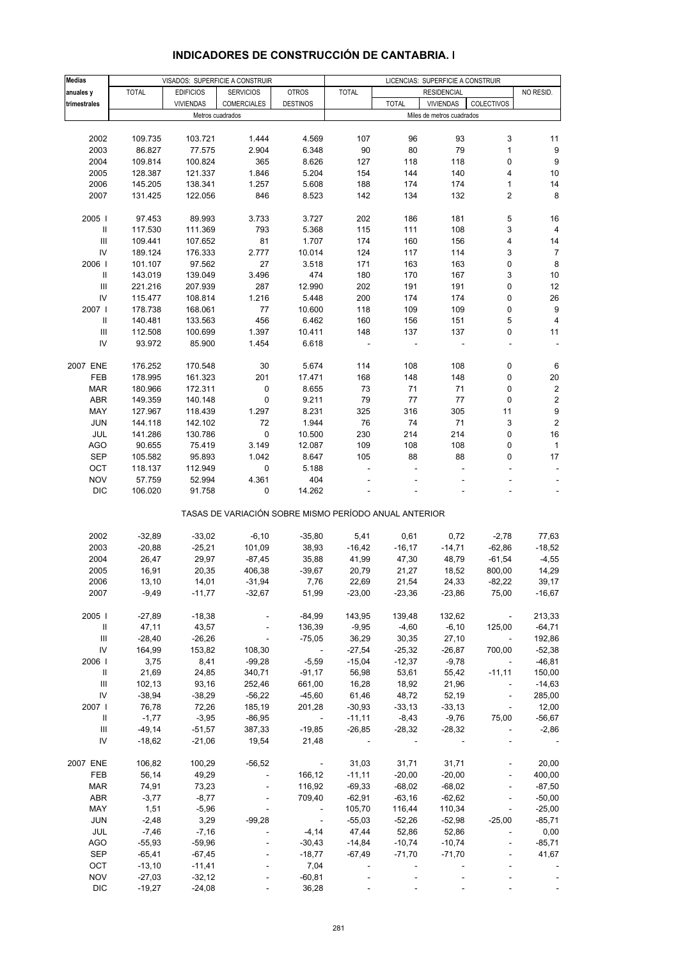| <b>Medias</b>                      |              |                  | VISADOS: SUPERFICIE A CONSTRUIR                       |                             |                          |              | LICENCIAS: SUPERFICIE A CONSTRUIR |                             |                          |
|------------------------------------|--------------|------------------|-------------------------------------------------------|-----------------------------|--------------------------|--------------|-----------------------------------|-----------------------------|--------------------------|
| anuales y                          | <b>TOTAL</b> | <b>EDIFICIOS</b> | <b>SERVICIOS</b>                                      | <b>OTROS</b>                | <b>TOTAL</b>             |              | <b>RESIDENCIAL</b>                |                             | NO RESID.                |
| trimestrales                       |              | <b>VIVIENDAS</b> | <b>COMERCIALES</b>                                    | <b>DESTINOS</b>             |                          | <b>TOTAL</b> | <b>VIVIENDAS</b>                  | COLECTIVOS                  |                          |
|                                    |              |                  | Metros cuadrados                                      |                             |                          |              | Miles de metros cuadrados         |                             |                          |
|                                    |              |                  |                                                       |                             |                          |              |                                   |                             |                          |
| 2002                               | 109.735      | 103.721          | 1.444                                                 | 4.569                       | 107                      | 96           | 93                                | 3                           | 11                       |
| 2003                               | 86.827       | 77.575           | 2.904                                                 | 6.348                       | 90                       | 80           | 79                                | $\mathbf{1}$                | 9                        |
| 2004                               | 109.814      | 100.824          | 365                                                   | 8.626                       | 127                      | 118          | 118                               | 0                           | $\boldsymbol{9}$         |
| 2005                               | 128.387      | 121.337          | 1.846                                                 | 5.204                       | 154                      | 144          | 140                               | 4                           | 10                       |
| 2006                               | 145.205      | 138.341          | 1.257                                                 | 5.608                       | 188                      | 174          | 174                               | $\mathbf{1}$                | 14                       |
| 2007                               | 131.425      | 122.056          | 846                                                   | 8.523                       | 142                      | 134          | 132                               | $\overline{2}$              | 8                        |
|                                    |              |                  |                                                       |                             |                          |              |                                   |                             |                          |
| 2005                               | 97.453       | 89.993           | 3.733                                                 | 3.727                       | 202                      | 186          | 181                               | 5                           | 16                       |
| $\, \parallel$                     | 117.530      | 111.369          | 793                                                   | 5.368                       | 115                      | 111          | 108                               | 3                           | 4                        |
| $\ensuremath{\mathsf{III}}\xspace$ | 109.441      | 107.652          | 81                                                    | 1.707                       | 174                      | 160          | 156                               | 4                           | 14                       |
| IV                                 |              |                  | 2.777                                                 |                             |                          |              | 114                               |                             | $\overline{7}$           |
|                                    | 189.124      | 176.333          |                                                       | 10.014                      | 124                      | 117          |                                   | 3                           |                          |
| 2006                               | 101.107      | 97.562           | 27                                                    | 3.518                       | 171                      | 163          | 163                               | $\pmb{0}$                   | $\bf 8$                  |
| $\mathbf{H}$                       | 143.019      | 139.049          | 3.496                                                 | 474                         | 180                      | 170          | 167                               | 3                           | 10                       |
| III                                | 221.216      | 207.939          | 287                                                   | 12.990                      | 202                      | 191          | 191                               | 0                           | 12                       |
| IV                                 | 115.477      | 108.814          | 1.216                                                 | 5.448                       | 200                      | 174          | 174                               | $\pmb{0}$                   | 26                       |
| 2007 l                             | 178.738      | 168.061          | 77                                                    | 10.600                      | 118                      | 109          | 109                               | 0                           | $\boldsymbol{9}$         |
| Ш                                  | 140.481      | 133.563          | 456                                                   | 6.462                       | 160                      | 156          | 151                               | 5                           | $\overline{4}$           |
| Ш                                  | 112.508      | 100.699          | 1.397                                                 | 10.411                      | 148                      | 137          | 137                               | 0                           | 11                       |
| IV                                 | 93.972       | 85.900           | 1.454                                                 | 6.618                       | $\overline{\phantom{a}}$ |              |                                   | $\frac{1}{2}$               | $\overline{\phantom{a}}$ |
|                                    |              |                  |                                                       |                             |                          |              |                                   |                             |                          |
| 2007 ENE                           | 176.252      | 170.548          | 30                                                    | 5.674                       | 114                      | 108          | 108                               | 0                           | 6                        |
| FEB                                | 178.995      | 161.323          | 201                                                   | 17.471                      | 168                      | 148          | 148                               | 0                           | 20                       |
| <b>MAR</b>                         | 180.966      | 172.311          | 0                                                     | 8.655                       | 73                       | 71           | 71                                | 0                           | $\boldsymbol{2}$         |
| <b>ABR</b>                         | 149.359      | 140.148          | 0                                                     | 9.211                       | 79                       | 77           | 77                                | 0                           | $\mathbf 2$              |
| MAY                                | 127.967      | 118.439          | 1.297                                                 | 8.231                       | 325                      | 316          | 305                               | 11                          | 9                        |
| <b>JUN</b>                         | 144.118      | 142.102          | 72                                                    | 1.944                       | 76                       | 74           | 71                                | 3                           | $\mathbf 2$              |
| JUL                                | 141.286      | 130.786          | $\pmb{0}$                                             | 10.500                      | 230                      | 214          | 214                               | $\pmb{0}$                   | 16                       |
| <b>AGO</b>                         | 90.655       | 75.419           | 3.149                                                 | 12.087                      | 109                      | 108          | 108                               | 0                           | $\overline{1}$           |
| <b>SEP</b>                         | 105.582      | 95.893           | 1.042                                                 | 8.647                       | 105                      | 88           | 88                                | 0                           | 17                       |
| OCT                                | 118.137      | 112.949          | 0                                                     | 5.188                       |                          |              |                                   |                             | $\blacksquare$           |
| <b>NOV</b>                         | 57.759       | 52.994           | 4.361                                                 | 404                         |                          |              |                                   |                             | $\overline{\phantom{a}}$ |
| <b>DIC</b>                         | 106.020      | 91.758           | 0                                                     | 14.262                      |                          |              |                                   |                             |                          |
|                                    |              |                  |                                                       |                             |                          |              |                                   |                             |                          |
|                                    |              |                  | TASAS DE VARIACIÓN SOBRE MISMO PERÍODO ANUAL ANTERIOR |                             |                          |              |                                   |                             |                          |
|                                    |              |                  |                                                       |                             |                          |              |                                   |                             |                          |
| 2002                               | $-32,89$     | $-33,02$         | $-6,10$                                               | $-35,80$                    | 5,41                     | 0,61         | 0,72                              | $-2,78$                     | 77,63                    |
| 2003                               | $-20,88$     | $-25,21$         | 101,09                                                | 38,93                       | $-16,42$                 | $-16, 17$    | $-14,71$                          | $-62,86$                    | $-18,52$                 |
| 2004                               | 26,47        | 29,97            | $-87,45$                                              | 35,88                       | 41,99                    | 47,30        | 48,79                             | $-61,54$                    | $-4,55$                  |
| 2005                               | 16,91        | 20,35            | 406,38                                                | $-39,67$                    | 20,79                    | 21,27        | 18,52                             | 800,00                      | 14,29                    |
| 2006                               | 13,10        | 14,01            | $-31,94$                                              | 7,76                        | 22,69                    | 21,54        | 24,33                             | $-82,22$                    | 39,17                    |
| 2007                               | $-9,49$      | $-11,77$         | $-32,67$                                              | 51,99                       | $-23,00$                 | $-23,36$     | $-23,86$                          | 75,00                       | $-16,67$                 |
|                                    |              |                  |                                                       |                             |                          |              |                                   |                             |                          |
| 2005                               | $-27,89$     | $-18,38$         |                                                       | $-84,99$                    | 143,95                   | 139,48       | 132,62                            | $\sim$                      | 213,33                   |
| Ш                                  | 47,11        | 43,57            |                                                       | 136,39                      | $-9,95$                  | $-4,60$      | $-6,10$                           | 125,00                      | $-64,71$                 |
| Ш                                  | $-28,40$     | $-26,26$         | $\overline{\phantom{a}}$                              | $-75,05$                    | 36,29                    | 30,35        | 27,10                             | $\sim$                      | 192,86                   |
| IV                                 | 164,99       | 153,82           | 108,30                                                | $\sim 100$ km $^{-1}$       | $-27,54$                 | $-25,32$     | $-26,87$                          | 700,00                      | $-52,38$                 |
| 2006                               | 3,75         | 8,41             | $-99,28$                                              | $-5,59$                     | $-15,04$                 | $-12,37$     | $-9,78$                           | $\sim$                      | $-46,81$                 |
| $\mathbf{II}$                      | 21,69        | 24,85            | 340,71                                                | $-91,17$                    | 56,98                    | 53,61        | 55,42                             | $-11,11$                    | 150,00                   |
| Ш                                  | 102,13       | 93,16            | 252,46                                                | 661,00                      | 16,28                    | 18,92        | 21,96                             | $\blacksquare$              | $-14,63$                 |
| ${\sf IV}$                         | $-38,94$     | $-38,29$         | $-56,22$                                              | $-45,60$                    | 61,46                    | 48,72        | 52,19                             | $\blacksquare$              | 285,00                   |
| 2007                               | 76,78        | 72,26            | 185,19                                                | 201,28                      | $-30,93$                 | $-33,13$     | $-33,13$                          | $\mathcal{L}_{\mathcal{A}}$ | 12,00                    |
| $\mathbf{H}$                       | $-1,77$      | $-3,95$          | $-86,95$                                              | $\sim 100$ km $^{-1}$       | $-11,11$                 | $-8,43$      | $-9,76$                           | 75,00                       | $-56,67$                 |
| Ш                                  | $-49,14$     | $-51,57$         | 387,33                                                | $-19,85$                    | $-26,85$                 | $-28,32$     | $-28,32$                          | $\overline{\phantom{a}}$    | $-2,86$                  |
| IV                                 | $-18,62$     | $-21,06$         | 19,54                                                 | 21,48                       |                          |              |                                   |                             |                          |
|                                    |              |                  |                                                       |                             |                          |              |                                   |                             |                          |
| 2007 ENE                           | 106,82       | 100,29           | $-56,52$                                              | $\sim$                      | 31,03                    | 31,71        | 31,71                             |                             | 20,00                    |
| FEB                                | 56,14        | 49,29            | $\omega$                                              | 166,12                      | $-11,11$                 | $-20,00$     | $-20,00$                          | $\Box$                      | 400,00                   |
| <b>MAR</b>                         | 74,91        | 73,23            | $\sim$                                                | 116,92                      | $-69,33$                 | $-68,02$     | $-68,02$                          | $\overline{\phantom{a}}$    | $-87,50$                 |
| ABR                                | $-3,77$      | $-8,77$          | $\blacksquare$                                        | 709,40                      | $-62,91$                 | $-63,16$     | $-62,62$                          | $\blacksquare$              | $-50,00$                 |
| MAY                                |              | $-5,96$          |                                                       | $\sim 100$ km s $^{-1}$     |                          |              |                                   | $\Box$                      |                          |
|                                    | 1,51         |                  |                                                       |                             | 105,70                   | 116,44       | 110,34                            |                             | $-25,00$                 |
| <b>JUN</b>                         | $-2,48$      | 3,29             | $-99,28$                                              | $\mathcal{L}_{\mathcal{A}}$ | $-55,03$                 | $-52,26$     | $-52,98$                          | $-25,00$                    | $-85,71$                 |
| JUL                                | $-7,46$      | $-7,16$          | $\blacksquare$                                        | $-4,14$                     | 47,44                    | 52,86        | 52,86                             | $\overline{\phantom{a}}$    | 0,00                     |
| <b>AGO</b>                         | $-55,93$     | $-59,96$         | $\blacksquare$                                        | $-30,43$                    | -14,84                   | $-10,74$     | $-10,74$                          | $\Box$                      | $-85,71$                 |
| <b>SEP</b>                         | $-65,41$     | $-67,45$         |                                                       | $-18,77$                    | -67,49                   | $-71,70$     | $-71,70$                          | $\overline{\phantom{a}}$    | 41,67                    |
| OCT                                | $-13,10$     | $-11,41$         |                                                       | 7,04                        |                          |              |                                   |                             |                          |
| <b>NOV</b>                         | $-27,03$     | $-32,12$         |                                                       | $-60,81$                    |                          | ÷,           |                                   |                             |                          |
| <b>DIC</b>                         | $-19,27$     | $-24,08$         | $\mathcal{L}_{\mathcal{A}}$                           | 36,28                       |                          |              |                                   | $\Box$                      |                          |

### **INDICADORES DE CONSTRUCCIÓN DE CANTABRIA. I**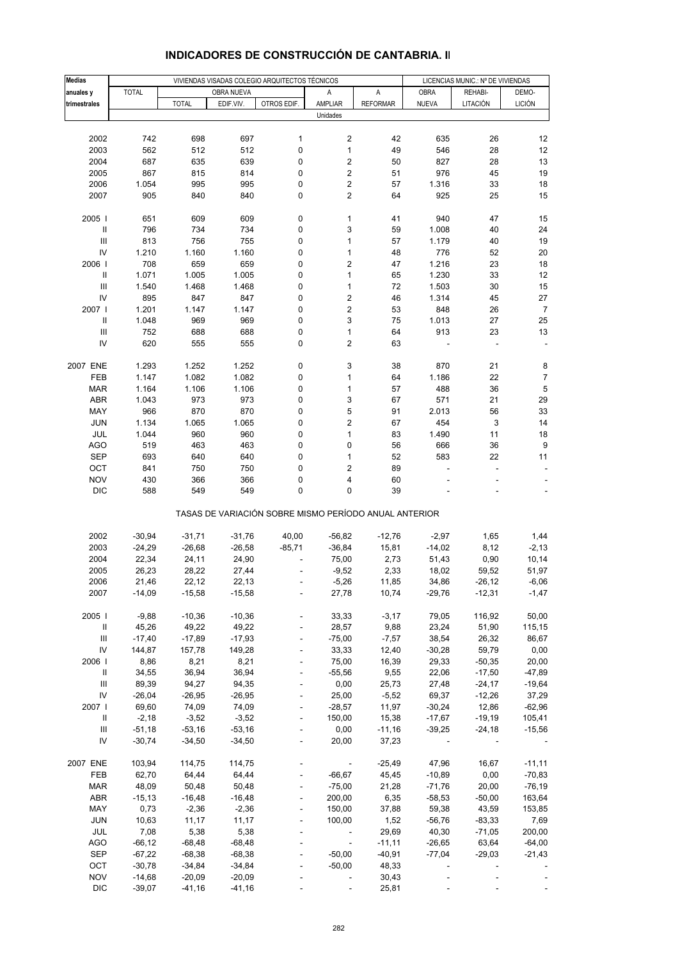| <b>Medias</b>                      |              |              |            | VIVIENDAS VISADAS COLEGIO ARQUITECTOS TÉCNICOS |                                                       |                 |                          | LICENCIAS MUNIC.: Nº DE VIVIENDAS |                |
|------------------------------------|--------------|--------------|------------|------------------------------------------------|-------------------------------------------------------|-----------------|--------------------------|-----------------------------------|----------------|
| anuales y                          | <b>TOTAL</b> |              | OBRA NUEVA |                                                | Α                                                     | Α               | <b>OBRA</b>              | REHABI-                           | DEMO-          |
| trimestrales                       |              | <b>TOTAL</b> | EDIF.VIV.  | OTROS EDIF.                                    | AMPLIAR                                               | <b>REFORMAR</b> | <b>NUEVA</b>             | LITACIÓN                          | <b>LICIÓN</b>  |
|                                    |              |              |            |                                                | Unidades                                              |                 |                          |                                   |                |
|                                    |              |              |            |                                                |                                                       |                 |                          |                                   |                |
| 2002                               | 742          | 698          | 697        | 1                                              | 2                                                     | 42              | 635                      | 26                                | 12             |
|                                    |              |              |            |                                                | $\mathbf{1}$                                          |                 |                          |                                   | 12             |
| 2003                               | 562          | 512          | 512        | 0                                              |                                                       | 49              | 546                      | 28                                |                |
| 2004                               | 687          | 635          | 639        | 0                                              | 2                                                     | 50              | 827                      | 28                                | 13             |
| 2005                               | 867          | 815          | 814        | 0                                              | $\mathbf 2$                                           | 51              | 976                      | 45                                | 19             |
| 2006                               | 1.054        | 995          | 995        | 0                                              | 2                                                     | 57              | 1.316                    | 33                                | 18             |
| 2007                               | 905          | 840          | 840        | 0                                              | 2                                                     | 64              | 925                      | 25                                | 15             |
|                                    |              |              |            |                                                |                                                       |                 |                          |                                   |                |
| 2005                               | 651          | 609          | 609        | 0                                              | $\mathbf{1}$                                          | 41              | 940                      | 47                                | 15             |
| $\mathbf{I}$                       | 796          | 734          | 734        | 0                                              | 3                                                     | 59              | 1.008                    | 40                                | 24             |
| $\ensuremath{\mathsf{III}}\xspace$ | 813          | 756          | 755        | 0                                              | 1                                                     | 57              | 1.179                    | 40                                | 19             |
| IV                                 | 1.210        | 1.160        | 1.160      | 0                                              | $\mathbf 1$                                           | 48              | 776                      | 52                                | 20             |
| 2006                               | 708          | 659          | 659        | 0                                              | $\overline{\mathbf{c}}$                               | 47              | 1.216                    | 23                                | 18             |
| Ш                                  | 1.071        | 1.005        | 1.005      | 0                                              | $\mathbf{1}$                                          | 65              | 1.230                    | 33                                | 12             |
| III                                | 1.540        | 1.468        | 1.468      | 0                                              | $\mathbf 1$                                           | 72              | 1.503                    | 30                                | 15             |
| IV                                 | 895          | 847          | 847        | 0                                              | $\overline{\mathbf{c}}$                               | 46              | 1.314                    | 45                                | 27             |
|                                    |              |              |            |                                                |                                                       |                 |                          |                                   |                |
| 2007                               | 1.201        | 1.147        | 1.147      | 0                                              | $\overline{c}$                                        | 53              | 848                      | 26                                | $\overline{7}$ |
| $\, \parallel$                     | 1.048        | 969          | 969        | 0                                              | 3                                                     | 75              | 1.013                    | 27                                | 25             |
| III                                | 752          | 688          | 688        | 0                                              | 1                                                     | 64              | 913                      | 23                                | 13             |
| IV                                 | 620          | 555          | 555        | 0                                              | 2                                                     | 63              |                          |                                   |                |
|                                    |              |              |            |                                                |                                                       |                 |                          |                                   |                |
| 2007 ENE                           | 1.293        | 1.252        | 1.252      | 0                                              | 3                                                     | 38              | 870                      | 21                                | 8              |
| FEB                                | 1.147        | 1.082        | 1.082      | 0                                              | $\mathbf{1}$                                          | 64              | 1.186                    | 22                                | 7              |
| <b>MAR</b>                         | 1.164        | 1.106        | 1.106      | 0                                              | $\mathbf 1$                                           | 57              | 488                      | 36                                | 5              |
| ABR                                | 1.043        | 973          | 973        | 0                                              | 3                                                     | 67              | 571                      | 21                                | 29             |
| MAY                                | 966          | 870          | 870        | 0                                              | 5                                                     | 91              | 2.013                    | 56                                | 33             |
| <b>JUN</b>                         | 1.134        | 1.065        | 1.065      | 0                                              | 2                                                     | 67              | 454                      | 3                                 | 14             |
| JUL                                | 1.044        | 960          | 960        | 0                                              | $\mathbf{1}$                                          | 83              | 1.490                    | 11                                | 18             |
| <b>AGO</b>                         | 519          | 463          | 463        | 0                                              | 0                                                     | 56              | 666                      | 36                                | 9              |
|                                    |              |              |            |                                                |                                                       |                 |                          |                                   |                |
| <b>SEP</b>                         | 693          | 640          | 640        | 0                                              | $\mathbf{1}$                                          | 52              | 583                      | 22                                | 11             |
| OCT                                | 841          | 750          | 750        | 0                                              | 2                                                     | 89              |                          | ä,                                |                |
| <b>NOV</b>                         | 430          | 366          | 366        | 0                                              | 4                                                     | 60              |                          |                                   |                |
| <b>DIC</b>                         | 588          | 549          | 549        | 0                                              | 0                                                     | 39              |                          |                                   |                |
|                                    |              |              |            |                                                | TASAS DE VARIACIÓN SOBRE MISMO PERÍODO ANUAL ANTERIOR |                 |                          |                                   |                |
|                                    |              |              |            |                                                |                                                       |                 |                          |                                   |                |
| 2002                               | $-30,94$     | $-31,71$     | $-31,76$   | 40,00                                          | $-56,82$                                              | $-12,76$        | $-2,97$                  | 1,65                              | 1,44           |
| 2003                               | $-24,29$     | $-26,68$     | $-26,58$   | $-85,71$                                       | $-36,84$                                              | 15,81           | $-14,02$                 | 8,12                              | $-2,13$        |
| 2004                               | 22,34        | 24,11        | 24,90      |                                                | 75,00                                                 | 2,73            | 51,43                    | 0,90                              | 10,14          |
| 2005                               | 26,23        | 28,22        | 27,44      |                                                | $-9,52$                                               | 2,33            | 18,02                    | 59,52                             | 51,97          |
| 2006                               | 21,46        | 22,12        | 22,13      |                                                | $-5,26$                                               | 11,85           | 34,86                    | $-26,12$                          | $-6,06$        |
| 2007                               | $-14,09$     | $-15,58$     | $-15,58$   |                                                | 27,78                                                 | 10,74           | -29,76                   | $-12,31$                          | $-1,47$        |
|                                    |              |              |            |                                                |                                                       |                 |                          |                                   |                |
| 2005                               | $-9,88$      | $-10,36$     | $-10,36$   |                                                | 33,33                                                 | $-3,17$         | 79,05                    | 116,92                            | 50,00          |
| Ш                                  | 45,26        | 49,22        | 49,22      | $\Box$                                         | 28,57                                                 | 9,88            | 23,24                    | 51,90                             | 115,15         |
| Ш                                  | $-17,40$     | $-17,89$     | $-17,93$   |                                                | $-75,00$                                              | $-7,57$         | 38,54                    | 26,32                             | 86,67          |
| IV                                 | 144,87       | 157,78       | 149,28     |                                                | 33,33                                                 | 12,40           | $-30,28$                 | 59,79                             | 0,00           |
| 2006                               | 8,86         | 8,21         | 8,21       | $\Box$                                         | 75,00                                                 | 16,39           | 29,33                    | $-50,35$                          | 20,00          |
| Ш                                  | 34,55        | 36,94        | 36,94      |                                                | $-55,56$                                              | 9,55            | 22,06                    | $-17,50$                          | $-47,89$       |
| Ш                                  | 89,39        | 94,27        | 94,35      |                                                | 0,00                                                  | 25,73           | 27,48                    | $-24,17$                          | $-19,64$       |
| ${\sf IV}$                         | $-26,04$     | $-26,95$     | $-26,95$   | $\Box$                                         | 25,00                                                 | $-5,52$         | 69,37                    | $-12,26$                          | 37,29          |
| 2007                               | 69,60        | 74,09        | 74,09      |                                                | $-28,57$                                              | 11,97           | $-30,24$                 | 12,86                             | $-62,96$       |
|                                    |              |              |            |                                                |                                                       |                 |                          |                                   |                |
| Ш                                  | $-2,18$      | $-3,52$      | $-3,52$    |                                                | 150,00                                                | 15,38           | $-17,67$                 | $-19,19$                          | 105,41         |
| Ш                                  | $-51,18$     | $-53,16$     | $-53,16$   | $\blacksquare$                                 | 0,00                                                  | $-11,16$        | $-39,25$                 | $-24,18$                          | $-15,56$       |
| IV                                 | $-30,74$     | $-34,50$     | $-34,50$   |                                                | 20,00                                                 | 37,23           | $\overline{\phantom{a}}$ |                                   |                |
| 2007 ENE                           |              |              |            |                                                |                                                       |                 |                          |                                   |                |
|                                    | 103,94       | 114,75       | 114,75     |                                                | $\sim$ $\sim$                                         | $-25,49$        | 47,96                    | 16,67                             | $-11,11$       |
| FEB                                | 62,70        | 64,44        | 64,44      | $\overline{\phantom{a}}$                       | $-66,67$                                              | 45,45           | $-10,89$                 | 0,00                              | $-70,83$       |
| <b>MAR</b>                         | 48,09        | 50,48        | 50,48      | $\blacksquare$                                 | $-75,00$                                              | 21,28           | $-71,76$                 | 20,00                             | $-76,19$       |
| ABR                                | $-15,13$     | $-16,48$     | $-16,48$   | $\blacksquare$                                 | 200,00                                                | 6,35            | $-58,53$                 | $-50,00$                          | 163,64         |
| MAY                                | 0,73         | $-2,36$      | $-2,36$    |                                                | 150,00                                                | 37,88           | 59,38                    | 43,59                             | 153,85         |
| <b>JUN</b>                         | 10,63        | 11, 17       | 11,17      | $\Box$                                         | 100,00                                                | 1,52            | $-56,76$                 | $-83,33$                          | 7,69           |
| JUL                                | 7,08         | 5,38         | 5,38       | $\frac{1}{2}$                                  | $\sim 100$                                            | 29,69           | 40,30                    | $-71,05$                          | 200,00         |
| <b>AGO</b>                         | $-66, 12$    | $-68,48$     | $-68,48$   |                                                | $\sim$ $-$                                            | $-11,11$        | $-26,65$                 | 63,64                             | $-64,00$       |
| <b>SEP</b>                         | $-67,22$     | $-68,38$     | $-68,38$   |                                                | $-50,00$                                              | $-40,91$        | $-77,04$                 | $-29,03$                          | $-21,43$       |
| OCT                                | $-30,78$     | $-34,84$     | $-34,84$   |                                                | $-50,00$                                              | 48,33           | $\blacksquare$           |                                   |                |
| <b>NOV</b>                         | $-14,68$     | $-20,09$     | $-20,09$   |                                                | $\overline{\phantom{a}}$                              | 30,43           |                          |                                   |                |
| <b>DIC</b>                         | $-39,07$     | $-41,16$     | $-41,16$   |                                                |                                                       | 25,81           |                          |                                   |                |

## **INDICADORES DE CONSTRUCCIÓN DE CANTABRIA. II**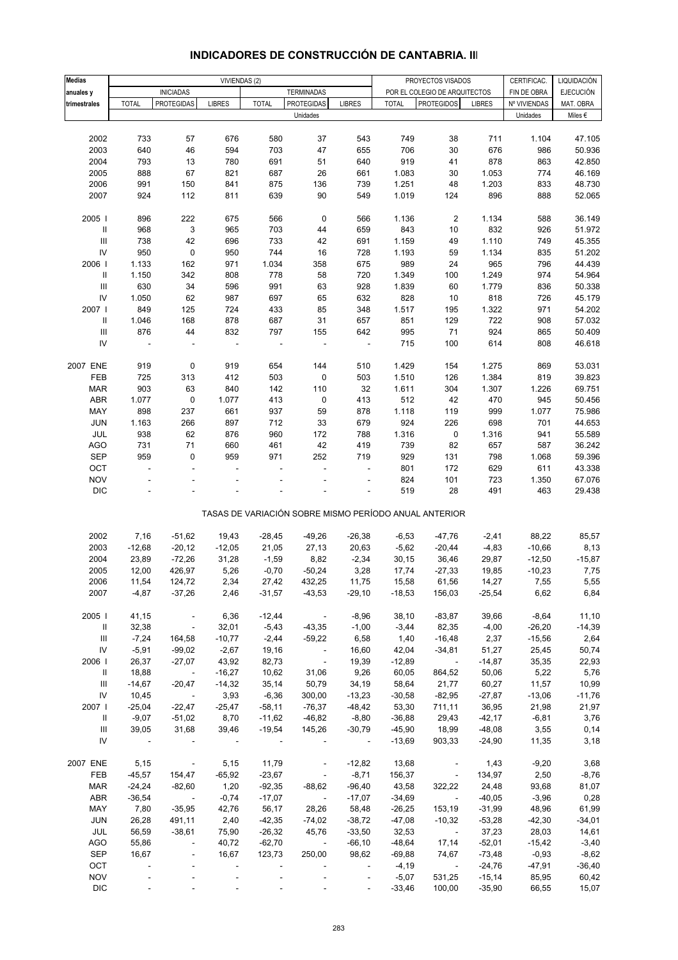| <b>Medias</b>                      |                          |                          |                          |                          |                         |                          |              | PROYECTOS VISADOS                                     |               | CERTIFICAC.  | LIQUIDACIÓN      |
|------------------------------------|--------------------------|--------------------------|--------------------------|--------------------------|-------------------------|--------------------------|--------------|-------------------------------------------------------|---------------|--------------|------------------|
| anuales y                          |                          | <b>INICIADAS</b>         | VIVIENDAS (2)            |                          | <b>TERMINADAS</b>       |                          |              | POR EL COLEGIO DE ARQUITECTOS                         |               | FIN DE OBRA  | <b>EJECUCIÓN</b> |
| trimestrales                       | <b>TOTAL</b>             | <b>PROTEGIDAS</b>        | <b>LIBRES</b>            | <b>TOTAL</b>             | PROTEGIDAS              | <b>LIBRES</b>            | <b>TOTAL</b> | <b>PROTEGIDOS</b>                                     | <b>LIBRES</b> | Nº VIVIENDAS | MAT. OBRA        |
|                                    |                          |                          |                          |                          | Unidades                |                          |              |                                                       |               | Unidades     | Miles $\epsilon$ |
|                                    |                          |                          |                          |                          |                         |                          |              |                                                       |               |              |                  |
| 2002                               | 733                      | 57                       | 676                      | 580                      | 37                      | 543                      | 749          | 38                                                    | 711           | 1.104        | 47.105           |
| 2003                               | 640                      | 46                       | 594                      | 703                      | 47                      | 655                      | 706          | 30                                                    | 676           | 986          | 50.936           |
| 2004                               | 793                      | 13                       | 780                      | 691                      | 51                      | 640                      | 919          | 41                                                    | 878           | 863          | 42.850           |
| 2005                               | 888                      | 67                       | 821                      | 687                      | 26                      | 661                      | 1.083        | 30                                                    | 1.053         | 774          | 46.169           |
| 2006                               | 991                      | 150                      | 841                      | 875                      | 136                     | 739                      | 1.251        | 48                                                    | 1.203         | 833          | 48.730           |
| 2007                               | 924                      | 112                      | 811                      | 639                      | 90                      | 549                      | 1.019        | 124                                                   | 896           | 888          | 52.065           |
|                                    |                          |                          |                          |                          |                         |                          |              |                                                       |               |              |                  |
| 2005 l                             | 896                      | 222                      | 675                      | 566                      | $\pmb{0}$               | 566                      | 1.136        | $\overline{\mathbf{c}}$                               | 1.134         | 588          | 36.149           |
| Ш                                  | 968                      | 3                        | 965                      | 703                      | 44                      | 659                      | 843          | 10                                                    | 832           | 926          | 51.972           |
| $\ensuremath{\mathsf{III}}\xspace$ | 738                      | 42                       | 696                      | 733                      | 42                      | 691                      | 1.159        | 49                                                    | 1.110         | 749          | 45.355           |
| IV                                 | 950                      | 0                        | 950                      | 744                      | 16                      | 728                      | 1.193        | 59                                                    | 1.134         | 835          | 51.202           |
| 2006                               | 1.133                    | 162                      | 971                      | 1.034                    | 358                     | 675                      | 989          | 24                                                    | 965           | 796          | 44.439           |
| $\ensuremath{\mathsf{II}}$         | 1.150                    | 342                      | 808                      | 778                      | 58                      | 720                      | 1.349        | 100                                                   | 1.249         | 974          | 54.964           |
| $\ensuremath{\mathsf{III}}\xspace$ | 630                      | 34                       | 596                      | 991                      | 63                      | 928                      | 1.839        | 60                                                    | 1.779         | 836          | 50.338           |
| IV                                 | 1.050                    | 62                       | 987                      | 697                      | 65                      | 632                      | 828          | 10                                                    | 818           | 726          | 45.179           |
| 2007                               | 849                      | 125                      | 724                      | 433                      | 85                      | 348                      | 1.517        | 195                                                   | 1.322         | 971          | 54.202           |
| Ш                                  | 1.046                    | 168                      | 878                      | 687                      | 31                      | 657                      | 851          | 129                                                   | 722           | 908          | 57.032           |
| $\ensuremath{\mathsf{III}}\xspace$ | 876                      | 44                       | 832                      | 797                      | 155                     | 642                      | 995          | 71                                                    | 924           | 865          | 50.409           |
| IV                                 |                          |                          |                          |                          |                         |                          | 715          | 100                                                   | 614           | 808          | 46.618           |
|                                    |                          |                          |                          |                          |                         |                          |              |                                                       |               |              |                  |
| 2007 ENE                           | 919                      | 0                        | 919                      | 654                      | 144                     | 510                      | 1.429        | 154                                                   | 1.275         | 869          | 53.031           |
| FEB                                | 725                      | 313                      | 412                      | 503                      | $\pmb{0}$               | 503                      | 1.510        | 126                                                   | 1.384         | 819          | 39.823           |
| <b>MAR</b>                         | 903                      | 63                       | 840                      | 142                      | 110                     | 32                       | 1.611        | 304                                                   | 1.307         | 1.226        | 69.751           |
| ABR                                | 1.077                    | $\pmb{0}$                | 1.077                    | 413                      | 0                       | 413                      | 512          | 42                                                    | 470           | 945          | 50.456           |
| MAY                                | 898                      | 237                      | 661                      | 937                      | 59                      | 878                      | 1.118        | 119                                                   | 999           | 1.077        | 75.986           |
| <b>JUN</b>                         | 1.163                    | 266                      | 897                      | 712                      | 33                      | 679                      | 924          | 226                                                   | 698           | 701          | 44.653           |
| JUL                                | 938                      | 62                       | 876                      | 960                      | 172                     | 788                      | 1.316        | 0                                                     | 1.316         | 941          | 55.589           |
| <b>AGO</b>                         | 731                      | $71$                     | 660                      | 461                      | 42                      | 419                      | 739          | 82                                                    | 657           | 587          | 36.242           |
| <b>SEP</b>                         | 959                      | 0                        | 959                      | 971                      | 252                     | 719                      | 929          | 131                                                   | 798           | 1.068        | 59.396           |
| OCT                                | $\overline{\phantom{a}}$ | ÷.                       | ÷,                       |                          | L.                      | $\overline{\phantom{a}}$ | 801          | 172                                                   | 629           | 611          | 43.338           |
| <b>NOV</b>                         |                          |                          |                          |                          |                         |                          | 824          | 101                                                   | 723           | 1.350        | 67.076           |
| $\mathsf{DIC}$                     |                          |                          |                          |                          |                         |                          | 519          | 28                                                    | 491           | 463          | 29.438           |
|                                    |                          |                          |                          |                          |                         |                          |              |                                                       |               |              |                  |
|                                    |                          |                          |                          |                          |                         |                          |              | TASAS DE VARIACIÓN SOBRE MISMO PERÍODO ANUAL ANTERIOR |               |              |                  |
|                                    |                          |                          |                          |                          |                         |                          |              |                                                       |               |              |                  |
| 2002                               | 7,16                     | $-51,62$                 | 19,43                    | $-28,45$                 | $-49,26$                | $-26,38$                 | $-6,53$      | $-47,76$                                              | $-2,41$       | 88,22        | 85,57            |
| 2003                               | $-12,68$                 | $-20,12$                 | $-12,05$                 | 21,05                    | 27,13                   | 20,63                    | $-5,62$      | $-20,44$                                              | $-4,83$       | $-10,66$     | 8,13             |
| 2004                               | 23,89                    | $-72,26$                 | 31,28                    | $-1,59$                  | 8,82                    | $-2,34$                  | 30, 15       | 36,46                                                 | 29,87         | $-12,50$     | $-15,87$         |
| 2005                               | 12,00                    | 426,97                   | 5,26                     | $-0,70$                  | $-50,24$                | 3,28                     | 17,74        | $-27,33$                                              | 19,85         | $-10,23$     | 7,75             |
| 2006                               | 11,54                    | 124,72                   | 2,34                     | 27,42                    | 432,25                  | 11,75                    | 15,58        | 61,56                                                 | 14,27         | 7,55         | 5,55             |
| 2007                               | $-4,87$                  | $-37,26$                 | 2,46                     | $-31,57$                 | $-43,53$                | $-29,10$                 | $-18,53$     | 156,03                                                | $-25,54$      | 6,62         | 6,84             |
|                                    |                          |                          |                          |                          |                         |                          |              |                                                       |               |              |                  |
| 2005                               | 41,15                    | $\overline{\phantom{a}}$ | 6,36                     | $-12,44$                 | $\sim 100$              | $-8,96$                  | 38,10        | $-83,87$                                              | 39,66         | $-8,64$      | 11,10            |
| $\parallel$                        | 32,38                    | $\sim$ $\sim$            | 32,01                    | $-5,43$                  | $-43,35$                | $-1,00$                  | $-3,44$      | 82,35                                                 | $-4,00$       | $-26,20$     | $-14,39$         |
| $\ensuremath{\mathsf{III}}\xspace$ | $-7,24$                  | 164,58                   | $-10,77$                 | $-2,44$                  | $-59,22$                | 6,58                     | 1,40         | $-16,48$                                              | 2,37          | $-15,56$     | 2,64             |
| IV                                 | $-5,91$                  | $-99,02$                 | $-2,67$                  | 19,16                    | $\sim$                  | 16,60                    | 42,04        | $-34,81$                                              | 51,27         | 25,45        | 50,74            |
| 2006                               | 26,37                    | $-27,07$                 | 43,92                    | 82,73                    | $\sim 100$              | 19,39                    | $-12,89$     | $\sim 100$ km s $^{-1}$                               | $-14,87$      | 35,35        | 22,93            |
| Ш                                  | 18,88                    | $\sim$ $\sim$            | $-16,27$                 | 10,62                    | 31,06                   | 9,26                     | 60,05        | 864,52                                                | 50,06         | 5,22         | 5,76             |
| Ш                                  | $-14,67$                 | $-20,47$                 | $-14,32$                 | 35,14                    | 50,79                   | 34,19                    | 58,64        | 21,77                                                 | 60,27         | 11,57        | 10,99            |
| IV                                 | 10,45                    | $\sim 100$               | 3,93                     | $-6,36$                  | 300,00                  | $-13,23$                 | $-30,58$     | $-82,95$                                              | $-27,87$      | $-13,06$     | $-11,76$         |
| 2007                               | $-25,04$                 | $-22,47$                 | $-25,47$                 | $-58,11$                 | $-76,37$                | $-48,42$                 | 53,30        | 711,11                                                | 36,95         | 21,98        | 21,97            |
| Ш                                  | $-9,07$                  | $-51,02$                 | 8,70                     | $-11,62$                 | $-46,82$                | $-8,80$                  | $-36,88$     | 29,43                                                 | $-42,17$      | $-6,81$      | 3,76             |
| Ш                                  | 39,05                    | 31,68                    | 39,46                    | $-19,54$                 | 145,26                  | $-30,79$                 | $-45,90$     | 18,99                                                 | $-48,08$      | 3,55         | 0,14             |
| IV                                 | $\sim$ $-$               | $\blacksquare$           | $\sim 100$               | $\overline{\phantom{a}}$ | $\blacksquare$          | $\sim$ $-$               | $-13,69$     | 903,33                                                | $-24,90$      | 11,35        | 3,18             |
|                                    |                          |                          |                          |                          |                         |                          |              |                                                       |               |              |                  |
| 2007 ENE                           | 5,15                     | $\sim 10^{11}$ m $^{-1}$ | 5,15                     | 11,79                    | $\blacksquare$          | $-12,82$                 | 13,68        | $\overline{\phantom{a}}$                              | 1,43          | $-9,20$      | 3,68             |
| FEB                                | $-45,57$                 | 154,47                   | $-65,92$                 | $-23,67$                 | $\blacksquare$          | $-8,71$                  | 156,37       | $\sim$                                                | 134,97        | 2,50         | $-8,76$          |
| <b>MAR</b>                         | $-24,24$                 | $-82,60$                 | 1,20                     | $-92,35$                 | $-88,62$                | $-96,40$                 | 43,58        | 322,22                                                | 24,48         | 93,68        | 81,07            |
| ABR                                | $-36,54$                 | $\sim 100$ km s $^{-1}$  | $-0,74$                  | $-17,07$                 | $\sim 100$              | $-17,07$                 | $-34,69$     | $\sim$                                                | $-40,05$      | $-3,96$      | 0,28             |
| MAY                                | 7,80                     | $-35,95$                 | 42,76                    | 56,17                    | 28,26                   | 58,48                    | $-26,25$     | 153,19                                                | $-31,99$      | 48,96        | 61,99            |
| JUN                                | 26,28                    | 491,11                   | 2,40                     | $-42,35$                 | $-74,02$                | $-38,72$                 | $-47,08$     | $-10,32$                                              | $-53,28$      | $-42,30$     | $-34,01$         |
| JUL                                | 56,59                    | $-38,61$                 | 75,90                    | $-26,32$                 | 45,76                   | $-33,50$                 | 32,53        | $\sim 100$ km s $^{-1}$                               | 37,23         | 28,03        | 14,61            |
| AGO                                | 55,86                    | $\overline{\phantom{a}}$ | 40,72                    | $-62,70$                 | $\sim 100$ km s $^{-1}$ | $-66, 10$                | $-48,64$     | 17,14                                                 | $-52,01$      | $-15,42$     | $-3,40$          |
| <b>SEP</b>                         | 16,67                    | $\overline{\phantom{a}}$ | 16,67                    | 123,73                   | 250,00                  | 98,62                    | $-69,88$     | 74,67                                                 | $-73,48$      | $-0,93$      | $-8,62$          |
| OCT                                | $\blacksquare$           | $\overline{\phantom{a}}$ | $\blacksquare$           |                          |                         | $\overline{\phantom{a}}$ | $-4,19$      | $\sim 100$ km s $^{-1}$                               | $-24,76$      | $-47,91$     | $-36,40$         |
| <b>NOV</b>                         |                          |                          | $\overline{\phantom{a}}$ |                          |                         | $\overline{\phantom{a}}$ | $-5,07$      | 531,25                                                | $-15,14$      | 85,95        | 60,42            |
| $\mathsf{DIC}$                     |                          |                          |                          |                          |                         |                          | $-33,46$     | 100,00                                                | $-35,90$      | 66,55        | 15,07            |

## **INDICADORES DE CONSTRUCCIÓN DE CANTABRIA. III**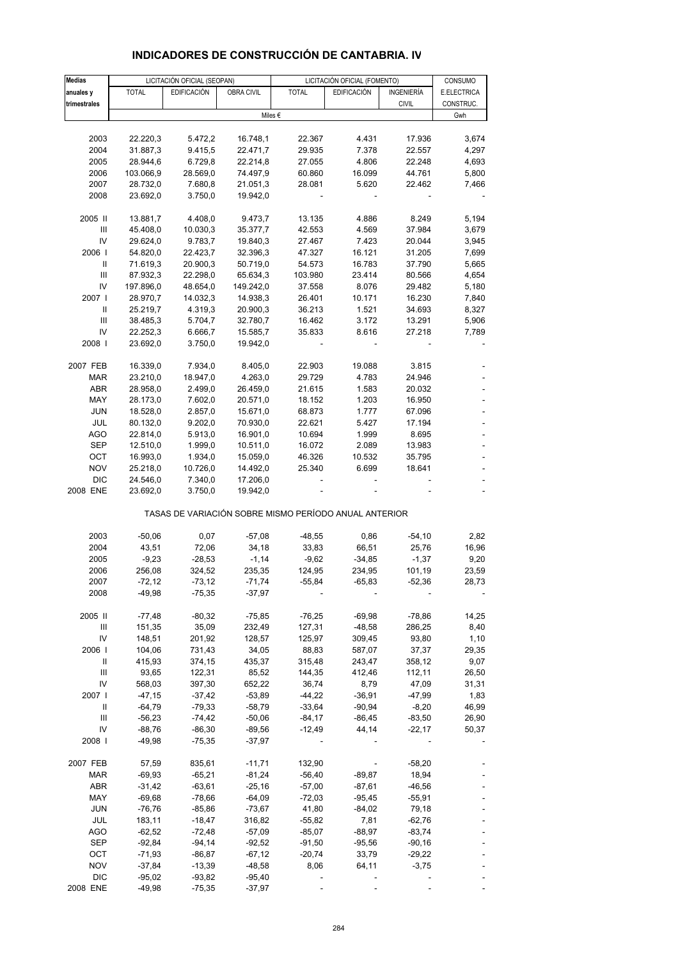| <b>Medias</b>                      |              | LICITACIÓN OFICIAL (SEOPAN) |                   |                                                       | LICITACIÓN OFICIAL (FOMENTO) |              | CONSUMO     |
|------------------------------------|--------------|-----------------------------|-------------------|-------------------------------------------------------|------------------------------|--------------|-------------|
| anuales y                          | <b>TOTAL</b> | <b>EDIFICACIÓN</b>          | <b>OBRA CIVIL</b> | <b>TOTAL</b>                                          | <b>EDIFICACIÓN</b>           | INGENIERÍA   | E.ELECTRICA |
| trimestrales                       |              |                             |                   |                                                       |                              | <b>CIVIL</b> | CONSTRUC.   |
|                                    |              |                             |                   | Miles $\epsilon$                                      |                              |              | Gwh         |
|                                    |              |                             |                   |                                                       |                              |              |             |
| 2003                               | 22.220,3     | 5.472,2                     | 16.748,1          | 22.367                                                | 4.431                        | 17.936       | 3,674       |
| 2004                               | 31.887,3     | 9.415,5                     | 22.471,7          | 29.935                                                | 7.378                        | 22.557       | 4,297       |
| 2005                               | 28.944,6     | 6.729,8                     | 22.214,8          | 27.055                                                | 4.806                        | 22.248       | 4,693       |
| 2006                               | 103.066,9    | 28.569,0                    | 74.497,9          | 60.860                                                | 16.099                       | 44.761       | 5,800       |
| 2007                               | 28.732,0     | 7.680,8                     | 21.051,3          | 28.081                                                | 5.620                        | 22.462       | 7,466       |
| 2008                               | 23.692,0     | 3.750,0                     | 19.942,0          |                                                       |                              |              |             |
|                                    |              |                             |                   |                                                       |                              |              |             |
| 2005 II                            | 13.881,7     | 4.408,0                     | 9.473,7           | 13.135                                                | 4.886                        | 8.249        | 5,194       |
| III                                | 45.408,0     | 10.030,3                    | 35.377,7          | 42.553                                                | 4.569                        | 37.984       | 3,679       |
| IV                                 | 29.624,0     | 9.783,7                     | 19.840,3          | 27.467                                                | 7.423                        | 20.044       | 3,945       |
| 2006                               | 54.820,0     | 22.423,7                    | 32.396,3          | 47.327                                                | 16.121                       | 31.205       | 7,699       |
| Ш                                  | 71.619,3     | 20.900,3                    | 50.719,0          | 54.573                                                | 16.783                       | 37.790       | 5,665       |
| $\ensuremath{\mathsf{III}}\xspace$ | 87.932,3     | 22.298,0                    | 65.634,3          | 103.980                                               | 23.414                       | 80.566       | 4,654       |
| IV                                 | 197.896,0    | 48.654,0                    | 149.242,0         | 37.558                                                | 8.076                        | 29.482       | 5,180       |
| 2007                               | 28.970,7     | 14.032,3                    | 14.938,3          | 26.401                                                | 10.171                       | 16.230       | 7,840       |
| Ш                                  | 25.219,7     | 4.319,3                     | 20.900,3          | 36.213                                                | 1.521                        | 34.693       | 8,327       |
| III                                | 38.485,3     | 5.704,7                     | 32.780,7          | 16.462                                                | 3.172                        | 13.291       | 5,906       |
| IV                                 | 22.252,3     | 6.666,7                     | 15.585,7          | 35.833                                                | 8.616                        | 27.218       | 7,789       |
| 2008                               | 23.692,0     | 3.750,0                     | 19.942,0          |                                                       |                              |              |             |
|                                    |              |                             |                   |                                                       |                              |              |             |
| 2007 FEB                           | 16.339,0     | 7.934,0                     | 8.405,0           | 22.903                                                | 19.088                       | 3.815        |             |
| <b>MAR</b>                         | 23.210,0     | 18.947,0                    | 4.263,0           | 29.729                                                | 4.783                        | 24.946       |             |
| ABR                                | 28.958,0     | 2.499,0                     | 26.459,0          | 21.615                                                | 1.583                        | 20.032       |             |
| MAY                                | 28.173,0     | 7.602,0                     | 20.571,0          | 18.152                                                | 1.203                        | 16.950       |             |
| <b>JUN</b>                         | 18.528,0     | 2.857,0                     | 15.671,0          | 68.873                                                | 1.777                        | 67.096       |             |
| JUL                                | 80.132,0     | 9.202,0                     | 70.930,0          | 22.621                                                | 5.427                        | 17.194       | ÷,          |
|                                    |              |                             |                   |                                                       |                              |              |             |
| <b>AGO</b>                         | 22.814,0     | 5.913,0                     | 16.901,0          | 10.694                                                | 1.999                        | 8.695        |             |
| <b>SEP</b>                         | 12.510,0     | 1.999,0                     | 10.511,0          | 16.072                                                | 2.089                        | 13.983       |             |
| OCT                                | 16.993,0     | 1.934,0                     | 15.059,0          | 46.326                                                | 10.532                       | 35.795       |             |
| <b>NOV</b>                         | 25.218,0     | 10.726,0                    | 14.492,0          | 25.340                                                | 6.699                        | 18.641       |             |
| <b>DIC</b>                         | 24.546,0     | 7.340,0                     | 17.206,0          |                                                       |                              |              |             |
| 2008 ENE                           | 23.692,0     | 3.750,0                     | 19.942,0          |                                                       |                              |              |             |
|                                    |              |                             |                   | TASAS DE VARIACIÓN SOBRE MISMO PERÍODO ANUAL ANTERIOR |                              |              |             |
| 2003                               | $-50,06$     | 0,07                        | $-57,08$          | $-48,55$                                              | 0,86                         | $-54,10$     | 2,82        |
|                                    |              | 72,06                       |                   |                                                       |                              |              |             |
| 2004                               | 43,51        |                             | 34,18             | 33,83                                                 | 66,51                        | 25,76        | 16,96       |
| 2005                               | $-9,23$      | $-28,53$                    | $-1,14$           | $-9,62$                                               | $-34,85$                     | $-1,37$      | 9,20        |
| 2006                               | 256,08       | 324,52                      | 235,35            | 124,95                                                | 234,95                       | 101,19       | 23,59       |
| 2007                               | $-72,12$     | $-73,12$                    | $-71,74$          | $-55,84$                                              | $-65,83$                     | $-52,36$     | 28,73       |
| 2008                               | $-49,98$     | $-75,35$                    | $-37,97$          |                                                       |                              |              |             |
| 2005 II                            | $-77,48$     | $-80,32$                    | $-75,85$          | $-76,25$                                              | $-69,98$                     | $-78,86$     | 14,25       |
| Ш                                  | 151,35       | 35,09                       | 232,49            | 127,31                                                | $-48,58$                     | 286,25       | 8,40        |
| IV                                 | 148,51       | 201,92                      | 128,57            | 125,97                                                | 309,45                       | 93,80        | 1,10        |
| 2006                               |              |                             |                   | 88,83                                                 |                              |              |             |
|                                    | 104,06       | 731,43                      | 34,05             |                                                       | 587,07                       | 37,37        | 29,35       |
| Ш                                  | 415,93       | 374,15                      | 435,37            | 315,48                                                | 243,47                       | 358,12       | 9,07        |
| $\ensuremath{\mathsf{III}}\xspace$ | 93,65        | 122,31                      | 85,52             | 144,35                                                | 412,46                       | 112,11       | 26,50       |
| IV                                 | 568,03       | 397,30                      | 652,22            | 36,74                                                 | 8,79                         | 47,09        | 31,31       |
| 2007 I                             | $-47,15$     | $-37,42$                    | $-53,89$          | $-44,22$                                              | $-36,91$                     | -47,99       | 1,83        |
| Ш                                  | $-64,79$     | $-79,33$                    | $-58,79$          | $-33,64$                                              | $-90,94$                     | $-8,20$      | 46,99       |
| $\ensuremath{\mathsf{III}}\xspace$ | $-56,23$     | $-74,42$                    | $-50,06$          | $-84,17$                                              | $-86,45$                     | $-83,50$     | 26,90       |
| IV                                 | $-88,76$     | $-86,30$                    | $-89,56$          | $-12,49$                                              | 44,14                        | $-22,17$     | 50,37       |
| 2008                               | -49,98       | $-75,35$                    | -37,97            |                                                       |                              |              |             |
| 2007 FEB                           | 57,59        | 835,61                      | $-11,71$          | 132,90                                                |                              | $-58,20$     |             |
|                                    |              |                             |                   |                                                       |                              |              |             |
| MAR                                | $-69,93$     | $-65,21$                    | $-81,24$          | $-56,40$                                              | $-89,87$                     | 18,94        |             |
| ABR                                | $-31,42$     | $-63,61$                    | $-25,16$          | $-57,00$                                              | $-87,61$                     | $-46,56$     |             |
| MAY                                | $-69,68$     | $-78,66$                    | $-64,09$          | $-72,03$                                              | $-95,45$                     | $-55,91$     |             |
| <b>JUN</b>                         | $-76,76$     | $-85,86$                    | $-73,67$          | 41,80                                                 | $-84,02$                     | 79,18        |             |
| JUL                                | 183,11       | $-18,47$                    | 316,82            | $-55,82$                                              | 7,81                         | $-62,76$     |             |
| <b>AGO</b>                         | $-62,52$     | $-72,48$                    | $-57,09$          | $-85,07$                                              | $-88,97$                     | $-83,74$     |             |
| SEP                                | $-92,84$     | $-94,14$                    | -92,52            | $-91,50$                                              | $-95,56$                     | $-90,16$     |             |
| OCT                                | $-71,93$     | -86,87                      | -67,12            | $-20,74$                                              | 33,79                        | $-29,22$     |             |
| <b>NOV</b>                         | $-37,84$     | $-13,39$                    | $-48,58$          | 8,06                                                  | 64,11                        | $-3,75$      |             |

### **INDICADORES DE CONSTRUCCIÓN DE CANTABRIA. IV**

DIC -95,02 -93,82 -95,40 - - - - - - -2008 ENE -49,98 -75,35 -37,97 ----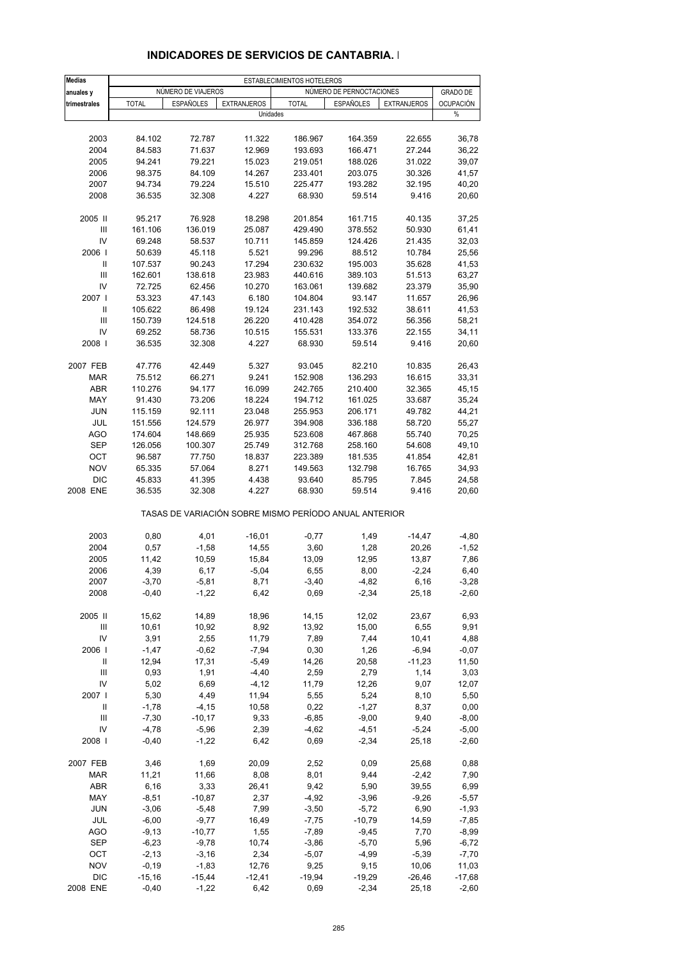| <b>Medias</b>                      |              |                    |                                                       | ESTABLECIMIENTOS HOTELEROS |                          |                    |                  |
|------------------------------------|--------------|--------------------|-------------------------------------------------------|----------------------------|--------------------------|--------------------|------------------|
| anuales y                          |              | NÚMERO DE VIAJEROS |                                                       |                            | NÚMERO DE PERNOCTACIONES |                    | <b>GRADO DE</b>  |
| trimestrales                       | <b>TOTAL</b> | <b>ESPAÑOLES</b>   | <b>EXTRANJEROS</b>                                    | <b>TOTAL</b>               | <b>ESPAÑOLES</b>         | <b>EXTRANJEROS</b> | <b>OCUPACIÓN</b> |
|                                    |              |                    | Unidades                                              |                            |                          |                    | %                |
|                                    |              |                    |                                                       |                            |                          |                    |                  |
| 2003                               | 84.102       | 72.787             | 11.322                                                | 186.967                    | 164.359                  | 22.655             | 36,78            |
| 2004                               | 84.583       | 71.637             | 12.969                                                | 193.693                    | 166.471                  | 27.244             | 36,22            |
| 2005                               | 94.241       | 79.221             | 15.023                                                | 219.051                    |                          | 31.022             | 39,07            |
|                                    |              |                    |                                                       |                            | 188.026                  |                    |                  |
| 2006                               | 98.375       | 84.109             | 14.267                                                | 233.401                    | 203.075                  | 30.326             | 41,57            |
| 2007                               | 94.734       | 79.224             | 15.510                                                | 225.477                    | 193.282                  | 32.195             | 40,20            |
| 2008                               | 36.535       | 32.308             | 4.227                                                 | 68.930                     | 59.514                   | 9.416              | 20,60            |
|                                    |              |                    |                                                       |                            |                          |                    |                  |
| 2005 II                            | 95.217       | 76.928             | 18.298                                                | 201.854                    | 161.715                  | 40.135             | 37,25            |
| $\ensuremath{\mathsf{III}}\xspace$ | 161.106      | 136.019            | 25.087                                                | 429.490                    | 378.552                  | 50.930             | 61,41            |
| IV                                 | 69.248       | 58.537             | 10.711                                                | 145.859                    | 124.426                  | 21.435             | 32,03            |
| 2006                               | 50.639       | 45.118             | 5.521                                                 | 99.296                     | 88.512                   | 10.784             | 25,56            |
| Ш                                  | 107.537      | 90.243             | 17.294                                                | 230.632                    | 195.003                  | 35.628             | 41,53            |
| $\ensuremath{\mathsf{III}}\xspace$ | 162.601      | 138.618            | 23.983                                                | 440.616                    | 389.103                  | 51.513             | 63,27            |
| IV                                 | 72.725       | 62.456             | 10.270                                                | 163.061                    | 139.682                  | 23.379             | 35,90            |
| 2007 l                             | 53.323       | 47.143             | 6.180                                                 | 104.804                    | 93.147                   | 11.657             | 26,96            |
| Ш                                  | 105.622      | 86.498             | 19.124                                                | 231.143                    | 192.532                  | 38.611             | 41,53            |
| $\ensuremath{\mathsf{III}}\xspace$ | 150.739      | 124.518            | 26.220                                                | 410.428                    | 354.072                  | 56.356             | 58,21            |
| IV                                 | 69.252       | 58.736             | 10.515                                                | 155.531                    | 133.376                  | 22.155             | 34,11            |
| 2008                               | 36.535       | 32.308             | 4.227                                                 | 68.930                     | 59.514                   | 9.416              | 20,60            |
|                                    |              |                    |                                                       |                            |                          |                    |                  |
| 2007 FEB                           | 47.776       | 42.449             | 5.327                                                 | 93.045                     | 82.210                   | 10.835             | 26,43            |
| <b>MAR</b>                         | 75.512       | 66.271             | 9.241                                                 | 152.908                    | 136.293                  | 16.615             | 33,31            |
| <b>ABR</b>                         | 110.276      | 94.177             | 16.099                                                | 242.765                    | 210.400                  | 32.365             | 45,15            |
| MAY                                | 91.430       | 73.206             | 18.224                                                | 194.712                    | 161.025                  | 33.687             | 35,24            |
| <b>JUN</b>                         | 115.159      | 92.111             | 23.048                                                | 255.953                    | 206.171                  | 49.782             | 44,21            |
| JUL                                | 151.556      | 124.579            | 26.977                                                | 394.908                    | 336.188                  | 58.720             | 55,27            |
|                                    |              |                    |                                                       |                            |                          |                    |                  |
| <b>AGO</b>                         | 174.604      | 148.669            | 25.935                                                | 523.608                    | 467.868                  | 55.740             | 70,25            |
| <b>SEP</b>                         | 126.056      | 100.307            | 25.749                                                | 312.768                    | 258.160                  | 54.608             | 49,10            |
| OCT                                | 96.587       | 77.750             | 18.837                                                | 223.389                    | 181.535                  | 41.854             | 42,81            |
| <b>NOV</b>                         | 65.335       | 57.064             | 8.271                                                 | 149.563                    | 132.798                  | 16.765             | 34,93            |
| <b>DIC</b>                         | 45.833       | 41.395             | 4.438                                                 | 93.640                     | 85.795                   | 7.845              | 24,58            |
| 2008 ENE                           | 36.535       | 32.308             | 4.227                                                 | 68.930                     | 59.514                   | 9.416              | 20,60            |
|                                    |              |                    | TASAS DE VARIACIÓN SOBRE MISMO PERÍODO ANUAL ANTERIOR |                            |                          |                    |                  |
|                                    |              |                    |                                                       |                            |                          |                    |                  |
| 2003                               | 0,80         | 4,01               | $-16,01$                                              | $-0,77$                    | 1,49                     | $-14,47$           | $-4,80$          |
| 2004                               | 0,57         | $-1,58$            | 14,55                                                 | 3,60                       | 1,28                     | 20,26              | $-1,52$          |
| 2005                               | 11,42        | 10,59              | 15,84                                                 | 13,09                      | 12,95                    | 13,87              | 7,86             |
| 2006                               | 4,39         | 6,17               | $-5,04$                                               | 6,55                       | 8,00                     | $-2,24$            | 6,40             |
| 2007                               | $-3,70$      | $-5,81$            | 8,71                                                  | $-3,40$                    | $-4,82$                  | 6,16               | $-3,28$          |
| 2008                               | $-0,40$      | $-1,22$            | 6,42                                                  | 0,69                       | $-2,34$                  | 25,18              | $-2,60$          |
| 2005 II                            | 15,62        | 14,89              | 18,96                                                 | 14,15                      | 12,02                    | 23,67              | 6,93             |
| Ш                                  | 10,61        | 10,92              | 8,92                                                  | 13,92                      | 15,00                    | 6,55               | 9,91             |
| IV                                 | 3,91         | 2,55               | 11,79                                                 | 7,89                       | 7,44                     | 10,41              | 4,88             |
| 2006                               | $-1,47$      | $-0,62$            | $-7,94$                                               | 0,30                       | 1,26                     | $-6,94$            | $-0,07$          |
| Ш                                  | 12,94        | 17,31              | $-5,49$                                               | 14,26                      | 20,58                    | $-11,23$           | 11,50            |
| $\ensuremath{\mathsf{III}}\xspace$ | 0,93         | 1,91               | $-4,40$                                               | 2,59                       | 2,79                     | 1,14               | 3,03             |
| IV                                 | 5,02         | 6,69               | $-4, 12$                                              | 11,79                      | 12,26                    | 9,07               | 12,07            |
| 2007                               | 5,30         |                    |                                                       | 5,55                       |                          |                    |                  |
|                                    |              | 4,49               | 11,94                                                 |                            | 5,24                     | 8,10               | 5,50             |
| Ш                                  | $-1,78$      | $-4, 15$           | 10,58                                                 | 0,22                       | $-1,27$                  | 8,37               | 0,00             |
| Ш                                  | $-7,30$      | $-10,17$           | 9,33                                                  | $-6,85$                    | $-9,00$                  | 9,40               | $-8,00$          |
| IV                                 | $-4,78$      | $-5,96$            | 2,39                                                  | $-4,62$                    | $-4,51$                  | $-5,24$            | $-5,00$          |
| 2008                               | $-0,40$      | $-1,22$            | 6,42                                                  | 0,69                       | $-2,34$                  | 25,18              | $-2,60$          |
| 2007 FEB                           | 3,46         | 1,69               | 20,09                                                 | 2,52                       | 0,09                     | 25,68              | 0,88             |
| <b>MAR</b>                         | 11,21        | 11,66              | 8,08                                                  | 8,01                       | 9,44                     | $-2,42$            | 7,90             |
| ABR                                | 6,16         | 3,33               | 26,41                                                 | 9,42                       | 5,90                     | 39,55              | 6,99             |
| MAY                                | $-8,51$      | $-10,87$           | 2,37                                                  | $-4,92$                    | $-3,96$                  | $-9,26$            | $-5,57$          |
| <b>JUN</b>                         | $-3,06$      | $-5,48$            | 7,99                                                  | $-3,50$                    | $-5,72$                  | 6,90               | $-1,93$          |
| JUL                                | $-6,00$      | $-9,77$            | 16,49                                                 | $-7,75$                    | $-10,79$                 | 14,59              | $-7,85$          |
| <b>AGO</b>                         | $-9,13$      | $-10,77$           | 1,55                                                  | $-7,89$                    | $-9,45$                  | 7,70               | $-8,99$          |
| SEP                                | $-6,23$      | $-9,78$            | 10,74                                                 | $-3,86$                    | $-5,70$                  | 5,96               | $-6,72$          |
| OCT                                | $-2,13$      | $-3,16$            | 2,34                                                  | $-5,07$                    | $-4,99$                  | $-5,39$            | $-7,70$          |
| <b>NOV</b>                         | $-0,19$      | $-1,83$            | 12,76                                                 | 9,25                       | 9,15                     | 10,06              | 11,03            |
| <b>DIC</b>                         | $-15,16$     | $-15,44$           | $-12,41$                                              | $-19,94$                   | $-19,29$                 | $-26,46$           | $-17,68$         |
| 2008 ENE                           | $-0,40$      | $-1,22$            | 6,42                                                  | 0,69                       | $-2,34$                  | 25,18              | $-2,60$          |
|                                    |              |                    |                                                       |                            |                          |                    |                  |

#### **INDICADORES DE SERVICIOS DE CANTABRIA. I**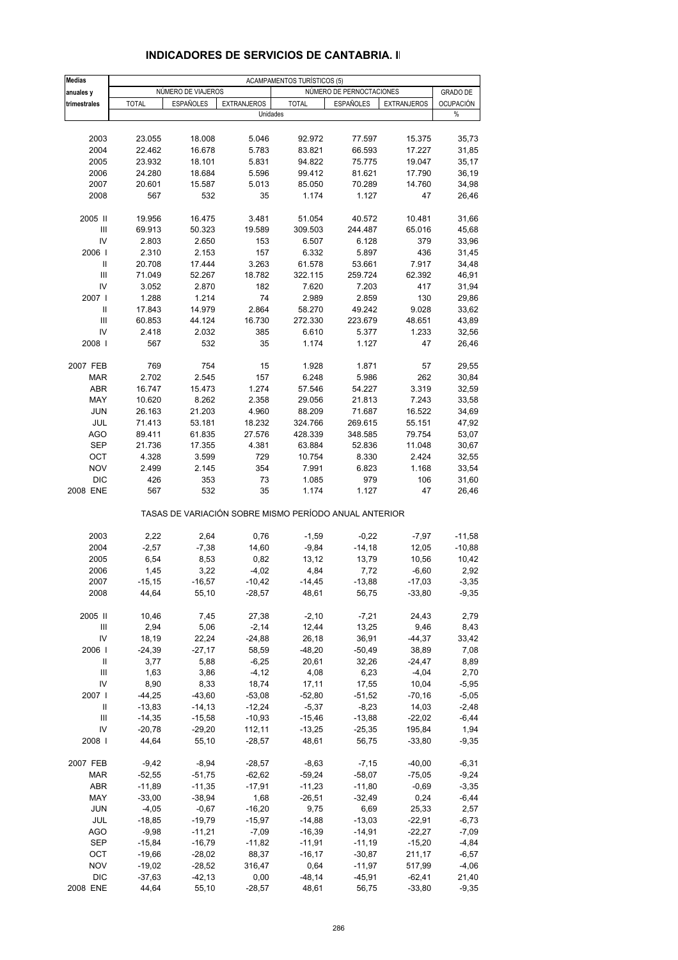| <b>Medias</b> |              |                    |                    | ACAMPAMENTOS TURÍSTICOS (5)                           |                          |                    |                  |
|---------------|--------------|--------------------|--------------------|-------------------------------------------------------|--------------------------|--------------------|------------------|
| anuales y     |              | NUMERO DE VIAJEROS |                    |                                                       | NÚMERO DE PERNOCTACIONES |                    | <b>GRADO DE</b>  |
| trimestrales  | <b>TOTAL</b> | <b>ESPAÑOLES</b>   | <b>EXTRANJEROS</b> | <b>TOTAL</b>                                          | <b>ESPAÑOLES</b>         | <b>EXTRANJEROS</b> | <b>OCUPACIÓN</b> |
|               |              |                    |                    | Unidades                                              |                          |                    | %                |
|               |              |                    |                    |                                                       |                          |                    |                  |
| 2003          | 23.055       | 18.008             | 5.046              | 92.972                                                | 77.597                   | 15.375             | 35,73            |
| 2004          | 22.462       | 16.678             | 5.783              | 83.821                                                | 66.593                   | 17.227             | 31,85            |
| 2005          | 23.932       | 18.101             | 5.831              | 94.822                                                | 75.775                   | 19.047             | 35,17            |
| 2006          | 24.280       | 18.684             | 5.596              | 99.412                                                | 81.621                   | 17.790             | 36,19            |
| 2007          | 20.601       | 15.587             | 5.013              | 85.050                                                | 70.289                   | 14.760             | 34,98            |
| 2008          | 567          | 532                | 35                 | 1.174                                                 | 1.127                    | 47                 | 26,46            |
|               |              |                    |                    |                                                       |                          |                    |                  |
| 2005 II       | 19.956       | 16.475             | 3.481              | 51.054                                                | 40.572                   | 10.481             | 31,66            |
| III           | 69.913       | 50.323             | 19.589             | 309.503                                               | 244.487                  | 65.016             | 45,68            |
| IV            | 2.803        | 2.650              | 153                | 6.507                                                 | 6.128                    | 379                | 33,96            |
| 2006          | 2.310        | 2.153              | 157                | 6.332                                                 | 5.897                    | 436                | 31,45            |
| Ш             | 20.708       | 17.444             | 3.263              | 61.578                                                | 53.661                   | 7.917              | 34,48            |
| Ш             | 71.049       | 52.267             | 18.782             | 322.115                                               | 259.724                  | 62.392             | 46,91            |
| IV            | 3.052        | 2.870              | 182                | 7.620                                                 | 7.203                    | 417                | 31,94            |
| 2007 l        | 1.288        | 1.214              | 74                 | 2.989                                                 | 2.859                    | 130                | 29,86            |
| Ш             | 17.843       | 14.979             | 2.864              | 58.270                                                | 49.242                   | 9.028              | 33,62            |
| III           |              |                    |                    |                                                       |                          |                    | 43,89            |
|               | 60.853       | 44.124             | 16.730             | 272.330                                               | 223.679                  | 48.651<br>1.233    |                  |
| IV            | 2.418        | 2.032              | 385                | 6.610                                                 | 5.377                    |                    | 32,56            |
| 2008          | 567          | 532                | 35                 | 1.174                                                 | 1.127                    | 47                 | 26,46            |
|               |              |                    |                    |                                                       |                          |                    |                  |
| 2007 FEB      | 769          | 754                | 15                 | 1.928                                                 | 1.871                    | 57                 | 29,55            |
| <b>MAR</b>    | 2.702        | 2.545              | 157                | 6.248                                                 | 5.986                    | 262                | 30,84            |
| <b>ABR</b>    | 16.747       | 15.473             | 1.274              | 57.546                                                | 54.227                   | 3.319              | 32,59            |
| MAY           | 10.620       | 8.262              | 2.358              | 29.056                                                | 21.813                   | 7.243              | 33,58            |
| <b>JUN</b>    | 26.163       | 21.203             | 4.960              | 88.209                                                | 71.687                   | 16.522             | 34,69            |
| JUL           | 71.413       | 53.181             | 18.232             | 324.766                                               | 269.615                  | 55.151             | 47,92            |
| <b>AGO</b>    | 89.411       | 61.835             | 27.576             | 428.339                                               | 348.585                  | 79.754             | 53,07            |
| <b>SEP</b>    | 21.736       | 17.355             | 4.381              | 63.884                                                | 52.836                   | 11.048             | 30,67            |
| OCT           | 4.328        | 3.599              | 729                | 10.754                                                | 8.330                    | 2.424              | 32,55            |
| <b>NOV</b>    | 2.499        | 2.145              | 354                | 7.991                                                 | 6.823                    | 1.168              | 33,54            |
| <b>DIC</b>    | 426          | 353                | 73                 | 1.085                                                 | 979                      | 106                | 31,60            |
| 2008 ENE      | 567          | 532                | 35                 | 1.174                                                 | 1.127                    | 47                 | 26,46            |
|               |              |                    |                    | TASAS DE VARIACIÓN SOBRE MISMO PERÍODO ANUAL ANTERIOR |                          |                    |                  |
|               |              |                    |                    |                                                       |                          |                    |                  |
| 2003          | 2,22         | 2,64               | 0,76               | $-1,59$                                               | $-0,22$                  | $-7,97$            | $-11,58$         |
| 2004          | $-2,57$      | $-7,38$            | 14,60              | $-9,84$                                               | $-14,18$                 | 12,05              | $-10,88$         |
| 2005          | 6,54         | 8,53               | 0,82               | 13,12                                                 | 13,79                    | 10,56              | 10,42            |
| 2006          | 1,45         | 3,22               | $-4,02$            | 4,84                                                  | 7,72                     | $-6,60$            | 2,92             |
| 2007          | $-15,15$     | $-16,57$           | $-10,42$           | $-14,45$                                              | $-13,88$                 | $-17,03$           | $-3,35$          |
| 2008          | 44,64        | 55,10              | $-28,57$           | 48,61                                                 | 56,75                    | $-33,80$           | $-9,35$          |
|               |              |                    |                    |                                                       |                          |                    |                  |
| 2005 II       | 10,46        | 7,45               | 27,38              | $-2,10$                                               | $-7,21$                  | 24,43              | 2,79             |
| Ш             | 2,94         | 5,06               | $-2,14$            | 12,44                                                 | 13,25                    | 9,46               | 8,43             |
| IV            | 18,19        | 22,24              | $-24,88$           | 26,18                                                 | 36,91                    | $-44,37$           | 33,42            |
| 2006          | $-24,39$     | $-27,17$           | 58,59              | $-48,20$                                              | $-50,49$                 | 38,89              | 7,08             |
| Ш             | 3,77         | 5,88               | $-6,25$            | 20,61                                                 | 32,26                    | -24,47             | 8,89             |
| Ш             | 1,63         | 3,86               | $-4, 12$           | 4,08                                                  | 6,23                     | $-4,04$            | 2,70             |
| IV            | 8,90         | 8,33               | 18,74              | 17,11                                                 | 17,55                    | 10,04              | $-5,95$          |
| 2007 l        | $-44,25$     | $-43,60$           | $-53,08$           | $-52,80$                                              | $-51,52$                 | $-70,16$           | $-5,05$          |
| Ш             | $-13,83$     | $-14, 13$          | $-12,24$           | $-5,37$                                               | $-8,23$                  | 14,03              | $-2,48$          |
| Ш             | $-14,35$     | $-15,58$           | $-10,93$           | $-15,46$                                              | $-13,88$                 | $-22,02$           | $-6,44$          |
| IV            | $-20,78$     | $-29,20$           | 112,11             | $-13,25$                                              | $-25,35$                 | 195,84             | 1,94             |
| 2008          | 44,64        | 55,10              | $-28,57$           | 48,61                                                 | 56,75                    | $-33,80$           | $-9,35$          |
| 2007 FEB      | $-9,42$      | $-8,94$            | $-28,57$           | $-8,63$                                               | $-7,15$                  | $-40,00$           | $-6,31$          |
| MAR           | $-52,55$     | $-51,75$           | $-62,62$           | $-59,24$                                              | $-58,07$                 | $-75,05$           | $-9,24$          |
| ABR           | $-11,89$     | $-11,35$           | $-17,91$           | $-11,23$                                              | $-11,80$                 | $-0,69$            | $-3,35$          |
| MAY           | $-33,00$     | $-38,94$           | 1,68               | $-26,51$                                              | $-32,49$                 | 0,24               | $-6,44$          |
| <b>JUN</b>    | $-4,05$      | $-0,67$            | $-16,20$           | 9,75                                                  | 6,69                     | 25,33              | 2,57             |
| JUL           | $-18,85$     | $-19,79$           | $-15,97$           | $-14,88$                                              | $-13,03$                 | $-22,91$           | $-6,73$          |
| AGO           | $-9,98$      | $-11,21$           | $-7,09$            | $-16,39$                                              | $-14,91$                 | $-22,27$           | $-7,09$          |
| SEP           | $-15,84$     | $-16,79$           | $-11,82$           | $-11,91$                                              | $-11,19$                 | $-15,20$           | $-4,84$          |
| ОСТ           | $-19,66$     | $-28,02$           | 88,37              | $-16, 17$                                             | $-30,87$                 | 211,17             | $-6,57$          |
| <b>NOV</b>    | $-19,02$     | $-28,52$           | 316,47             | 0,64                                                  | $-11,97$                 | 517,99             | $-4,06$          |
| <b>DIC</b>    | $-37,63$     | $-42, 13$          | 0,00               | $-48,14$                                              | $-45,91$                 | $-62,41$           | 21,40            |
| 2008 ENE      | 44,64        | 55,10              | $-28,57$           | 48,61                                                 | 56,75                    | $-33,80$           | $-9,35$          |
|               |              |                    |                    |                                                       |                          |                    |                  |

### **INDICADORES DE SERVICIOS DE CANTABRIA. II**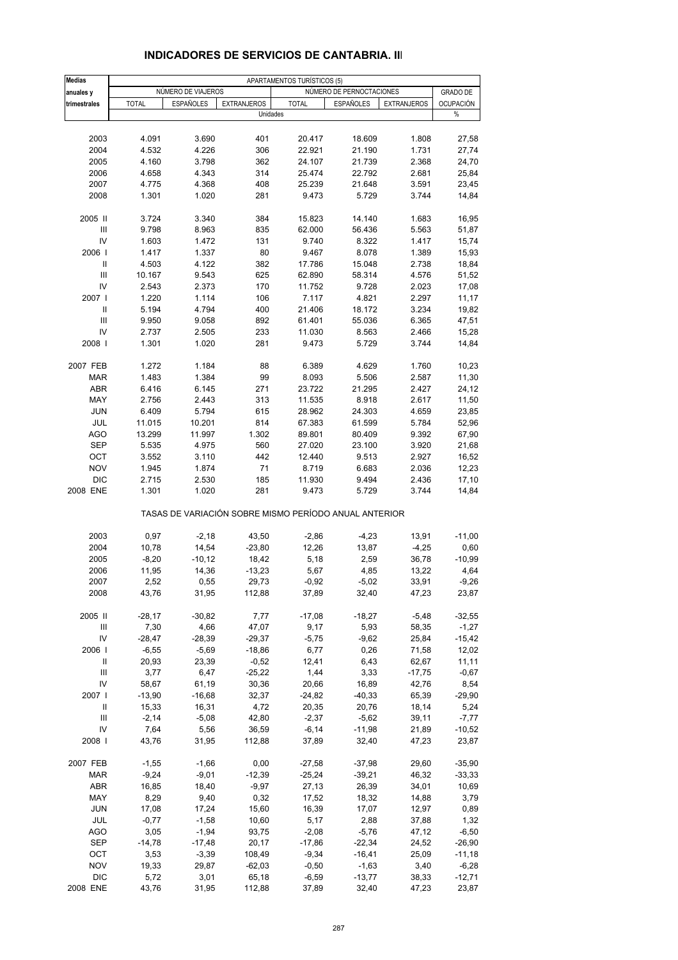| Medias                             |               |                    |                    | APARTAMENTOS TURÍSTICOS (5)                           |                          |                    |                  |
|------------------------------------|---------------|--------------------|--------------------|-------------------------------------------------------|--------------------------|--------------------|------------------|
| anuales y                          |               | NÚMERO DE VIAJEROS |                    |                                                       | NÚMERO DE PERNOCTACIONES |                    | <b>GRADO DE</b>  |
| trimestrales                       | <b>TOTAL</b>  | <b>ESPAÑOLES</b>   | <b>EXTRANJEROS</b> | <b>TOTAL</b>                                          | <b>ESPAÑOLES</b>         | <b>EXTRANJEROS</b> | <b>OCUPACIÓN</b> |
|                                    |               |                    | Unidades           |                                                       |                          |                    | %                |
|                                    |               |                    |                    |                                                       |                          |                    |                  |
| 2003                               | 4.091         | 3.690              | 401                | 20.417                                                | 18.609                   | 1.808              | 27,58            |
| 2004                               | 4.532         | 4.226              | 306                | 22.921                                                | 21.190                   | 1.731              | 27,74            |
| 2005                               | 4.160         | 3.798              | 362                | 24.107                                                | 21.739                   | 2.368              | 24,70            |
| 2006                               | 4.658         | 4.343              | 314                | 25.474                                                | 22.792                   | 2.681              | 25,84            |
|                                    |               |                    |                    |                                                       |                          |                    |                  |
| 2007                               | 4.775         | 4.368              | 408                | 25.239                                                | 21.648                   | 3.591              | 23,45            |
| 2008                               | 1.301         | 1.020              | 281                | 9.473                                                 | 5.729                    | 3.744              | 14,84            |
| 2005 II                            | 3.724         | 3.340              | 384                | 15.823                                                | 14.140                   | 1.683              | 16,95            |
| Ш                                  | 9.798         | 8.963              | 835                | 62.000                                                | 56.436                   | 5.563              | 51,87            |
| IV                                 | 1.603         | 1.472              | 131                | 9.740                                                 | 8.322                    | 1.417              | 15,74            |
| 2006                               | 1.417         | 1.337              | 80                 | 9.467                                                 | 8.078                    | 1.389              | 15,93            |
| Ш                                  | 4.503         | 4.122              | 382                | 17.786                                                | 15.048                   | 2.738              | 18,84            |
| $\ensuremath{\mathsf{III}}\xspace$ |               |                    |                    |                                                       |                          |                    |                  |
|                                    | 10.167        | 9.543              | 625                | 62.890                                                | 58.314                   | 4.576              | 51,52            |
| IV                                 | 2.543         | 2.373              | 170                | 11.752                                                | 9.728                    | 2.023              | 17,08            |
| 2007 l                             | 1.220         | 1.114              | 106                | 7.117                                                 | 4.821                    | 2.297              | 11,17            |
| Ш                                  | 5.194         | 4.794              | 400                | 21.406                                                | 18.172                   | 3.234              | 19,82            |
| III                                | 9.950         | 9.058              | 892                | 61.401                                                | 55.036                   | 6.365              | 47,51            |
| IV                                 | 2.737         | 2.505              | 233                | 11.030                                                | 8.563                    | 2.466              | 15,28            |
| 2008                               | 1.301         | 1.020              | 281                | 9.473                                                 | 5.729                    | 3.744              | 14,84            |
|                                    |               |                    |                    |                                                       |                          |                    |                  |
| 2007 FEB                           | 1.272         | 1.184              | 88                 | 6.389                                                 | 4.629                    | 1.760              | 10,23            |
| <b>MAR</b>                         | 1.483         | 1.384              | 99                 | 8.093                                                 | 5.506                    | 2.587              | 11,30            |
| <b>ABR</b>                         | 6.416         | 6.145              | 271                | 23.722                                                | 21.295                   | 2.427              | 24,12            |
| MAY                                | 2.756         | 2.443              | 313                | 11.535                                                | 8.918                    | 2.617              | 11,50            |
| <b>JUN</b>                         | 6.409         | 5.794              | 615                | 28.962                                                | 24.303                   | 4.659              | 23,85            |
| JUL                                | 11.015        | 10.201             | 814                | 67.383                                                | 61.599                   | 5.784              | 52,96            |
| <b>AGO</b>                         | 13.299        | 11.997             | 1.302              | 89.801                                                | 80.409                   | 9.392              | 67,90            |
| <b>SEP</b>                         | 5.535         | 4.975              | 560                | 27.020                                                | 23.100                   | 3.920              | 21,68            |
| OCT                                | 3.552         | 3.110              | 442                | 12.440                                                | 9.513                    | 2.927              | 16,52            |
| <b>NOV</b>                         | 1.945         | 1.874              | 71                 | 8.719                                                 | 6.683                    | 2.036              | 12,23            |
| <b>DIC</b>                         | 2.715         | 2.530              | 185                | 11.930                                                | 9.494                    | 2.436              | 17,10            |
| 2008 ENE                           | 1.301         | 1.020              | 281                | 9.473                                                 | 5.729                    | 3.744              | 14,84            |
|                                    |               |                    |                    | TASAS DE VARIACIÓN SOBRE MISMO PERÍODO ANUAL ANTERIOR |                          |                    |                  |
| 2003                               | 0,97          | $-2,18$            | 43,50              | $-2,86$                                               | $-4,23$                  | 13,91              | $-11,00$         |
| 2004                               | 10,78         | 14,54              | $-23,80$           | 12,26                                                 | 13,87                    | $-4,25$            | 0,60             |
| 2005                               | $-8,20$       |                    |                    | 5,18                                                  |                          | 36,78              | $-10,99$         |
| 2006                               |               | $-10,12$           | 18,42              |                                                       | 2,59                     |                    |                  |
| 2007                               | 11,95         | 14,36              | $-13,23$           | 5,67                                                  | 4,85                     | 13,22              | 4,64             |
| 2008                               | 2,52<br>43,76 | 0,55<br>31,95      | 29,73<br>112,88    | $-0,92$<br>37,89                                      | $-5,02$<br>32,40         | 33,91<br>47,23     | $-9,26$<br>23,87 |
|                                    |               |                    |                    |                                                       |                          |                    |                  |
| 2005 II                            | $-28,17$      | $-30,82$           | 7,77               | $-17,08$                                              | $-18,27$                 | $-5,48$            | $-32,55$         |
| Ш                                  | 7,30          | 4,66               | 47,07              | 9,17                                                  | 5,93                     | 58,35              | $-1,27$          |
| IV                                 | $-28,47$      | $-28,39$           | $-29,37$           | $-5,75$                                               | $-9,62$                  | 25,84              | $-15,42$         |
| 2006                               | $-6,55$       | $-5,69$            | $-18,86$           | 6,77                                                  | 0,26                     | 71,58              | 12,02            |
| Ш                                  | 20,93         | 23,39              | $-0,52$            | 12,41                                                 | 6,43                     | 62,67              | 11,11            |
| Ш                                  | 3,77          | 6,47               | $-25,22$           | 1,44                                                  | 3,33                     | $-17,75$           | $-0,67$          |
| IV                                 | 58,67         | 61,19              | 30,36              | 20,66                                                 | 16,89                    | 42,76              | 8,54             |
| 2007 l                             | $-13,90$      | $-16,68$           | 32,37              | $-24,82$                                              | $-40,33$                 | 65,39              | $-29,90$         |
| Ш                                  | 15,33         | 16,31              | 4,72               | 20,35                                                 | 20,76                    | 18,14              | 5,24             |
| III                                | $-2,14$       | $-5,08$            | 42,80              | $-2,37$                                               | $-5,62$                  | 39,11              | $-7,77$          |
| IV                                 | 7,64          | 5,56               | 36,59              | $-6,14$                                               | $-11,98$                 | 21,89              | $-10,52$         |
| 2008                               | 43,76         | 31,95              | 112,88             | 37,89                                                 | 32,40                    | 47,23              | 23,87            |
|                                    |               |                    |                    |                                                       |                          |                    |                  |
| 2007 FEB                           | $-1,55$       | $-1,66$            | 0,00               | $-27,58$                                              | $-37,98$                 | 29,60              | $-35,90$         |
| <b>MAR</b>                         | $-9,24$       | $-9,01$            | $-12,39$           | $-25,24$                                              | $-39,21$                 | 46,32              | $-33,33$         |
| ABR                                | 16,85         | 18,40              | -9,97              | 27,13                                                 | 26,39                    | 34,01              | 10,69            |
| MAY                                | 8,29          | 9,40               | 0,32               | 17,52                                                 | 18,32                    | 14,88              | 3,79             |
| <b>JUN</b>                         | 17,08         | 17,24              | 15,60              | 16,39                                                 | 17,07                    | 12,97              | 0,89             |
| JUL                                | $-0,77$       | $-1,58$            | 10,60              | 5,17                                                  | 2,88                     | 37,88              | 1,32             |
| <b>AGO</b>                         | 3,05          | $-1,94$            | 93,75              | $-2,08$                                               | $-5,76$                  | 47,12              | $-6,50$          |
| SEP                                | $-14,78$      | $-17,48$           | 20,17              | $-17,86$                                              | $-22,34$                 | 24,52              | $-26,90$         |
| OCT                                | 3,53          | $-3,39$            | 108,49             | $-9,34$                                               | $-16,41$                 | 25,09              | $-11,18$         |
| <b>NOV</b>                         | 19,33         | 29,87              | $-62,03$           | $-0,50$                                               | $-1,63$                  | 3,40               | $-6,28$          |
| <b>DIC</b>                         | 5,72          | 3,01               | 65,18              | $-6,59$                                               | $-13,77$                 | 38,33              | $-12,71$         |
| 2008 ENE                           | 43,76         | 31,95              | 112,88             | 37,89                                                 | 32,40                    | 47,23              | 23,87            |

#### **INDICADORES DE SERVICIOS DE CANTABRIA. III**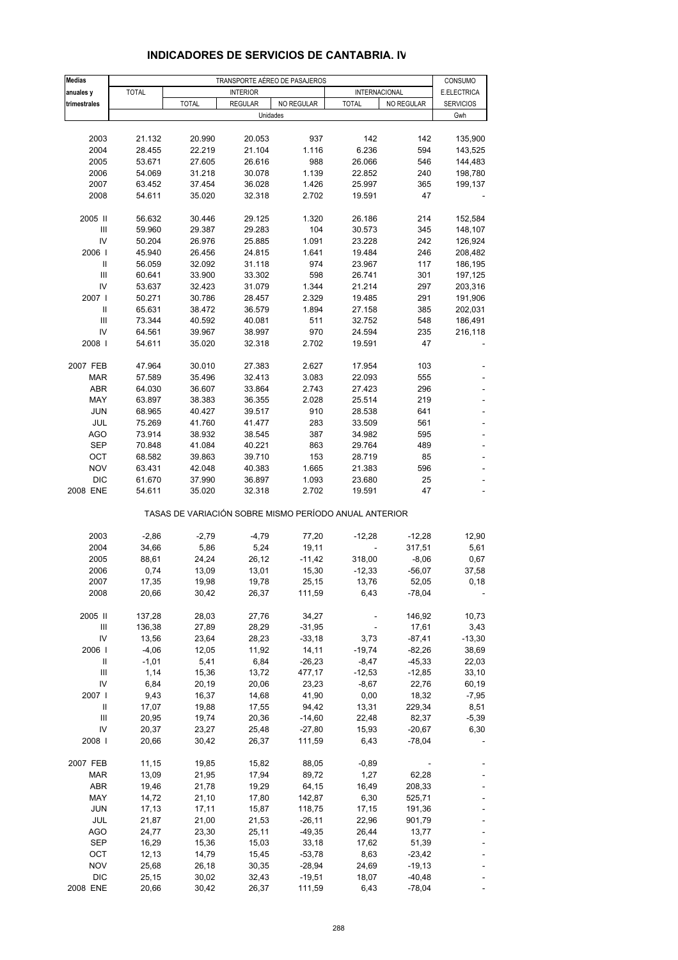| <b>Medias</b>                      |              |                                                       |                 | TRANSPORTE AÉREO DE PASAJEROS |                          |            | CONSUMO          |
|------------------------------------|--------------|-------------------------------------------------------|-----------------|-------------------------------|--------------------------|------------|------------------|
| anuales y                          | <b>TOTAL</b> |                                                       | <b>INTERIOR</b> |                               | INTERNACIONAL            |            | E.ELECTRICA      |
| trimestrales                       |              | <b>TOTAL</b>                                          | <b>REGULAR</b>  | <b>NO REGULAR</b>             | <b>TOTAL</b>             | NO REGULAR | <b>SERVICIOS</b> |
|                                    |              |                                                       | Unidades        |                               |                          |            | Gwh              |
|                                    |              |                                                       |                 |                               |                          |            |                  |
| 2003                               | 21.132       | 20.990                                                | 20.053          | 937                           | 142                      | 142        | 135,900          |
| 2004                               | 28.455       | 22.219                                                | 21.104          | 1.116                         | 6.236                    | 594        | 143,525          |
| 2005                               | 53.671       | 27.605                                                | 26.616          | 988                           | 26.066                   | 546        | 144,483          |
| 2006                               | 54.069       | 31.218                                                | 30.078          | 1.139                         | 22.852                   | 240        | 198,780          |
| 2007                               | 63.452       | 37.454                                                | 36.028          | 1.426                         | 25.997                   | 365        | 199,137          |
| 2008                               | 54.611       | 35.020                                                | 32.318          | 2.702                         | 19.591                   | 47         |                  |
|                                    |              |                                                       |                 |                               |                          |            |                  |
| 2005 II                            | 56.632       | 30.446                                                | 29.125          | 1.320                         | 26.186                   | 214        | 152,584          |
| III                                | 59.960       | 29.387                                                | 29.283          | 104                           | 30.573                   | 345        | 148,107          |
| IV                                 | 50.204       | 26.976                                                | 25.885          | 1.091                         | 23.228                   | 242        | 126,924          |
| 2006                               | 45.940       | 26.456                                                | 24.815          | 1.641                         | 19.484                   | 246        | 208,482          |
| Ш                                  | 56.059       | 32.092                                                | 31.118          | 974                           | 23.967                   | 117        | 186,195          |
| III                                | 60.641       | 33.900                                                | 33.302          | 598                           | 26.741                   | 301        | 197,125          |
| IV                                 | 53.637       | 32.423                                                | 31.079          | 1.344                         | 21.214                   | 297        | 203,316          |
| 2007 l                             | 50.271       | 30.786                                                | 28.457          | 2.329                         | 19.485                   | 291        | 191,906          |
| Ш                                  | 65.631       | 38.472                                                | 36.579          | 1.894                         | 27.158                   | 385        | 202,031          |
| III                                | 73.344       | 40.592                                                | 40.081          | 511                           | 32.752                   | 548        | 186,491          |
| IV                                 | 64.561       | 39.967                                                | 38.997          | 970                           | 24.594                   | 235        | 216,118          |
| 2008                               | 54.611       | 35.020                                                | 32.318          | 2.702                         | 19.591                   | 47         |                  |
|                                    |              |                                                       |                 |                               |                          |            |                  |
| 2007 FEB                           | 47.964       | 30.010                                                | 27.383          | 2.627                         | 17.954                   | 103        |                  |
| <b>MAR</b>                         | 57.589       | 35.496                                                | 32.413          | 3.083                         | 22.093                   | 555        |                  |
| <b>ABR</b>                         | 64.030       | 36.607                                                | 33.864          | 2.743                         | 27.423                   | 296        |                  |
| MAY                                | 63.897       | 38.383                                                | 36.355          | 2.028                         | 25.514                   | 219        |                  |
| <b>JUN</b>                         | 68.965       | 40.427                                                | 39.517          | 910                           | 28.538                   | 641        |                  |
| JUL                                | 75.269       | 41.760                                                | 41.477          | 283                           | 33.509                   | 561        |                  |
| <b>AGO</b>                         | 73.914       | 38.932                                                | 38.545          | 387                           | 34.982                   | 595        |                  |
| <b>SEP</b>                         | 70.848       | 41.084                                                | 40.221          | 863                           | 29.764                   | 489        | $\overline{a}$   |
| OCT                                | 68.582       | 39.863                                                | 39.710          | 153                           | 28.719                   | 85         |                  |
| <b>NOV</b>                         | 63.431       | 42.048                                                | 40.383          | 1.665                         | 21.383                   | 596        |                  |
| <b>DIC</b>                         | 61.670       | 37.990                                                | 36.897          | 1.093                         | 23.680                   | 25         |                  |
| 2008 ENE                           | 54.611       | 35.020                                                | 32.318          | 2.702                         | 19.591                   | 47         | L,               |
|                                    |              | TASAS DE VARIACIÓN SOBRE MISMO PERÍODO ANUAL ANTERIOR |                 |                               |                          |            |                  |
| 2003                               | $-2,86$      | $-2,79$                                               | $-4,79$         | 77,20                         | $-12,28$                 | $-12,28$   | 12,90            |
| 2004                               | 34,66        | 5,86                                                  | 5,24            | 19,11                         |                          | 317,51     | 5,61             |
| 2005                               | 88,61        | 24,24                                                 | 26,12           | $-11,42$                      | 318,00                   | $-8,06$    | 0,67             |
| 2006                               | 0,74         | 13,09                                                 | 13,01           | 15,30                         | $-12,33$                 | $-56,07$   | 37,58            |
| 2007                               | 17,35        | 19,98                                                 | 19,78           | 25,15                         | 13,76                    | 52,05      | 0,18             |
| 2008                               | 20,66        | 30,42                                                 | 26,37           | 111,59                        | 6,43                     | $-78,04$   |                  |
|                                    |              |                                                       |                 |                               |                          |            |                  |
| 2005 II                            | 137,28       | 28,03                                                 | 27,76           | 34,27                         |                          | 146,92     | 10,73            |
| Ш                                  | 136,38       | 27,89                                                 | 28,29           | $-31,95$                      | $\overline{\phantom{a}}$ | 17,61      | 3,43             |
| IV                                 | 13,56        | 23,64                                                 | 28,23           | $-33,18$                      | 3,73                     | $-87,41$   | $-13,30$         |
| 2006                               | $-4,06$      | 12,05                                                 | 11,92           | 14,11                         | $-19,74$                 | $-82,26$   | 38,69            |
| Ш                                  | $-1,01$      | 5,41                                                  | 6,84            | $-26,23$                      | $-8,47$                  | $-45,33$   | 22,03            |
| $\ensuremath{\mathsf{III}}\xspace$ | 1,14         | 15,36                                                 | 13,72           | 477,17                        | $-12,53$                 | $-12,85$   | 33,10            |
| IV                                 | 6,84         | 20,19                                                 | 20,06           | 23,23                         | $-8,67$                  | 22,76      | 60,19            |
| 2007 l                             | 9,43         | 16,37                                                 | 14,68           | 41,90                         | 0,00                     | 18,32      | $-7,95$          |
| Ш                                  | 17,07        | 19,88                                                 | 17,55           | 94,42                         | 13,31                    | 229,34     | 8,51             |
| Ш                                  | 20,95        | 19,74                                                 | 20,36           | $-14,60$                      | 22,48                    | 82,37      | $-5,39$          |
| IV                                 | 20,37        | 23,27                                                 | 25,48           | $-27,80$                      | 15,93                    | $-20,67$   | 6,30             |
| 2008                               | 20,66        | 30,42                                                 | 26,37           | 111,59                        | 6,43                     | $-78,04$   |                  |
|                                    |              |                                                       |                 |                               |                          |            |                  |
| 2007 FEB                           | 11,15        | 19,85                                                 | 15,82           | 88,05                         | $-0,89$                  |            |                  |
| <b>MAR</b>                         | 13,09        | 21,95                                                 | 17,94           | 89,72                         | 1,27                     | 62,28      |                  |
| ABR                                | 19,46        | 21,78                                                 | 19,29           | 64,15                         | 16,49                    | 208,33     |                  |
| MAY                                | 14,72        | 21,10                                                 | 17,80           | 142,87                        | 6,30                     | 525,71     |                  |
| <b>JUN</b>                         | 17,13        | 17,11                                                 | 15,87           | 118,75                        | 17,15                    | 191,36     |                  |
| JUL                                | 21,87        | 21,00                                                 | 21,53           | $-26,11$                      | 22,96                    | 901,79     |                  |
| AGO                                | 24,77        | 23,30                                                 | 25,11           | $-49,35$                      | 26,44                    | 13,77      |                  |
| <b>SEP</b>                         | 16,29        | 15,36                                                 | 15,03           | 33,18                         | 17,62                    | 51,39      |                  |
| OCT                                | 12,13        | 14,79                                                 | 15,45           | $-53,78$                      | 8,63                     | $-23,42$   |                  |
| <b>NOV</b>                         | 25,68        | 26,18                                                 | 30,35           | $-28,94$                      | 24,69                    | $-19,13$   |                  |
| <b>DIC</b>                         | 25,15        | 30,02                                                 | 32,43           | $-19,51$                      | 18,07                    | $-40,48$   |                  |
| 2008 ENE                           | 20,66        | 30,42                                                 | 26,37           | 111,59                        | 6,43                     | $-78,04$   |                  |

#### **INDICADORES DE SERVICIOS DE CANTABRIA. IV**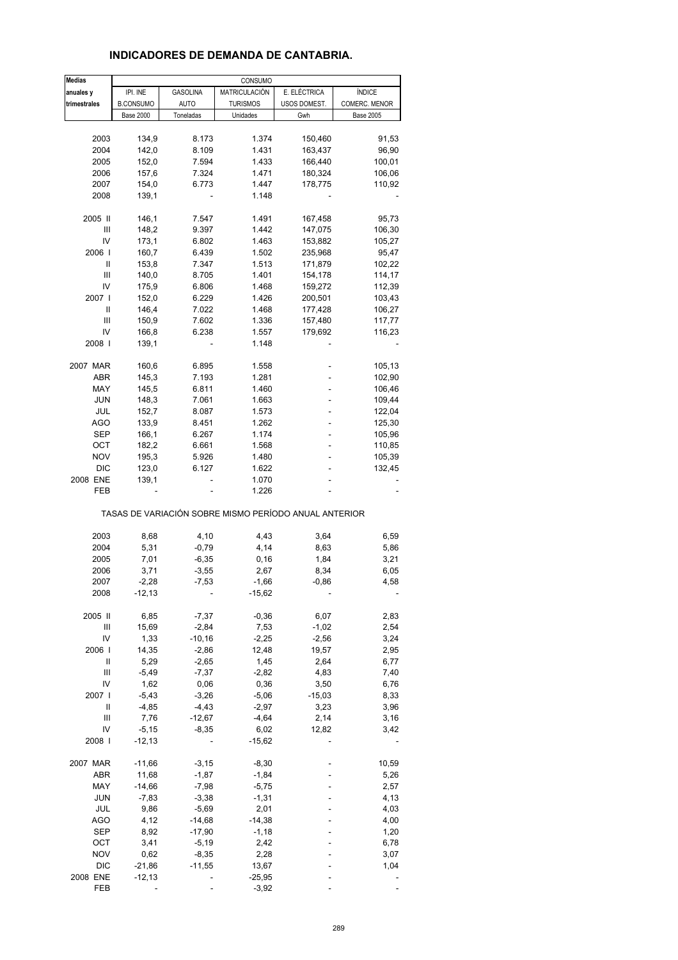### **INDICADORES DE DEMANDA DE CANTABRIA.**

| <b>Medias</b> |                  |                 | CONSUMO         |                                                       |                  |
|---------------|------------------|-----------------|-----------------|-------------------------------------------------------|------------------|
| anuales y     | IPI. INE         | <b>GASOLINA</b> | MATRICULACIÓN   | E. ELÉCTRICA                                          | <b>ÍNDICE</b>    |
| trimestrales  | <b>B.CONSUMO</b> | AUTO            | <b>TURISMOS</b> | USOS DOMEST.                                          | COMERC. MENOR    |
|               | <b>Base 2000</b> | Toneladas       | Unidades        | Gwh                                                   | <b>Base 2005</b> |
|               |                  |                 |                 |                                                       |                  |
| 2003          | 134,9            | 8.173           | 1.374           | 150,460                                               | 91,53            |
| 2004          | 142,0            | 8.109           | 1.431           | 163,437                                               | 96,90            |
| 2005          | 152,0            | 7.594           | 1.433           | 166,440                                               | 100,01           |
| 2006          | 157,6            | 7.324           | 1.471           | 180,324                                               | 106,06           |
| 2007          | 154,0            | 6.773           | 1.447           | 178,775                                               | 110,92           |
| 2008          | 139,1            |                 | 1.148           |                                                       |                  |
|               |                  |                 |                 |                                                       |                  |
| 2005 II       | 146,1            | 7.547           | 1.491           | 167,458                                               | 95,73            |
| Ш             | 148,2            | 9.397           | 1.442           | 147,075                                               | 106,30           |
| IV            | 173,1            | 6.802           | 1.463           | 153,882                                               | 105,27           |
| 2006          | 160,7            | 6.439           | 1.502           | 235,968                                               | 95,47            |
| Ш             | 153,8            | 7.347           | 1.513           | 171,879                                               | 102,22           |
| Ш             | 140,0            | 8.705           | 1.401           | 154,178                                               | 114,17           |
| IV            | 175,9            | 6.806           | 1.468           | 159,272                                               | 112,39           |
| 2007 l        | 152,0            | 6.229           | 1.426           | 200,501                                               | 103,43           |
| Ш             | 146,4            | 7.022           | 1.468           | 177,428                                               | 106,27           |
| Ш             | 150,9            | 7.602           | 1.336           | 157,480                                               | 117,77           |
| IV            | 166,8            | 6.238           | 1.557           | 179,692                                               | 116,23           |
| 2008          | 139,1            |                 | 1.148           |                                                       |                  |
|               |                  |                 |                 |                                                       |                  |
| 2007 MAR      | 160,6            | 6.895           | 1.558           |                                                       | 105,13           |
| ABR           | 145,3            | 7.193           | 1.281           |                                                       | 102,90           |
| MAY           | 145,5            | 6.811           | 1.460           |                                                       | 106,46           |
| <b>JUN</b>    | 148,3            | 7.061           | 1.663           |                                                       | 109,44           |
| JUL           | 152,7            | 8.087           | 1.573           | ä,                                                    | 122,04           |
| <b>AGO</b>    | 133,9            | 8.451           | 1.262           |                                                       | 125,30           |
| SEP           | 166,1            | 6.267           | 1.174           |                                                       | 105,96           |
| OCT           | 182,2            | 6.661           | 1.568           |                                                       | 110,85           |
| <b>NOV</b>    | 195,3            | 5.926           | 1.480           |                                                       | 105,39           |
| <b>DIC</b>    | 123,0            | 6.127           | 1.622           |                                                       | 132,45           |
| 2008 ENE      | 139,1            |                 | 1.070           |                                                       |                  |
| FEB           |                  |                 | 1.226           |                                                       |                  |
|               |                  |                 |                 | TASAS DE VARIACIÓN SOBRE MISMO PERÍODO ANUAL ANTERIOR |                  |
| 2003          |                  |                 | 4,43            |                                                       |                  |
|               | 8,68             | 4,10            |                 | 3,64                                                  | 6,59             |
| 2004<br>2005  | 5,31             | $-0,79$         | 4,14            | 8,63                                                  | 5,86             |
|               | 7,01             | $-6,35$         | 0, 16<br>2,67   | 1,84                                                  | 3,21             |
| 2006          | 3,71             | $-3,55$         |                 | 8,34                                                  | 6,05             |
| 2007          | $-2,28$          | $-7,53$         | $-1,66$         | $-0,86$                                               | 4,58             |
| 2008          | $-12,13$         |                 | $-15,62$        |                                                       |                  |
| 2005 II       | 6,85             | $-7,37$         | $-0,36$         | 6,07                                                  | 2,83             |
| Ш             | 15,69            | $-2,84$         | 7,53            | $-1,02$                                               | 2,54             |
| IV            | 1,33             | $-10,16$        | $-2,25$         | $-2,56$                                               | 3,24             |
| 2006          | 14,35            | $-2,86$         | 12,48           | 19,57                                                 | 2,95             |
| $\mathop{  }$ | 5,29             | $-2,65$         | 1,45            | 2,64                                                  | 6,77             |
| Ш             | $-5,49$          | $-7,37$         | $-2,82$         | 4,83                                                  | 7,40             |
| IV            | 1,62             | 0,06            | 0,36            | 3,50                                                  | 6,76             |
| 2007 l        | $-5,43$          | $-3,26$         | $-5,06$         | $-15,03$                                              | 8,33             |
| Ш             | $-4,85$          | $-4,43$         | $-2,97$         | 3,23                                                  | 3,96             |
| Ш             | 7,76             | $-12,67$        | $-4,64$         | 2,14                                                  | 3,16             |
| IV            | $-5,15$          | $-8,35$         | 6,02            | 12,82                                                 | 3,42             |
| 2008          | $-12, 13$        |                 | $-15,62$        |                                                       |                  |
|               |                  |                 |                 |                                                       |                  |
| 2007 MAR      | $-11,66$         | $-3,15$         | $-8,30$         |                                                       | 10,59            |
| ABR           | 11,68            | $-1,87$         | $-1,84$         |                                                       | 5,26             |
| MAY           | $-14,66$         | $-7,98$         | $-5,75$         |                                                       | 2,57             |
| <b>JUN</b>    | $-7,83$          | $-3,38$         | $-1,31$         |                                                       | 4,13             |
| JUL           | 9,86             | $-5,69$         | 2,01            |                                                       | 4,03             |
| <b>AGO</b>    | 4,12             | $-14,68$        | $-14,38$        |                                                       | 4,00             |
| SEP           | 8,92             | $-17,90$        | $-1,18$         |                                                       | 1,20             |
| OCT           | 3,41             | $-5,19$         | 2,42            |                                                       | 6,78             |
| <b>NOV</b>    | 0,62             | $-8,35$         | 2,28            |                                                       | 3,07             |
| DIC           | $-21,86$         | $-11,55$        | 13,67           |                                                       | 1,04             |
| 2008 ENE      | $-12,13$         |                 | $-25,95$        |                                                       |                  |
| FEB           |                  |                 | $-3,92$         |                                                       |                  |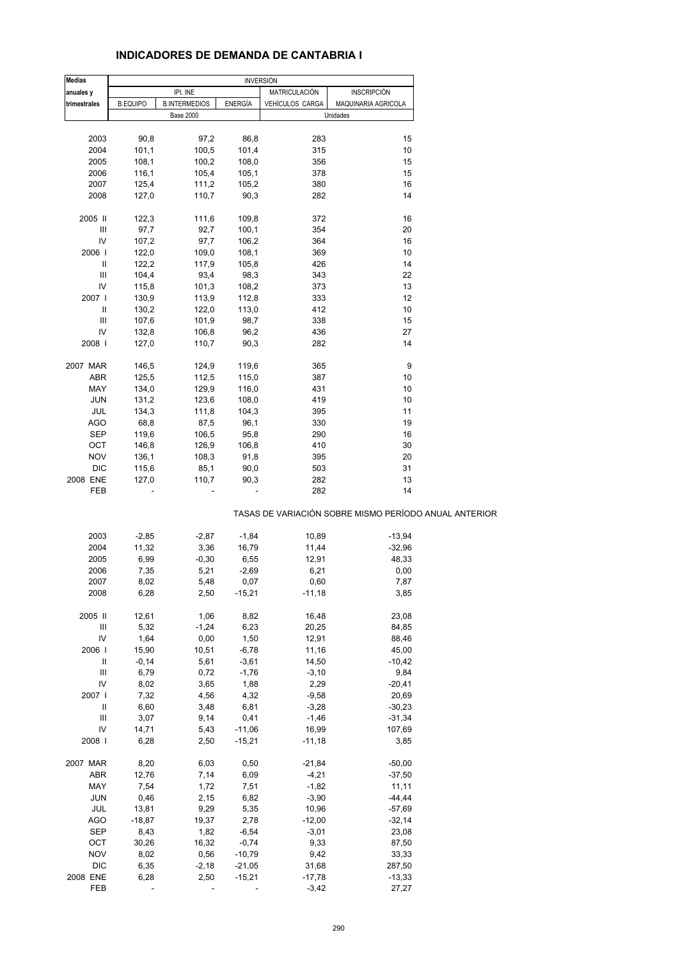### **INDICADORES DE DEMANDA DE CANTABRIA I**

| <b>Medias</b> |                 |                          | <b>INVERSIÓN</b> |                        |                                                       |
|---------------|-----------------|--------------------------|------------------|------------------------|-------------------------------------------------------|
| anuales y     |                 | IPI. INE                 |                  | MATRICULACIÓN          | <b>INSCRIPCIÓN</b>                                    |
| trimestrales  | <b>B.EQUIPO</b> | <b>B.INTERMEDIOS</b>     | <b>ENERGÍA</b>   | <b>VEHÍCULOS CARGA</b> | MAQUINARIA AGRICOLA                                   |
|               |                 | <b>Base 2000</b>         |                  |                        | Unidades                                              |
|               |                 |                          |                  |                        |                                                       |
| 2003          | 90,8            | 97,2                     | 86,8             | 283                    | 15                                                    |
| 2004          | 101,1           | 100,5                    | 101,4            | 315                    | 10                                                    |
| 2005          | 108,1           | 100,2                    | 108,0            | 356                    | 15                                                    |
| 2006          | 116,1           | 105,4                    | 105,1            | 378                    | 15                                                    |
| 2007          | 125,4           | 111,2                    | 105,2            | 380                    | 16                                                    |
| 2008          | 127,0           | 110,7                    | 90,3             | 282                    | 14                                                    |
|               |                 |                          |                  |                        |                                                       |
| 2005 II       | 122,3           | 111,6                    | 109,8            | 372                    | 16                                                    |
| Ш             | 97,7            | 92,7                     | 100,1            | 354                    | 20                                                    |
| IV            | 107,2           | 97,7                     | 106,2            | 364                    | 16                                                    |
| 2006          | 122,0           | 109,0                    | 108,1            | 369                    | 10                                                    |
| Ш             | 122,2           | 117,9                    | 105,8            | 426                    | 14                                                    |
| Ш             | 104,4           | 93,4                     | 98,3             | 343                    | 22                                                    |
| IV            | 115,8           | 101,3                    | 108,2            | 373                    | 13                                                    |
| 2007 l        | 130,9           | 113,9                    | 112,8            | 333                    | 12                                                    |
| Ш             | 130,2           | 122,0                    | 113,0            | 412                    | 10                                                    |
| Ш             | 107,6           | 101,9                    | 98,7             | 338                    | 15                                                    |
| IV            | 132,8           | 106,8                    | 96,2             | 436                    | 27                                                    |
| 2008          | 127,0           | 110,7                    | 90,3             | 282                    | 14                                                    |
|               |                 |                          |                  |                        |                                                       |
| 2007 MAR      | 146,5           | 124,9                    | 119,6            | 365                    | 9                                                     |
| ABR           | 125,5           | 112,5                    | 115,0            | 387                    | 10                                                    |
| MAY           | 134,0           | 129,9                    | 116,0            | 431                    | 10                                                    |
| <b>JUN</b>    | 131,2           | 123,6                    | 108,0            | 419                    | 10                                                    |
| JUL           | 134,3           | 111,8                    | 104,3            | 395                    | 11                                                    |
| <b>AGO</b>    | 68,8            | 87,5                     | 96,1             | 330                    | 19                                                    |
| <b>SEP</b>    | 119,6           | 106,5                    | 95,8             | 290                    | 16                                                    |
| OCT           | 146,8           | 126,9                    | 106,8            | 410                    | 30                                                    |
| <b>NOV</b>    | 136,1           | 108,3                    | 91,8             | 395                    | 20                                                    |
| <b>DIC</b>    | 115,6           | 85,1                     | 90,0             | 503                    | 31                                                    |
| 2008 ENE      | 127,0           | 110,7                    | 90,3             | 282                    | 13                                                    |
| FEB           |                 |                          |                  | 282                    | 14                                                    |
|               |                 |                          |                  |                        | TASAS DE VARIACIÓN SOBRE MISMO PERÍODO ANUAL ANTERIOR |
| 2003          | $-2,85$         | $-2,87$                  | $-1,84$          | 10,89                  | $-13,94$                                              |
| 2004          | 11,32           | 3,36                     | 16,79            | 11,44                  | $-32,96$                                              |
| 2005          | 6,99            | $-0,30$                  | 6,55             | 12,91                  | 48,33                                                 |
| 2006          | 7,35            | 5,21                     | $-2,69$          | 6,21                   | 0,00                                                  |
| 2007          | 8,02            | 5,48                     | 0,07             | 0,60                   | 7,87                                                  |
| 2008          | 6,28            | 2,50                     | $-15,21$         | $-11,18$               | 3,85                                                  |
|               |                 |                          |                  |                        |                                                       |
| 2005 II       | 12,61           | 1,06                     | 8,82             | 16,48                  | 23,08                                                 |
| Ш             | 5,32            | $-1,24$                  | 6,23             | 20,25                  | 84,85                                                 |
| IV            | 1,64            | 0,00                     | 1,50             | 12,91                  | 88,46                                                 |
| 2006          | 15,90           | 10,51                    | $-6,78$          | 11,16                  | 45,00                                                 |
| Ш             | $-0,14$         | 5,61                     | $-3,61$          | 14,50                  | $-10,42$                                              |
| Ш             | 6,79            | 0,72                     | $-1,76$          | $-3,10$                | 9,84                                                  |
| IV            | 8,02            | 3,65                     | 1,88             | 2,29                   | $-20,41$                                              |
| 2007          | 7,32            | 4,56                     | 4,32             | $-9,58$                | 20,69                                                 |
| Ш             | 6,60            | 3,48                     | 6,81             | $-3,28$                | $-30,23$                                              |
| Ш             | 3,07            | 9,14                     | 0,41             | $-1,46$                | $-31,34$                                              |
| IV            | 14,71           | 5,43                     | $-11,06$         | 16,99                  | 107,69                                                |
| 2008          | 6,28            | 2,50                     | $-15,21$         | $-11,18$               | 3,85                                                  |
|               |                 |                          |                  |                        |                                                       |
| 2007 MAR      | 8,20            | 6,03                     | 0,50             | $-21,84$               | $-50,00$                                              |
| ABR           | 12,76           | 7,14                     | 6,09             | $-4,21$                | $-37,50$                                              |
| MAY           | 7,54            | 1,72                     | 7,51             | $-1,82$                | 11,11                                                 |
| <b>JUN</b>    | 0,46            | 2,15                     | 6,82             | $-3,90$                | $-44, 44$                                             |
| JUL           |                 |                          |                  |                        |                                                       |
|               | 13,81           | 9,29                     | 5,35             | 10,96                  | $-57,69$                                              |
| <b>AGO</b>    | $-18,87$        | 19,37                    | 2,78             | $-12,00$               | $-32,14$                                              |
| <b>SEP</b>    | 8,43            | 1,82                     | $-6,54$          | $-3,01$                | 23,08                                                 |
| OCT           | 30,26           | 16,32                    | $-0,74$          | 9,33                   | 87,50                                                 |
| <b>NOV</b>    | 8,02            | 0,56                     | $-10,79$         | 9,42                   | 33,33                                                 |
| <b>DIC</b>    | 6,35            | $-2,18$                  | $-21,05$         | 31,68                  | 287,50                                                |
| 2008 ENE      | 6,28            | 2,50                     | $-15,21$         | $-17,78$               | $-13,33$                                              |
| FEB           |                 | $\overline{\phantom{a}}$ | ÷,               | $-3,42$                | 27,27                                                 |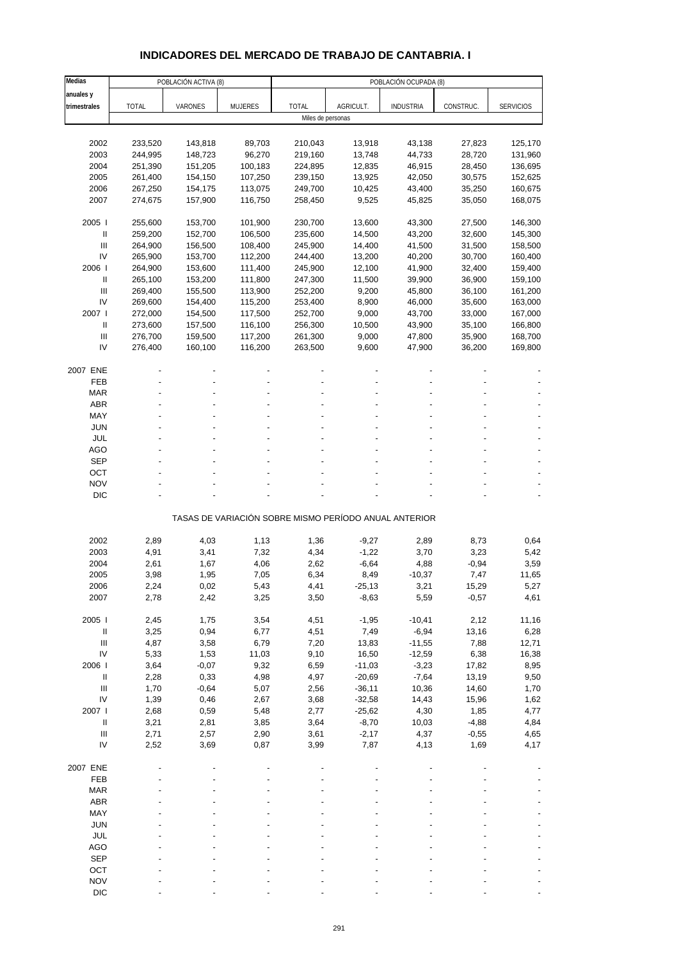# **INDICADORES DEL MERCADO DE TRABAJO DE CANTABRIA. I**

| Medias                                   |              | POBLACIÓN ACTIVA (8) |                |                   |           | POBLACIÓN OCUPADA (8)                                 |           |                  |
|------------------------------------------|--------------|----------------------|----------------|-------------------|-----------|-------------------------------------------------------|-----------|------------------|
| anuales y                                |              |                      |                |                   |           |                                                       |           |                  |
| trimestrales                             | <b>TOTAL</b> | VARONES              | <b>MUJERES</b> | <b>TOTAL</b>      | AGRICULT. | <b>INDUSTRIA</b>                                      | CONSTRUC. | <b>SERVICIOS</b> |
|                                          |              |                      |                | Miles de personas |           |                                                       |           |                  |
|                                          |              |                      |                |                   |           |                                                       |           |                  |
| 2002                                     | 233,520      | 143,818              | 89,703         | 210,043           | 13,918    | 43,138                                                | 27,823    | 125,170          |
| 2003                                     | 244,995      | 148,723              | 96,270         | 219,160           | 13,748    | 44,733                                                | 28,720    | 131,960          |
| 2004                                     | 251,390      | 151,205              | 100,183        | 224,895           | 12,835    | 46,915                                                | 28,450    | 136,695          |
| 2005                                     | 261,400      | 154,150              | 107,250        | 239,150           | 13,925    | 42,050                                                | 30,575    | 152,625          |
| 2006                                     | 267,250      | 154,175              | 113,075        | 249,700           | 10,425    | 43,400                                                | 35,250    | 160,675          |
| 2007                                     | 274,675      | 157,900              | 116,750        | 258,450           | 9,525     | 45,825                                                | 35,050    | 168,075          |
|                                          |              |                      |                |                   |           |                                                       |           |                  |
| 2005                                     | 255,600      | 153,700              | 101,900        | 230,700           | 13,600    | 43,300                                                | 27,500    | 146,300          |
| $\mathbf{II}$                            | 259,200      | 152,700              | 106,500        | 235,600           | 14,500    | 43,200                                                | 32,600    | 145,300          |
| III<br>IV                                | 264,900      | 156,500              | 108,400        | 245,900           | 14,400    | 41,500                                                | 31,500    | 158,500          |
| 2006                                     | 265,900      | 153,700              | 112,200        | 244,400           | 13,200    | 40,200                                                | 30,700    | 160,400          |
|                                          | 264,900      | 153,600              | 111,400        | 245,900           | 12,100    | 41,900                                                | 32,400    | 159,400          |
| Ш                                        | 265,100      | 153,200              | 111,800        | 247,300           | 11,500    | 39,900                                                | 36,900    | 159,100          |
| Ш                                        | 269,400      | 155,500              | 113,900        | 252,200           | 9,200     | 45,800                                                | 36,100    | 161,200          |
| IV                                       | 269,600      | 154,400              | 115,200        | 253,400           | 8,900     | 46,000                                                | 35,600    | 163,000          |
| 2007 l                                   | 272,000      | 154,500              | 117,500        | 252,700           | 9,000     | 43,700                                                | 33,000    | 167,000          |
| $\mathbf{I}$                             | 273,600      | 157,500              | 116,100        | 256,300           | 10,500    | 43,900                                                | 35,100    | 166,800          |
| $\ensuremath{\mathsf{III}}\xspace$       | 276,700      | 159,500              | 117,200        | 261,300           | 9,000     | 47,800                                                | 35,900    | 168,700          |
| IV                                       | 276,400      | 160,100              | 116,200        | 263,500           | 9,600     | 47,900                                                | 36,200    | 169,800          |
| 2007 ENE                                 |              |                      |                |                   |           |                                                       |           |                  |
| FEB                                      |              |                      |                |                   |           |                                                       |           |                  |
| <b>MAR</b>                               |              |                      |                |                   |           |                                                       |           |                  |
| <b>ABR</b>                               |              |                      |                |                   |           |                                                       |           |                  |
| MAY                                      |              |                      |                |                   |           |                                                       |           |                  |
| <b>JUN</b>                               |              |                      |                |                   |           |                                                       |           |                  |
| <b>JUL</b>                               |              |                      |                |                   |           |                                                       |           |                  |
| AGO                                      |              |                      |                |                   |           |                                                       |           |                  |
| <b>SEP</b>                               |              |                      |                |                   |           |                                                       |           |                  |
| OCT                                      |              |                      |                |                   |           |                                                       |           |                  |
| <b>NOV</b>                               |              |                      |                |                   |           |                                                       |           |                  |
| <b>DIC</b>                               |              |                      |                |                   |           |                                                       |           |                  |
|                                          |              |                      |                |                   |           |                                                       |           |                  |
|                                          |              |                      |                |                   |           | TASAS DE VARIACIÓN SOBRE MISMO PERÍODO ANUAL ANTERIOR |           |                  |
|                                          |              |                      |                |                   |           |                                                       |           |                  |
| 2002                                     | 2,89         | 4,03                 | 1,13           | 1,36              | $-9,27$   | 2,89                                                  | 8,73      | 0,64             |
| 2003                                     | 4,91         | 3,41                 | 7,32           | 4,34              | $-1,22$   | 3,70                                                  | 3,23      | 5,42             |
| 2004                                     | 2,61         | 1,67                 | 4,06           | 2,62              | $-6,64$   | 4,88                                                  | $-0,94$   | 3,59             |
| 2005                                     | 3,98         | 1,95                 | 7,05           | 6,34              | 8,49      | $-10,37$                                              | 7,47      | 11,65            |
| 2006                                     | 2,24         | 0,02                 | 5,43           | 4,41              | -25,13    | 3,21                                                  | 15,29     | 5,27             |
| 2007                                     | 2,78         | 2,42                 | 3,25           | 3,50              | $-8,63$   | 5,59                                                  | $-0,57$   | 4,61             |
|                                          |              |                      |                |                   |           |                                                       |           |                  |
| 2005 l                                   | 2,45         | 1,75                 | 3,54           | 4,51              | $-1,95$   | $-10,41$                                              | 2,12      | 11,16            |
| $\, \parallel$                           | 3,25         | 0,94                 | 6,77           | 4,51              | 7,49      | $-6,94$                                               | 13,16     | 6,28             |
| $\ensuremath{\mathsf{III}}\xspace$       | 4,87         | 3,58                 | 6,79           | 7,20              | 13,83     | $-11,55$                                              | 7,88      | 12,71            |
| IV                                       | 5,33         | 1,53                 | 11,03          | 9,10              | 16,50     | $-12,59$                                              | 6,38      | 16,38            |
| 2006                                     | 3,64         | $-0,07$              | 9,32           | 6,59              | $-11,03$  | $-3,23$                                               | 17,82     | 8,95             |
| $\ensuremath{\mathsf{II}}$               | 2,28         | 0,33                 | 4,98           | 4,97              | $-20,69$  | $-7,64$                                               | 13,19     | 9,50             |
| $\ensuremath{\mathsf{III}}\xspace$       | 1,70         | $-0,64$              | 5,07           | 2,56              | $-36,11$  | 10,36                                                 | 14,60     | 1,70             |
| IV                                       | 1,39         | 0,46                 | 2,67           | 3,68              | $-32,58$  | 14,43                                                 | 15,96     | 1,62             |
| 2007 l                                   | 2,68         | 0,59                 | 5,48           | 2,77              | $-25,62$  | 4,30                                                  | 1,85      | 4,77             |
| $\, \parallel$                           | 3,21         | 2,81                 | 3,85           | 3,64              | $-8,70$   | 10,03                                                 | $-4,88$   | 4,84             |
| $\ensuremath{\mathsf{III}}\xspace$<br>IV | 2,71         | 2,57                 | 2,90           | 3,61              | $-2,17$   | 4,37                                                  | $-0,55$   | 4,65             |
|                                          | 2,52         | 3,69                 | 0,87           | 3,99              | 7,87      | 4,13                                                  | 1,69      | 4,17             |
| 2007 ENE                                 |              |                      |                |                   |           |                                                       |           |                  |
| FEB                                      |              |                      |                |                   |           |                                                       |           |                  |
| <b>MAR</b>                               |              |                      |                |                   |           |                                                       |           |                  |
| ABR                                      |              |                      |                |                   |           |                                                       |           |                  |
| MAY                                      |              |                      |                |                   |           |                                                       |           |                  |
| <b>JUN</b>                               |              |                      |                |                   |           |                                                       |           |                  |
| JUL                                      |              |                      |                |                   |           |                                                       |           |                  |
| <b>AGO</b>                               |              |                      |                |                   |           |                                                       |           |                  |
| <b>SEP</b>                               |              |                      |                |                   |           |                                                       |           |                  |
| OCT                                      |              |                      |                |                   |           |                                                       |           |                  |
| <b>NOV</b>                               |              |                      |                |                   |           |                                                       |           |                  |
| <b>DIC</b>                               |              |                      |                |                   |           |                                                       |           |                  |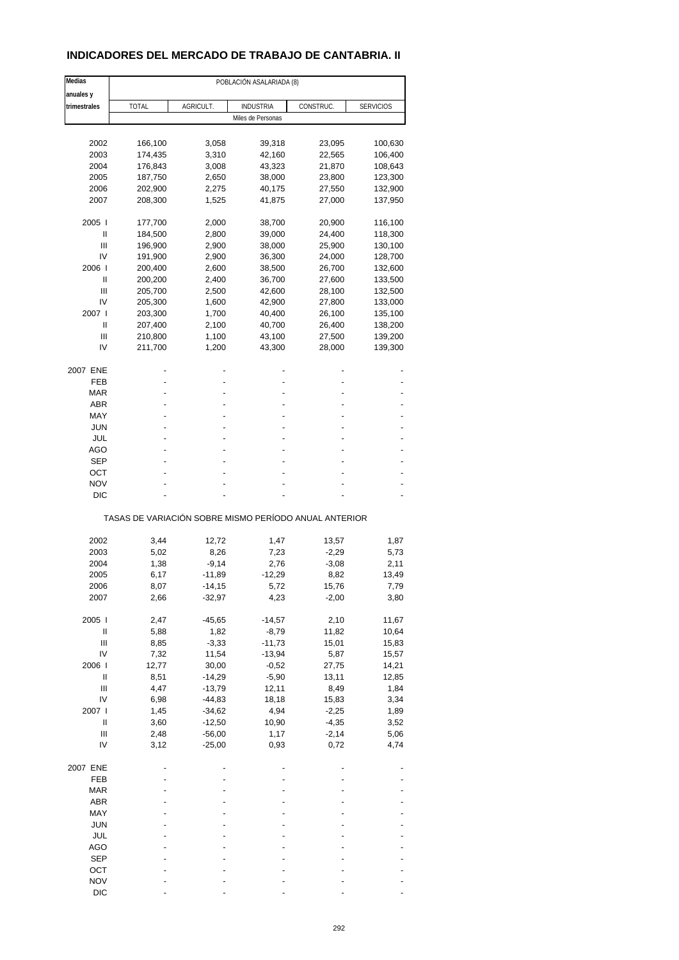# **INDICADORES DEL MERCADO DE TRABAJO DE CANTABRIA. II**

| Medias                             |                                                       |                      | POBLACIÓN ASALARIADA (8) |                 |                  |
|------------------------------------|-------------------------------------------------------|----------------------|--------------------------|-----------------|------------------|
| anuales y                          |                                                       |                      |                          |                 |                  |
| trimestrales                       | <b>TOTAL</b>                                          | AGRICULT.            | INDUSTRIA                | CONSTRUC.       | <b>SERVICIOS</b> |
|                                    |                                                       |                      | Miles de Personas        |                 |                  |
|                                    |                                                       |                      |                          |                 |                  |
| 2002                               | 166,100                                               | 3,058                | 39,318                   | 23,095          | 100,630          |
| 2003                               | 174,435                                               | 3,310                | 42,160                   | 22,565          | 106,400          |
| 2004                               | 176,843                                               | 3,008                | 43,323                   | 21,870          | 108,643          |
| 2005                               | 187,750                                               | 2,650                | 38,000                   | 23,800          | 123,300          |
| 2006                               | 202,900                                               | 2,275                | 40,175                   | 27,550          | 132,900          |
| 2007                               | 208,300                                               | 1,525                | 41,875                   | 27,000          | 137,950          |
| 2005                               | 177,700                                               | 2,000                | 38,700                   | 20,900          | 116,100          |
| Ш                                  | 184,500                                               | 2,800                | 39,000                   | 24,400          | 118,300          |
| Ш                                  | 196,900                                               | 2,900                | 38,000                   | 25,900          | 130,100          |
| IV                                 | 191,900                                               | 2,900                | 36,300                   | 24,000          | 128,700          |
| 2006                               | 200,400                                               | 2,600                | 38,500                   | 26,700          | 132,600          |
| Ш                                  | 200,200                                               | 2,400                | 36,700                   | 27,600          | 133,500          |
| Ш                                  | 205,700                                               | 2,500                | 42,600                   | 28,100          | 132,500          |
| IV                                 | 205,300                                               | 1,600                | 42,900                   | 27,800          | 133,000          |
| 2007 l                             | 203,300                                               | 1,700                | 40,400                   | 26,100          | 135,100          |
| Ш                                  | 207,400                                               | 2,100                | 40,700                   | 26,400          | 138,200          |
| Ш                                  | 210,800                                               | 1,100                | 43,100                   | 27,500          | 139,200          |
| IV                                 | 211,700                                               | 1,200                | 43,300                   | 28,000          | 139,300          |
| 2007 ENE                           |                                                       |                      |                          |                 |                  |
| FEB                                |                                                       |                      |                          |                 |                  |
| <b>MAR</b>                         |                                                       |                      |                          |                 |                  |
| <b>ABR</b>                         |                                                       |                      |                          |                 |                  |
| MAY                                |                                                       |                      |                          |                 |                  |
| JUN                                |                                                       |                      |                          |                 |                  |
| JUL                                |                                                       |                      |                          |                 |                  |
| AGO                                |                                                       |                      |                          |                 |                  |
| <b>SEP</b>                         |                                                       |                      |                          |                 |                  |
| ОСТ                                |                                                       |                      |                          |                 |                  |
| <b>NOV</b>                         |                                                       |                      |                          |                 |                  |
| DIC                                |                                                       |                      |                          |                 |                  |
|                                    | TASAS DE VARIACIÓN SOBRE MISMO PERÍODO ANUAL ANTERIOR |                      |                          |                 |                  |
| 2002                               | 3,44                                                  | 12,72                | 1,47                     | 13,57           | 1,87             |
| 2003                               | 5,02                                                  | 8,26                 | 7,23                     | $-2,29$         | 5,73             |
| 2004                               | 1,38                                                  | $-9,14$              | 2,76                     | $-3,08$         | 2,11             |
| 2005                               | 6,17                                                  | $-11,89$             | $-12,29$                 | 8,82            | 13,49            |
| 2006                               | 8,07                                                  | -14,15               | 5,72                     | 15,76           | 7,79             |
| 2007                               | 2,66                                                  | $-32,97$             | 4,23                     | $-2,00$         | 3,80             |
|                                    |                                                       |                      |                          |                 |                  |
| 2005 l                             | 2,47                                                  | $-45,65$             | $-14,57$                 | 2,10            | 11,67            |
| Ш                                  | 5,88                                                  | 1,82                 | $-8,79$                  | 11,82           | 10,64            |
| $\ensuremath{\mathsf{III}}\xspace$ | 8,85                                                  | $-3,33$              | $-11,73$                 | 15,01           | 15,83            |
| IV                                 | 7,32                                                  | 11,54                | $-13,94$                 | 5,87            | 15,57            |
| 2006                               | 12,77                                                 | 30,00                | $-0,52$                  | 27,75           | 14,21            |
| Ш                                  | 8,51                                                  | $-14,29$             | $-5,90$                  | 13,11           | 12,85            |
| Ш                                  | 4,47                                                  | $-13,79$             | 12,11                    | 8,49            | 1,84             |
| IV                                 | 6,98                                                  | $-44,83$             | 18,18                    | 15,83           | 3,34             |
| 2007 l                             | 1,45                                                  | $-34,62$             | 4,94                     | $-2,25$         | 1,89             |
| $\ensuremath{\mathsf{II}}$         | 3,60                                                  | $-12,50$             | 10,90                    | $-4,35$         | 3,52             |
| Ш<br>IV                            | 2,48<br>3,12                                          | $-56,00$<br>$-25,00$ | 1,17<br>0,93             | $-2,14$<br>0,72 | 5,06<br>4,74     |
|                                    |                                                       |                      |                          |                 |                  |
| 2007 ENE                           |                                                       |                      |                          |                 |                  |
| FEB                                |                                                       |                      |                          |                 |                  |
| <b>MAR</b>                         |                                                       |                      |                          |                 |                  |
| ABR                                |                                                       |                      |                          |                 |                  |
| MAY                                |                                                       |                      |                          |                 |                  |
| <b>JUN</b>                         |                                                       |                      |                          |                 |                  |
| JUL                                |                                                       |                      |                          |                 |                  |
| <b>AGO</b>                         |                                                       |                      |                          |                 |                  |
| <b>SEP</b>                         |                                                       |                      |                          |                 |                  |
| OCT                                |                                                       |                      |                          |                 |                  |
| <b>NOV</b>                         |                                                       |                      |                          |                 |                  |
| <b>DIC</b>                         |                                                       |                      |                          |                 |                  |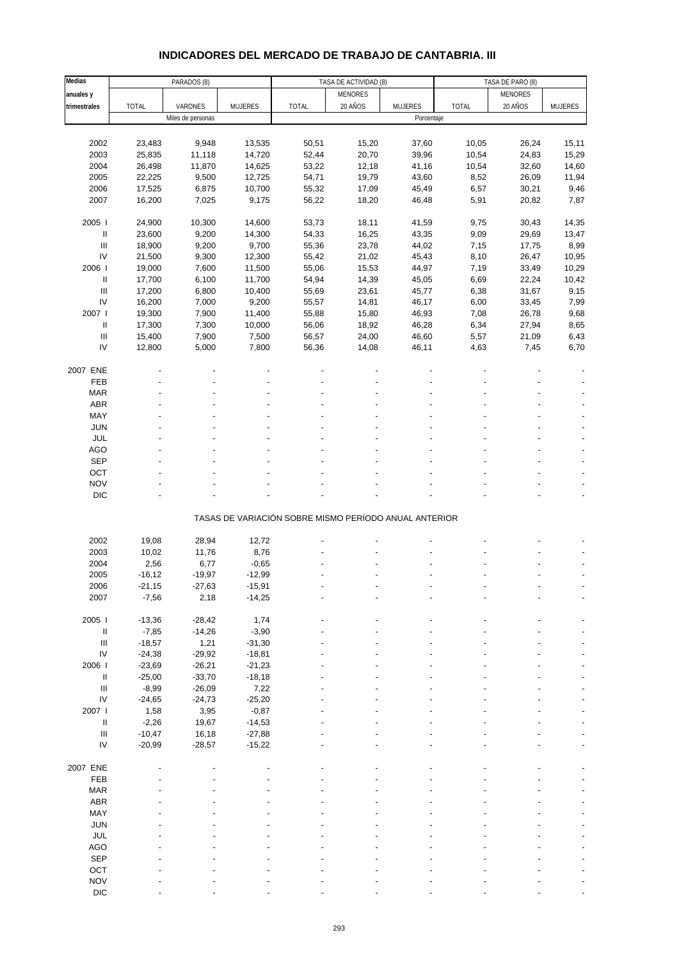| INDICADORES DEL MERCADO DE TRABAJO DE CANTABRIA. III |
|------------------------------------------------------|
|------------------------------------------------------|

| Medias                             |              | PARADOS (8)       |                |                                                       | TASA DE ACTIVIDAD (8) |                | TASA DE PARO (8) |                |                |
|------------------------------------|--------------|-------------------|----------------|-------------------------------------------------------|-----------------------|----------------|------------------|----------------|----------------|
| anuales y                          |              |                   |                |                                                       | <b>MENORES</b>        |                |                  | <b>MENORES</b> |                |
| trimestrales                       | <b>TOTAL</b> | VARONES           | <b>MUJERES</b> | <b>TOTAL</b>                                          | 20 AÑOS               | <b>MUJERES</b> | <b>TOTAL</b>     | 20 AÑOS        | <b>MUJERES</b> |
|                                    |              |                   |                |                                                       |                       |                |                  |                |                |
|                                    |              | Miles de personas |                |                                                       |                       | Porcentaje     |                  |                |                |
|                                    |              |                   |                |                                                       |                       |                |                  |                |                |
| 2002                               | 23,483       | 9,948             | 13,535         | 50,51                                                 | 15,20                 | 37,60          | 10,05            | 26,24          | 15,11          |
| 2003                               | 25,835       | 11,118            | 14,720         | 52,44                                                 | 20,70                 | 39,96          | 10,54            | 24,83          | 15,29          |
| 2004                               | 26,498       | 11,870            | 14,625         | 53,22                                                 | 12,18                 | 41,16          | 10,54            | 32,60          | 14,60          |
| 2005                               | 22,225       | 9,500             | 12,725         | 54,71                                                 | 19,79                 | 43,60          | 8,52             | 26,09          | 11,94          |
| 2006                               | 17,525       | 6,875             | 10,700         | 55,32                                                 | 17,09                 | 45,49          | 6,57             | 30,21          | 9,46           |
| 2007                               | 16,200       | 7,025             | 9,175          | 56,22                                                 | 18,20                 | 46,48          | 5,91             | 20,82          | 7,87           |
|                                    |              |                   |                |                                                       |                       |                |                  |                |                |
| 2005                               | 24,900       | 10,300            | 14,600         | 53,73                                                 | 18,11                 | 41,59          | 9,75             | 30,43          | 14,35          |
| Ш                                  | 23,600       | 9,200             | 14,300         | 54,33                                                 | 16,25                 | 43,35          | 9,09             | 29,69          | 13,47          |
| III                                | 18,900       | 9,200             | 9,700          | 55,36                                                 | 23,78                 | 44,02          | 7,15             | 17,75          | 8,99           |
|                                    |              |                   |                |                                                       |                       |                |                  |                |                |
| IV                                 | 21,500       | 9,300             | 12,300         | 55,42                                                 | 21,02                 | 45,43          | 8,10             | 26,47          | 10,95          |
| 2006                               | 19,000       | 7,600             | 11,500         | 55,06                                                 | 15,53                 | 44,97          | 7,19             | 33,49          | 10,29          |
| Ш                                  | 17,700       | 6,100             | 11,700         | 54,94                                                 | 14,39                 | 45,05          | 6,69             | 22,24          | 10,42          |
| $\mathsf{III}$                     | 17,200       | 6,800             | 10,400         | 55,69                                                 | 23,61                 | 45,77          | 6,38             | 31,67          | 9,15           |
| IV                                 | 16,200       | 7,000             | 9,200          | 55,57                                                 | 14,81                 | 46,17          | 6,00             | 33,45          | 7,99           |
| 2007 l                             | 19,300       | 7,900             | 11,400         | 55,88                                                 | 15,80                 | 46,93          | 7,08             | 26,78          | 9,68           |
| Ш                                  | 17,300       | 7,300             | 10,000         | 56,06                                                 | 18,92                 | 46,28          | 6,34             | 27,94          | 8,65           |
| $\ensuremath{\mathsf{III}}\xspace$ | 15,400       | 7,900             | 7,500          | 56,57                                                 | 24,00                 | 46,60          | 5,57             | 21,09          | 6,43           |
| IV                                 | 12,800       | 5,000             | 7,800          | 56,36                                                 | 14,08                 | 46,11          | 4,63             | 7,45           | 6,70           |
|                                    |              |                   |                |                                                       |                       |                |                  |                |                |
| 2007 ENE                           |              |                   |                |                                                       |                       |                |                  |                |                |
|                                    |              |                   |                |                                                       |                       |                |                  |                |                |
| FEB                                |              |                   |                |                                                       |                       |                |                  |                |                |
| <b>MAR</b>                         |              |                   |                |                                                       |                       |                |                  |                |                |
| ABR                                |              |                   |                |                                                       |                       |                |                  |                |                |
| MAY                                |              |                   |                |                                                       |                       |                |                  |                |                |
| <b>JUN</b>                         |              |                   |                |                                                       |                       |                |                  |                |                |
| <b>JUL</b>                         |              |                   |                |                                                       |                       |                |                  |                |                |
| <b>AGO</b>                         |              |                   |                |                                                       |                       |                |                  |                |                |
| SEP                                |              |                   |                |                                                       |                       |                |                  |                |                |
| OCT                                |              |                   |                |                                                       |                       |                |                  |                |                |
| <b>NOV</b>                         |              |                   |                |                                                       |                       |                |                  |                |                |
| <b>DIC</b>                         |              |                   |                |                                                       |                       |                |                  |                |                |
|                                    |              |                   |                |                                                       |                       |                |                  |                |                |
|                                    |              |                   |                | TASAS DE VARIACIÓN SOBRE MISMO PERÍODO ANUAL ANTERIOR |                       |                |                  |                |                |
|                                    |              |                   |                |                                                       |                       |                |                  |                |                |
| 2002                               | 19,08        | 28,94             | 12,72          |                                                       |                       |                |                  |                |                |
| 2003                               | 10,02        | 11,76             | 8,76           |                                                       |                       |                |                  |                |                |
|                                    |              |                   |                |                                                       |                       |                |                  |                |                |
| 2004                               | 2,56         | 6,77              | $-0,65$        |                                                       |                       |                |                  |                |                |
| 2005                               | $-16, 12$    | $-19,97$          | $-12,99$       |                                                       |                       |                |                  |                | $\overline{a}$ |
| 2006                               | $-21,15$     | $-27,63$          | $-15,91$       |                                                       |                       |                |                  |                |                |
| 2007                               | $-7,56$      | 2,18              | $-14,25$       |                                                       |                       |                |                  |                |                |
|                                    |              |                   |                |                                                       |                       |                |                  |                |                |
| 2005 l                             | $-13,36$     | $-28,42$          | 1,74           |                                                       |                       |                |                  |                |                |
| Ш                                  | $-7,85$      | $-14,26$          | $-3,90$        |                                                       |                       |                |                  |                |                |
| $\ensuremath{\mathsf{III}}\xspace$ | $-18,57$     | 1,21              | $-31,30$       |                                                       |                       |                |                  |                |                |
| $\mathsf{IV}$                      | $-24,38$     | $-29,92$          | $-18,81$       |                                                       |                       |                |                  |                |                |
| 2006                               | $-23,69$     | $-26,21$          | $-21,23$       |                                                       |                       |                |                  |                |                |
| $\rm H$                            | $-25,00$     | $-33,70$          | $-18,18$       |                                                       |                       |                |                  |                |                |
| $\mathop{\mathrm{III}}\nolimits$   |              | $-26,09$          |                |                                                       |                       |                |                  |                |                |
| IV                                 | $-8,99$      |                   | 7,22           |                                                       |                       |                |                  |                |                |
|                                    | $-24,65$     | $-24,73$          | $-25,20$       |                                                       |                       |                |                  |                |                |
| 2007 l                             | 1,58         | 3,95              | $-0,87$        |                                                       |                       |                |                  |                |                |
| $\ensuremath{\mathsf{II}}$         | $-2,26$      | 19,67             | $-14,53$       |                                                       |                       |                |                  |                |                |
| $\ensuremath{\mathsf{III}}\xspace$ | $-10,47$     | 16,18             | $-27,88$       |                                                       |                       |                |                  |                |                |
| IV                                 | $-20,99$     | $-28,57$          | $-15,22$       |                                                       |                       |                |                  |                |                |
|                                    |              |                   |                |                                                       |                       |                |                  |                |                |
| 2007 ENE                           |              |                   |                |                                                       |                       |                |                  |                |                |
| FEB                                |              |                   |                |                                                       |                       |                |                  |                |                |
| <b>MAR</b>                         |              |                   |                |                                                       |                       |                |                  |                |                |
| ABR                                |              |                   |                |                                                       |                       |                |                  |                |                |
| MAY                                |              |                   |                |                                                       |                       |                |                  |                |                |
|                                    |              |                   |                |                                                       |                       |                |                  |                |                |
| <b>JUN</b>                         |              |                   |                |                                                       |                       |                |                  |                |                |
| JUL                                |              |                   |                |                                                       |                       |                |                  |                |                |
| <b>AGO</b>                         |              |                   |                |                                                       |                       |                |                  |                |                |
| SEP                                |              |                   |                |                                                       |                       |                |                  |                |                |
| OCT                                |              |                   |                |                                                       |                       |                |                  |                |                |
| <b>NOV</b>                         |              |                   |                |                                                       |                       |                |                  |                |                |
| <b>DIC</b>                         |              |                   |                |                                                       |                       |                |                  |                |                |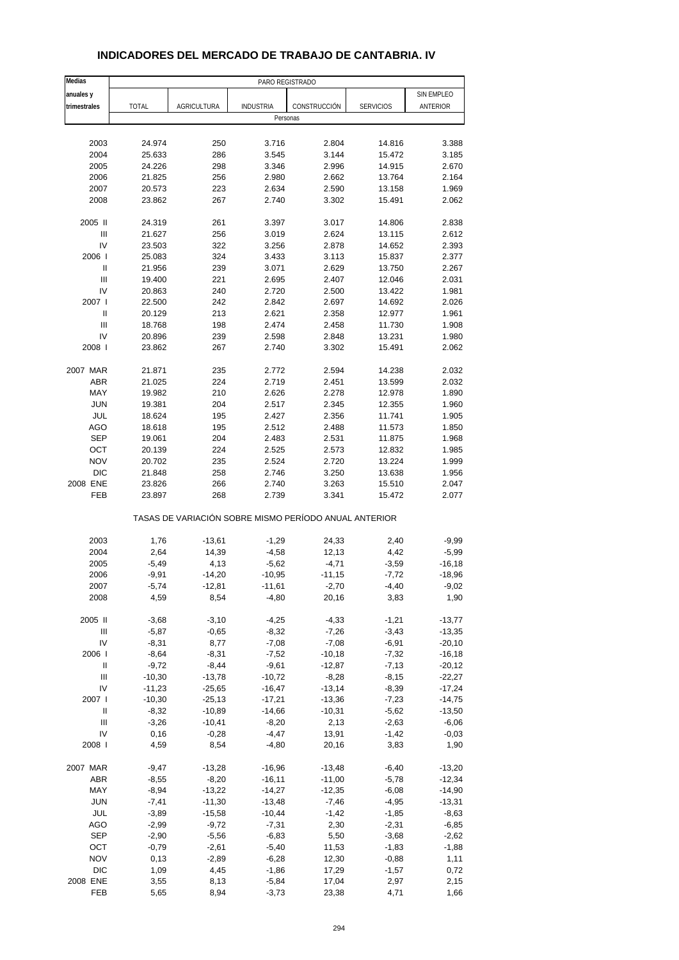| Medias                             |                  |                                                       | PARO REGISTRADO  |                |                  |                |
|------------------------------------|------------------|-------------------------------------------------------|------------------|----------------|------------------|----------------|
| anuales y                          |                  |                                                       |                  |                |                  | SIN EMPLEO     |
| trimestrales                       | <b>TOTAL</b>     | AGRICULTURA                                           | <b>INDUSTRIA</b> | CONSTRUCCIÓN   | <b>SERVICIOS</b> | ANTERIOR       |
|                                    |                  |                                                       | Personas         |                |                  |                |
|                                    |                  |                                                       |                  |                |                  |                |
| 2003                               | 24.974           | 250                                                   | 3.716            | 2.804          | 14.816           | 3.388          |
| 2004                               | 25.633           | 286                                                   | 3.545            | 3.144          | 15.472           | 3.185          |
| 2005                               | 24.226           | 298                                                   | 3.346            | 2.996          | 14.915           | 2.670          |
| 2006                               | 21.825           | 256                                                   | 2.980            | 2.662          | 13.764           | 2.164          |
| 2007                               | 20.573           | 223                                                   | 2.634            | 2.590          | 13.158           | 1.969          |
| 2008                               | 23.862           | 267                                                   | 2.740            | 3.302          | 15.491           | 2.062          |
|                                    |                  |                                                       |                  |                |                  |                |
| 2005 II                            | 24.319           | 261                                                   | 3.397            | 3.017          | 14.806           | 2.838          |
| Ш<br>IV                            | 21.627<br>23.503 | 256<br>322                                            | 3.019<br>3.256   | 2.624<br>2.878 | 13.115<br>14.652 | 2.612<br>2.393 |
| 2006                               | 25.083           | 324                                                   | 3.433            | 3.113          | 15.837           | 2.377          |
| Ш                                  | 21.956           | 239                                                   | 3.071            | 2.629          | 13.750           | 2.267          |
| III                                | 19.400           | 221                                                   | 2.695            | 2.407          | 12.046           | 2.031          |
| IV                                 | 20.863           | 240                                                   | 2.720            | 2.500          | 13.422           | 1.981          |
| 2007 l                             | 22.500           | 242                                                   | 2.842            | 2.697          | 14.692           | 2.026          |
| Ш                                  | 20.129           | 213                                                   | 2.621            | 2.358          | 12.977           | 1.961          |
| $\ensuremath{\mathsf{III}}\xspace$ | 18.768           | 198                                                   | 2.474            | 2.458          | 11.730           | 1.908          |
| IV                                 | 20.896           | 239                                                   | 2.598            | 2.848          | 13.231           | 1.980          |
| 2008                               | 23.862           | 267                                                   | 2.740            | 3.302          | 15.491           | 2.062          |
|                                    |                  |                                                       |                  |                |                  |                |
| 2007 MAR                           | 21.871           | 235                                                   | 2.772            | 2.594          | 14.238           | 2.032          |
| <b>ABR</b>                         | 21.025           | 224                                                   | 2.719            | 2.451          | 13.599           | 2.032          |
| MAY                                | 19.982           | 210                                                   | 2.626            | 2.278          | 12.978           | 1.890          |
| <b>JUN</b>                         | 19.381           | 204                                                   | 2.517            | 2.345          | 12.355           | 1.960          |
| JUL                                | 18.624           | 195                                                   | 2.427            | 2.356          | 11.741           | 1.905          |
| AGO                                | 18.618           | 195                                                   | 2.512            | 2.488          | 11.573           | 1.850          |
| <b>SEP</b>                         | 19.061           | 204                                                   | 2.483            | 2.531          | 11.875           | 1.968          |
| OCT                                | 20.139           | 224                                                   | 2.525            | 2.573          | 12.832           | 1.985          |
| <b>NOV</b>                         | 20.702           | 235                                                   | 2.524            | 2.720          | 13.224           | 1.999          |
| <b>DIC</b>                         | 21.848           | 258                                                   | 2.746            | 3.250          | 13.638           | 1.956          |
| 2008 ENE                           | 23.826           | 266                                                   | 2.740            | 3.263          | 15.510           | 2.047          |
| FEB                                | 23.897           | 268                                                   | 2.739            | 3.341          | 15.472           | 2.077          |
|                                    |                  | TASAS DE VARIACIÓN SOBRE MISMO PERÍODO ANUAL ANTERIOR |                  |                |                  |                |
|                                    |                  |                                                       |                  |                |                  |                |
| 2003                               | 1,76             | $-13,61$                                              | $-1,29$          | 24,33          | 2,40             | $-9,99$        |
| 2004                               | 2,64             | 14,39                                                 | $-4,58$          | 12,13          | 4,42             | $-5,99$        |
| 2005                               | $-5,49$          | 4,13                                                  | $-5,62$          | $-4,71$        | $-3,59$          | $-16, 18$      |
| 2006                               | $-9,91$          | $-14,20$                                              | $-10,95$         | $-11,15$       | $-7,72$          | $-18,96$       |
| 2007                               | -5,74            | -12,81                                                | -11,61           | $-2,70$        | $-4,40$          | $-9,02$        |
| 2008                               | 4,59             | 8,54                                                  | $-4,80$          | 20,16          | 3,83             | 1,90           |
|                                    |                  |                                                       |                  |                |                  |                |
| 2005 II                            | $-3,68$          | $-3,10$                                               | $-4,25$          | $-4,33$        | $-1,21$          | $-13,77$       |
| $\ensuremath{\mathsf{III}}\xspace$ | $-5,87$          | $-0,65$                                               | $-8,32$          | $-7,26$        | $-3,43$          | $-13,35$       |
| IV                                 | $-8,31$          | 8,77                                                  | $-7,08$          | $-7,08$        | $-6,91$          | $-20,10$       |
| 2006                               | $-8,64$          | $-8,31$                                               | $-7,52$          | $-10,18$       | $-7,32$          | $-16, 18$      |
| Ш                                  | $-9,72$          | $-8,44$                                               | $-9,61$          | $-12,87$       | $-7,13$          | $-20,12$       |
| Ш<br>IV                            | $-10,30$         | $-13,78$                                              | $-10,72$         | $-8,28$        | $-8,15$          | $-22,27$       |
|                                    | $-11,23$         | $-25,65$                                              | $-16,47$         | $-13,14$       | $-8,39$          | $-17,24$       |
| 2007 l                             | $-10,30$         | $-25,13$                                              | $-17,21$         | $-13,36$       | $-7,23$          | $-14,75$       |
| Ш                                  | $-8,32$          | $-10,89$                                              | $-14,66$         | $-10,31$       | $-5,62$          | $-13,50$       |
| $\ensuremath{\mathsf{III}}\xspace$ | $-3,26$          | $-10,41$                                              | $-8,20$          | 2,13           | $-2,63$          | $-6,06$        |
| IV                                 | 0,16             | $-0,28$                                               | $-4,47$          | 13,91          | $-1,42$          | $-0,03$        |
| 2008                               | 4,59             | 8,54                                                  | $-4,80$          | 20,16          | 3,83             | 1,90           |
| 2007 MAR                           | $-9,47$          | $-13,28$                                              | $-16,96$         | $-13,48$       | $-6,40$          | $-13,20$       |
| <b>ABR</b>                         | $-8,55$          | $-8,20$                                               | $-16,11$         | $-11,00$       | $-5,78$          | $-12,34$       |
| MAY                                | $-8,94$          | $-13,22$                                              | $-14,27$         | $-12,35$       | $-6,08$          | $-14,90$       |
| <b>JUN</b>                         | $-7,41$          | $-11,30$                                              | $-13,48$         | $-7,46$        | $-4,95$          | $-13,31$       |
| JUL                                | $-3,89$          | $-15,58$                                              | $-10,44$         | $-1,42$        | $-1,85$          | $-8,63$        |
| AGO                                | $-2,99$          | $-9,72$                                               | $-7,31$          | 2,30           | $-2,31$          | $-6,85$        |
| <b>SEP</b>                         | $-2,90$          | $-5,56$                                               | $-6,83$          | 5,50           | $-3,68$          | $-2,62$        |
| OCT                                | $-0,79$          | $-2,61$                                               | $-5,40$          | 11,53          | $-1,83$          | $-1,88$        |
| <b>NOV</b>                         | 0,13             | $-2,89$                                               | $-6,28$          | 12,30          | $-0,88$          | 1,11           |
| <b>DIC</b>                         | 1,09             | 4,45                                                  | $-1,86$          | 17,29          | $-1,57$          | 0,72           |
| 2008 ENE                           | 3,55             | 8,13                                                  | $-5,84$          | 17,04          | 2,97             | 2,15           |
| FEB                                | 5,65             | 8,94                                                  | $-3,73$          | 23,38          | 4,71             | 1,66           |

## **INDICADORES DEL MERCADO DE TRABAJO DE CANTABRIA. IV**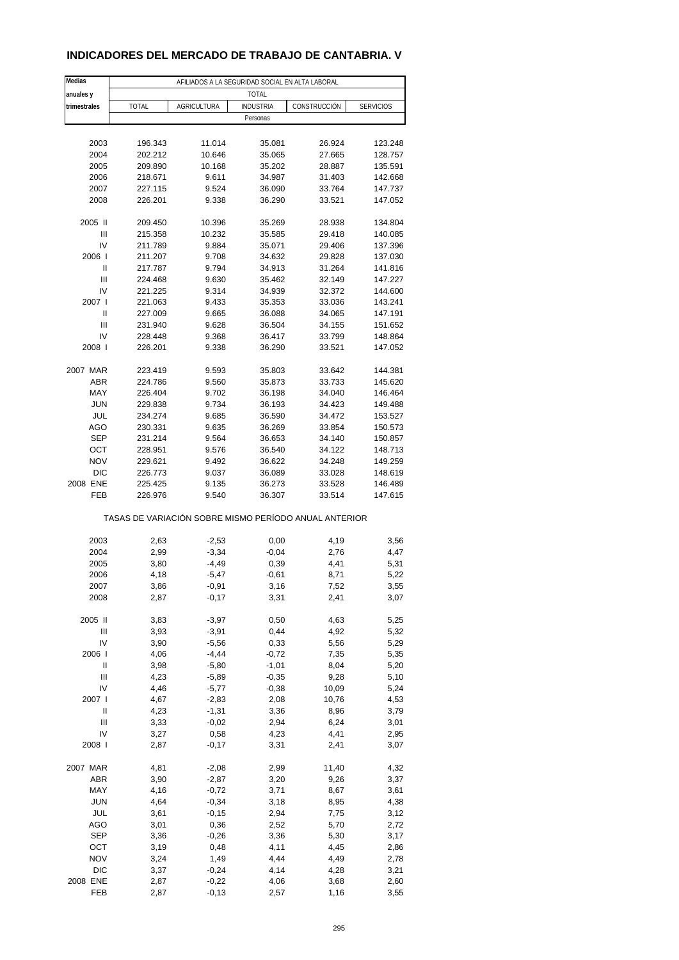### **INDICADORES DEL MERCADO DE TRABAJO DE CANTABRIA. V**

| Medias              | AFILIADOS A LA SEGURIDAD SOCIAL EN ALTA LABORAL       |                    |                  |              |                  |  |  |
|---------------------|-------------------------------------------------------|--------------------|------------------|--------------|------------------|--|--|
| anuales y           |                                                       |                    | <b>TOTAL</b>     |              |                  |  |  |
| trimestrales        | <b>TOTAL</b>                                          | <b>AGRICULTURA</b> | <b>INDUSTRIA</b> | CONSTRUCCIÓN | <b>SERVICIOS</b> |  |  |
|                     |                                                       |                    | Personas         |              |                  |  |  |
|                     |                                                       |                    |                  |              |                  |  |  |
| 2003                | 196.343                                               | 11.014             | 35.081           | 26.924       | 123.248          |  |  |
| 2004                | 202.212                                               | 10.646             | 35.065           | 27.665       | 128.757          |  |  |
| 2005                | 209.890                                               | 10.168             | 35.202           | 28.887       | 135.591          |  |  |
| 2006                | 218.671                                               | 9.611              | 34.987           | 31.403       | 142.668          |  |  |
| 2007                | 227.115                                               | 9.524              | 36.090           | 33.764       | 147.737          |  |  |
| 2008                | 226.201                                               | 9.338              | 36.290           | 33.521       | 147.052          |  |  |
|                     |                                                       |                    |                  |              |                  |  |  |
| 2005 II             | 209.450                                               | 10.396             | 35.269           | 28.938       | 134.804          |  |  |
| Ш                   | 215.358                                               | 10.232             | 35.585           | 29.418       | 140.085          |  |  |
| IV                  | 211.789                                               | 9.884              | 35.071           | 29.406       | 137.396          |  |  |
| 2006                | 211.207                                               | 9.708              | 34.632           | 29.828       | 137.030          |  |  |
| Ш                   | 217.787                                               | 9.794              | 34.913           | 31.264       | 141.816          |  |  |
| Ш                   | 224.468                                               | 9.630              | 35.462           | 32.149       | 147.227          |  |  |
| IV                  | 221.225                                               | 9.314              | 34.939           | 32.372       | 144.600          |  |  |
| 2007 l              | 221.063                                               | 9.433              | 35.353           | 33.036       | 143.241          |  |  |
| Ш                   |                                                       |                    |                  |              |                  |  |  |
| Ш                   | 227.009                                               | 9.665              | 36.088           | 34.065       | 147.191          |  |  |
|                     | 231.940                                               | 9.628              | 36.504           | 34.155       | 151.652          |  |  |
| IV                  | 228.448                                               | 9.368              | 36.417           | 33.799       | 148.864          |  |  |
| 2008                | 226.201                                               | 9.338              | 36.290           | 33.521       | 147.052          |  |  |
|                     |                                                       |                    |                  |              |                  |  |  |
| 2007 MAR            | 223.419                                               | 9.593              | 35.803           | 33.642       | 144.381          |  |  |
| <b>ABR</b>          | 224.786                                               | 9.560              | 35.873           | 33.733       | 145.620          |  |  |
| MAY                 | 226.404                                               | 9.702              | 36.198           | 34.040       | 146.464          |  |  |
| <b>JUN</b>          | 229.838                                               | 9.734              | 36.193           | 34.423       | 149.488          |  |  |
| JUL                 | 234.274                                               | 9.685              | 36.590           | 34.472       | 153.527          |  |  |
| AGO                 | 230.331                                               | 9.635              | 36.269           | 33.854       | 150.573          |  |  |
| <b>SEP</b>          | 231.214                                               | 9.564              | 36.653           | 34.140       | 150.857          |  |  |
| OCT                 | 228.951                                               | 9.576              | 36.540           | 34.122       | 148.713          |  |  |
| <b>NOV</b>          | 229.621                                               | 9.492              | 36.622           | 34.248       | 149.259          |  |  |
| <b>DIC</b>          | 226.773                                               | 9.037              | 36.089           | 33.028       | 148.619          |  |  |
| 2008 ENE            | 225.425                                               | 9.135              | 36.273           | 33.528       | 146.489          |  |  |
| FEB                 | 226.976                                               | 9.540              | 36.307           | 33.514       | 147.615          |  |  |
|                     | TASAS DE VARIACIÓN SOBRE MISMO PERÍODO ANUAL ANTERIOR |                    |                  |              |                  |  |  |
|                     |                                                       |                    |                  |              |                  |  |  |
| 2003                | 2,63                                                  | $-2,53$            | 0,00             | 4,19         | 3,56             |  |  |
| 2004                | 2,99                                                  | $-3,34$            | $-0,04$          | 2,76         | 4,47             |  |  |
| 2005                | 3,80                                                  | -4,49              | 0,39             | 4,41         | 5,31             |  |  |
| 2006                | 4,18                                                  | $-5,47$            | $-0,61$          | 8,71         | 5,22             |  |  |
| 2007                | 3,86                                                  | $-0,91$            | 3,16             | 7,52         | 3,55             |  |  |
| 2008                | 2,87                                                  | $-0,17$            | 3,31             | 2,41         | 3,07             |  |  |
|                     |                                                       |                    |                  |              |                  |  |  |
| 2005 II             | 3,83                                                  | $-3,97$            | 0,50             | 4,63         | 5,25             |  |  |
| Ш                   | 3,93                                                  | $-3,91$            | 0,44             | 4,92         | 5,32             |  |  |
| IV                  | 3,90                                                  | $-5,56$            | 0,33             | 5,56         | 5,29             |  |  |
| 2006                | 4,06                                                  | $-4,44$            | $-0,72$          | 7,35         | 5,35             |  |  |
| Ш                   | 3,98                                                  | $-5,80$            | $-1,01$          | 8,04         | 5,20             |  |  |
| Ш                   | 4,23                                                  | $-5,89$            | $-0,35$          | 9,28         | 5,10             |  |  |
| IV                  | 4,46                                                  | $-5,77$            | $-0,38$          | 10,09        | 5,24             |  |  |
| 2007 l              | 4,67                                                  | $-2,83$            | 2,08             | 10,76        | 4,53             |  |  |
| $\sf II$            | 4,23                                                  | $-1,31$            | 3,36             | 8,96         | 3,79             |  |  |
| Ш                   | 3,33                                                  | $-0,02$            | 2,94             | 6,24         | 3,01             |  |  |
| IV                  | 3,27                                                  | 0,58               | 4,23             | 4,41         | 2,95             |  |  |
| 2008                | 2,87                                                  | $-0,17$            | 3,31             | 2,41         | 3,07             |  |  |
|                     |                                                       |                    |                  |              |                  |  |  |
| 2007 MAR            | 4,81                                                  | $-2,08$            | 2,99             | 11,40        | 4,32             |  |  |
| ABR                 | 3,90                                                  | $-2,87$            | 3,20             | 9,26         | 3,37             |  |  |
| MAY                 | 4,16                                                  | $-0,72$            | 3,71             | 8,67         | 3,61             |  |  |
| <b>JUN</b>          | 4,64                                                  | $-0,34$            | 3,18             | 8,95         | 4,38             |  |  |
| JUL                 | 3,61                                                  | $-0,15$            | 2,94             | 7,75         | 3,12             |  |  |
| AGO                 | 3,01                                                  | 0,36               | 2,52             | 5,70         | 2,72             |  |  |
| <b>SEP</b>          | 3,36                                                  | $-0,26$            | 3,36             | 5,30         | 3,17             |  |  |
| OCT                 |                                                       | 0,48               | 4,11             | 4,45         |                  |  |  |
|                     | 3,19                                                  |                    |                  |              | 2,86             |  |  |
| <b>NOV</b><br>$DIC$ | 3,24                                                  | 1,49               | 4,44             | 4,49         | 2,78             |  |  |
|                     | 3,37                                                  | $-0,24$            | 4,14             | 4,28         | 3,21             |  |  |
| 2008 ENE            | 2,87                                                  | $-0,22$            | 4,06             | 3,68         | 2,60             |  |  |
| FEB                 | 2,87                                                  | $-0, 13$           | 2,57             | 1,16         | 3,55             |  |  |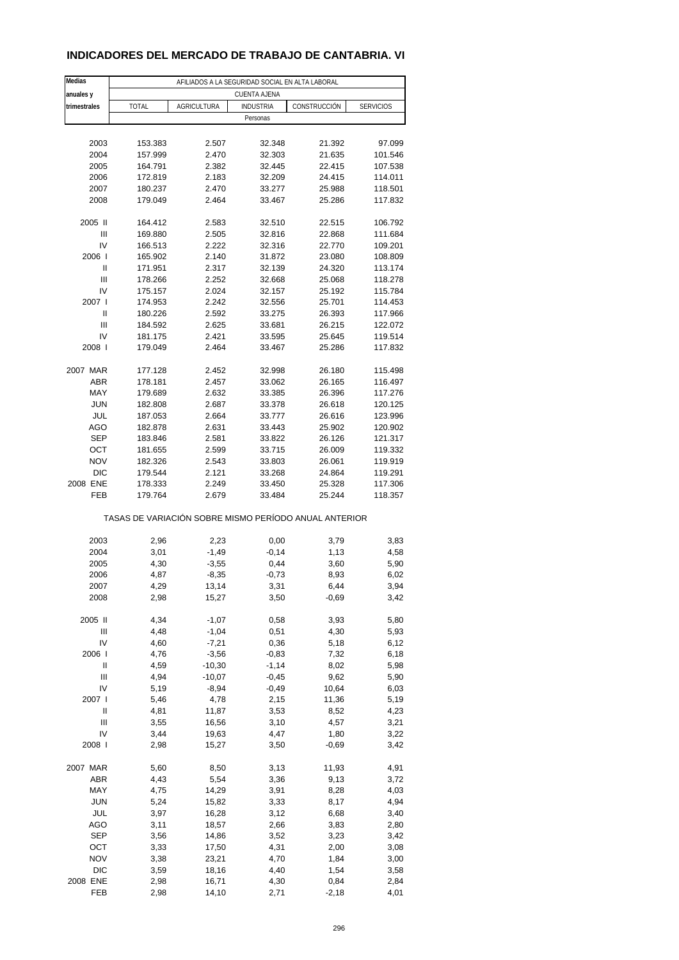### **INDICADORES DEL MERCADO DE TRABAJO DE CANTABRIA. VI**

| Medias       | AFILIADOS A LA SEGURIDAD SOCIAL EN ALTA LABORAL       |                    |                     |                 |                  |  |  |
|--------------|-------------------------------------------------------|--------------------|---------------------|-----------------|------------------|--|--|
| anuales y    |                                                       |                    | <b>CUENTA AJENA</b> |                 |                  |  |  |
| trimestrales | <b>TOTAL</b>                                          | <b>AGRICULTURA</b> | <b>INDUSTRIA</b>    | CONSTRUCCIÓN    | <b>SERVICIOS</b> |  |  |
|              |                                                       |                    | Personas            |                 |                  |  |  |
|              |                                                       |                    |                     |                 |                  |  |  |
| 2003         | 153.383                                               | 2.507              | 32.348              | 21.392          | 97.099           |  |  |
| 2004         | 157.999                                               | 2.470              | 32.303              | 21.635          | 101.546          |  |  |
| 2005         | 164.791                                               | 2.382              | 32.445              | 22.415          | 107.538          |  |  |
| 2006         | 172.819                                               | 2.183              | 32.209              | 24.415          | 114.011          |  |  |
| 2007         | 180.237                                               | 2.470              | 33.277              | 25.988          | 118.501          |  |  |
| 2008         | 179.049                                               | 2.464              | 33.467              | 25.286          | 117.832          |  |  |
| 2005 II      | 164.412                                               | 2.583              | 32.510              | 22.515          | 106.792          |  |  |
| Ш            | 169.880                                               | 2.505              | 32.816              | 22.868          | 111.684          |  |  |
| IV           | 166.513                                               | 2.222              | 32.316              | 22.770          | 109.201          |  |  |
| 2006         | 165.902                                               | 2.140              | 31.872              | 23.080          | 108.809          |  |  |
| Ш            | 171.951                                               | 2.317              | 32.139              | 24.320          | 113.174          |  |  |
| Ш            | 178.266                                               | 2.252              | 32.668              | 25.068          | 118.278          |  |  |
| IV           | 175.157                                               | 2.024              | 32.157              | 25.192          | 115.784          |  |  |
| 2007 l       | 174.953                                               | 2.242              | 32.556              | 25.701          | 114.453          |  |  |
| Ш            | 180.226                                               | 2.592              | 33.275              | 26.393          | 117.966          |  |  |
| Ш            | 184.592                                               | 2.625              | 33.681              | 26.215          | 122.072          |  |  |
| IV           | 181.175                                               | 2.421              | 33.595              | 25.645          | 119.514          |  |  |
| 2008         | 179.049                                               | 2.464              | 33.467              | 25.286          | 117.832          |  |  |
| 2007 MAR     | 177.128                                               | 2.452              | 32.998              | 26.180          | 115.498          |  |  |
| <b>ABR</b>   | 178.181                                               | 2.457              | 33.062              | 26.165          | 116.497          |  |  |
| MAY          | 179.689                                               | 2.632              | 33.385              | 26.396          | 117.276          |  |  |
| <b>JUN</b>   | 182.808                                               | 2.687              | 33.378              | 26.618          | 120.125          |  |  |
| JUL          | 187.053                                               | 2.664              | 33.777              | 26.616          | 123.996          |  |  |
| AGO          | 182.878                                               | 2.631              | 33.443              | 25.902          | 120.902          |  |  |
| <b>SEP</b>   | 183.846                                               | 2.581              | 33.822              | 26.126          | 121.317          |  |  |
| OCT          | 181.655                                               | 2.599              | 33.715              | 26.009          | 119.332          |  |  |
| <b>NOV</b>   | 182.326                                               | 2.543              | 33.803              | 26.061          | 119.919          |  |  |
| DIC          | 179.544                                               | 2.121              | 33.268              | 24.864          | 119.291          |  |  |
| 2008 ENE     | 178.333                                               | 2.249              | 33.450              | 25.328          | 117.306          |  |  |
| <b>FEB</b>   | 179.764                                               | 2.679              | 33.484              | 25.244          | 118.357          |  |  |
|              | TASAS DE VARIACIÓN SOBRE MISMO PERÍODO ANUAL ANTERIOR |                    |                     |                 |                  |  |  |
|              |                                                       |                    |                     |                 |                  |  |  |
| 2003         | 2,96                                                  | 2,23               | 0,00                | 3,79            | 3,83             |  |  |
| 2004         | 3,01                                                  | $-1,49$            | $-0,14$             | 1,13            | 4,58             |  |  |
| 2005         | 4,30                                                  | $-3,55$            | 0,44                | 3,60            | 5,90             |  |  |
| 2006         | 4,87                                                  | $-8,35$            | $-0,73$             | 8,93            | 6,02             |  |  |
| 2007         | 4,29<br>2,98                                          | 13,14<br>15,27     | 3,31                | 6,44<br>$-0,69$ | 3,94             |  |  |
| 2008         |                                                       |                    | 3,50                |                 | 3,42             |  |  |
| 2005 II      | 4,34                                                  | $-1,07$            | 0,58                | 3,93            | 5,80             |  |  |
| Ш            | 4,48                                                  | $-1,04$            | 0,51                | 4,30            | 5,93             |  |  |
| IV           | 4,60                                                  | $-7,21$            | 0,36                | 5,18            | 6,12             |  |  |
| 2006         | 4,76                                                  | $-3,56$            | $-0,83$             | 7,32            | 6,18             |  |  |
| Ш            | 4,59                                                  | $-10,30$           | $-1,14$             | 8,02            | 5,98             |  |  |
| Ш            | 4,94                                                  | $-10,07$           | $-0,45$             | 9,62            | 5,90             |  |  |
| IV           | 5,19                                                  | $-8,94$            | $-0,49$             | 10,64           | 6,03             |  |  |
| 2007 l       | 5,46                                                  | 4,78               | 2,15                | 11,36           | 5,19             |  |  |
| Ш            | 4,81                                                  | 11,87              | 3,53                | 8,52            | 4,23             |  |  |
| Ш            | 3,55                                                  | 16,56              | 3,10                | 4,57            | 3,21             |  |  |
| IV           | 3,44                                                  | 19,63              | 4,47                | 1,80            | 3,22             |  |  |
| 2008         | 2,98                                                  | 15,27              | 3,50                | $-0,69$         | 3,42             |  |  |
| 2007 MAR     | 5,60                                                  | 8,50               | 3,13                | 11,93           | 4,91             |  |  |
| ABR          | 4,43                                                  | 5,54               | 3,36                | 9,13            | 3,72             |  |  |
| MAY          | 4,75                                                  | 14,29              | 3,91                | 8,28            | 4,03             |  |  |
| <b>JUN</b>   | 5,24                                                  | 15,82              | 3,33                | 8,17            | 4,94             |  |  |
| JUL          | 3,97                                                  | 16,28              | 3,12                | 6,68            | 3,40             |  |  |
| AGO          | 3,11                                                  | 18,57              | 2,66                | 3,83            | 2,80             |  |  |
| <b>SEP</b>   | 3,56                                                  | 14,86              | 3,52                | 3,23            | 3,42             |  |  |
| OCT          | 3,33                                                  | 17,50              | 4,31                | 2,00            | 3,08             |  |  |
| <b>NOV</b>   | 3,38                                                  | 23,21              | 4,70                | 1,84            | 3,00             |  |  |
| <b>DIC</b>   | 3,59                                                  | 18,16              | 4,40                | 1,54            | 3,58             |  |  |
| 2008 ENE     | 2,98                                                  | 16,71              | 4,30                | 0,84            | 2,84             |  |  |
| FEB          | 2,98                                                  | 14,10              | 2,71                | $-2,18$         | 4,01             |  |  |
|              |                                                       |                    |                     |                 |                  |  |  |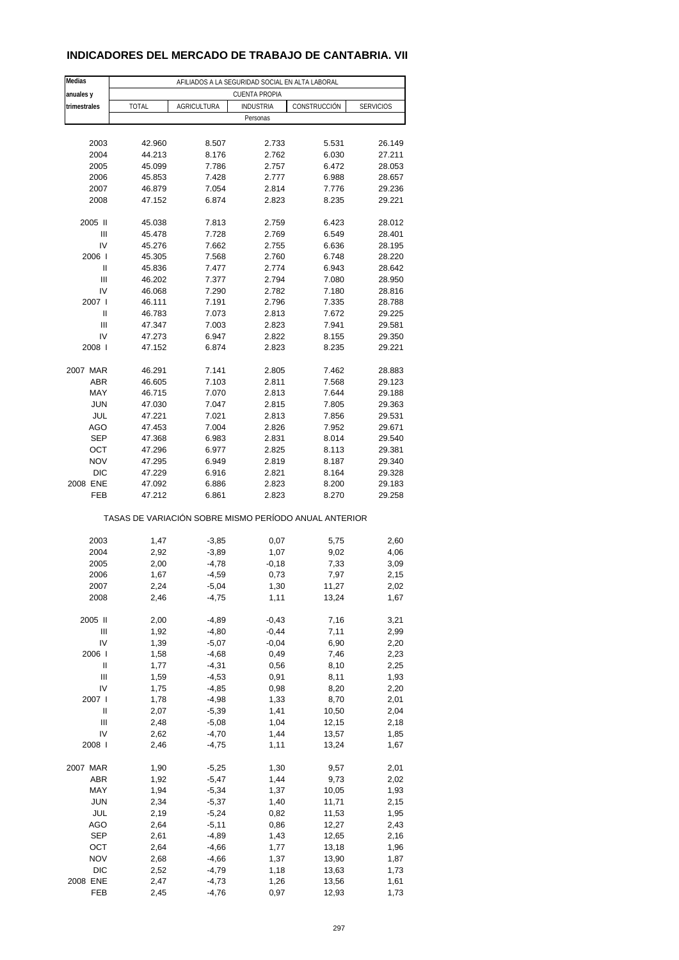### **INDICADORES DEL MERCADO DE TRABAJO DE CANTABRIA. VII**

| Medias            | AFILIADOS A LA SEGURIDAD SOCIAL EN ALTA LABORAL       |                    |                      |                |                  |  |
|-------------------|-------------------------------------------------------|--------------------|----------------------|----------------|------------------|--|
| anuales y         |                                                       |                    | <b>CUENTA PROPIA</b> |                |                  |  |
| trimestrales      | <b>TOTAL</b>                                          | <b>AGRICULTURA</b> | <b>INDUSTRIA</b>     | CONSTRUCCIÓN   | <b>SERVICIOS</b> |  |
|                   |                                                       |                    | Personas             |                |                  |  |
|                   |                                                       |                    |                      |                |                  |  |
| 2003              | 42.960                                                | 8.507              | 2.733                | 5.531          | 26.149           |  |
| 2004              | 44.213                                                | 8.176              | 2.762                | 6.030          | 27.211           |  |
| 2005              | 45.099                                                | 7.786              | 2.757                | 6.472          | 28.053           |  |
| 2006              | 45.853                                                | 7.428              | 2.777                | 6.988          | 28.657           |  |
| 2007<br>2008      | 46.879<br>47.152                                      | 7.054<br>6.874     | 2.814<br>2.823       | 7.776          | 29.236<br>29.221 |  |
|                   |                                                       |                    |                      | 8.235          |                  |  |
| 2005 II           | 45.038                                                | 7.813              | 2.759                | 6.423          | 28.012           |  |
| Ш                 | 45.478                                                | 7.728              | 2.769                | 6.549          | 28.401           |  |
| IV                | 45.276                                                | 7.662              | 2.755                | 6.636          | 28.195           |  |
| 2006              | 45.305                                                | 7.568              | 2.760                | 6.748          | 28.220           |  |
| Ш                 | 45.836                                                | 7.477              | 2.774                | 6.943          | 28.642           |  |
| Ш                 | 46.202                                                | 7.377              | 2.794                | 7.080          | 28.950           |  |
| IV                | 46.068                                                | 7.290              | 2.782                | 7.180          | 28.816           |  |
| 2007 l            | 46.111                                                | 7.191              | 2.796                | 7.335          | 28.788           |  |
| Ш                 | 46.783                                                | 7.073              | 2.813                | 7.672          | 29.225           |  |
| Ш                 | 47.347                                                | 7.003              | 2.823                | 7.941          | 29.581           |  |
| IV<br>2008        | 47.273<br>47.152                                      | 6.947<br>6.874     | 2.822<br>2.823       | 8.155<br>8.235 | 29.350<br>29.221 |  |
|                   |                                                       |                    |                      |                |                  |  |
| 2007 MAR          | 46.291                                                | 7.141              | 2.805                | 7.462          | 28.883           |  |
| <b>ABR</b>        | 46.605                                                | 7.103              | 2.811                | 7.568          | 29.123           |  |
| MAY               | 46.715                                                | 7.070              | 2.813                | 7.644          | 29.188           |  |
| <b>JUN</b>        | 47.030                                                | 7.047              | 2.815                | 7.805          | 29.363           |  |
| JUL               | 47.221                                                | 7.021              | 2.813                | 7.856          | 29.531           |  |
| AGO               | 47.453                                                | 7.004              | 2.826                | 7.952          | 29.671           |  |
| <b>SEP</b>        | 47.368                                                | 6.983              | 2.831                | 8.014          | 29.540           |  |
| OCT               | 47.296                                                | 6.977              | 2.825                | 8.113          | 29.381           |  |
| <b>NOV</b>        | 47.295                                                | 6.949              | 2.819                | 8.187          | 29.340           |  |
| <b>DIC</b>        | 47.229                                                | 6.916              | 2.821                | 8.164          | 29.328           |  |
| 2008 ENE          | 47.092                                                | 6.886              | 2.823                | 8.200          | 29.183           |  |
| <b>FEB</b>        | 47.212                                                | 6.861              | 2.823                | 8.270          | 29.258           |  |
|                   | TASAS DE VARIACIÓN SOBRE MISMO PERÍODO ANUAL ANTERIOR |                    |                      |                |                  |  |
| 2003              | 1,47                                                  | $-3,85$            | 0,07                 | 5,75           | 2,60             |  |
| 2004              | 2,92                                                  | $-3,89$            | 1,07                 | 9,02           | 4,06             |  |
| 2005              | 2,00                                                  | $-4,78$            | $-0,18$              | 7,33           | 3,09             |  |
| 2006              | 1,67                                                  | $-4,59$            | 0,73                 | 7,97           | 2,15             |  |
| 2007              | 2,24                                                  | -5,04              | 1,30                 | 11,27          | 2,02             |  |
| 2008              | 2,46                                                  | $-4,75$            | 1,11                 | 13,24          | 1,67             |  |
|                   |                                                       |                    |                      |                |                  |  |
| 2005 II           | 2,00                                                  | $-4,89$            | $-0,43$              | 7,16           | 3,21             |  |
| Ш                 | 1,92                                                  | $-4,80$            | $-0,44$              | 7,11           | 2,99             |  |
| IV                | 1,39                                                  | $-5,07$            | $-0,04$              | 6,90           | 2,20             |  |
| 2006  <br>Ш       | 1,58                                                  | $-4,68$            | 0,49                 | 7,46           | 2,23             |  |
| Ш                 | 1,77<br>1,59                                          | $-4,31$<br>$-4,53$ | 0,56<br>0,91         | 8,10<br>8,11   | 2,25<br>1,93     |  |
| IV                | 1,75                                                  | $-4,85$            | 0,98                 | 8,20           | 2,20             |  |
| 2007 l            | 1,78                                                  | $-4,98$            | 1,33                 | 8,70           | 2,01             |  |
| Ш                 | 2,07                                                  | $-5,39$            | 1,41                 | 10,50          | 2,04             |  |
| Ш                 | 2,48                                                  | $-5,08$            | 1,04                 | 12,15          | 2,18             |  |
| IV                | 2,62                                                  | $-4,70$            | 1,44                 | 13,57          | 1,85             |  |
| 2008              | 2,46                                                  | $-4,75$            | 1,11                 | 13,24          | 1,67             |  |
|                   |                                                       |                    |                      |                |                  |  |
| 2007 MAR          | 1,90                                                  | $-5,25$            | 1,30                 | 9,57           | 2,01             |  |
| ABR               | 1,92                                                  | $-5,47$            | 1,44                 | 9,73           | 2,02             |  |
| MAY               | 1,94                                                  | $-5,34$            | 1,37                 | 10,05          | 1,93             |  |
| <b>JUN</b>        | 2,34                                                  | $-5,37$            | 1,40                 | 11,71          | 2,15             |  |
| JUL               | 2,19                                                  | $-5,24$            | 0,82                 | 11,53          | 1,95             |  |
| <b>AGO</b>        | 2,64                                                  | $-5,11$            | 0,86                 | 12,27          | 2,43             |  |
| <b>SEP</b>        | 2,61                                                  | $-4,89$            | 1,43                 | 12,65          | 2,16             |  |
| OCT<br><b>NOV</b> | 2,64<br>2,68                                          | $-4,66$            | 1,77                 | 13,18          | 1,96             |  |
| <b>DIC</b>        | 2,52                                                  | $-4,66$<br>$-4,79$ | 1,37<br>1,18         | 13,90<br>13,63 | 1,87<br>1,73     |  |
| 2008 ENE          | 2,47                                                  | $-4,73$            | 1,26                 | 13,56          | 1,61             |  |
| FEB               | 2,45                                                  | $-4,76$            | 0,97                 | 12,93          | 1,73             |  |
|                   |                                                       |                    |                      |                |                  |  |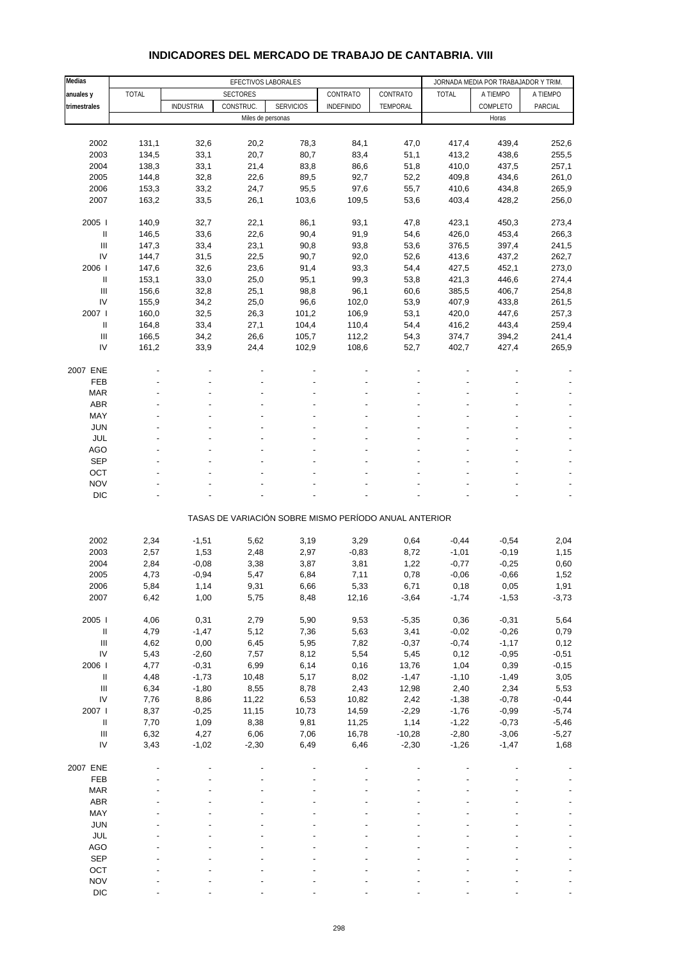| Medias                                           |                |                  | EFECTIVOS LABORALES |                                                       |                   |                     |                    | JORNADA MEDIA POR TRABAJADOR Y TRIM. |                 |
|--------------------------------------------------|----------------|------------------|---------------------|-------------------------------------------------------|-------------------|---------------------|--------------------|--------------------------------------|-----------------|
| anuales y                                        | <b>TOTAL</b>   |                  | <b>SECTORES</b>     |                                                       | CONTRATO          | CONTRATO            | <b>TOTAL</b>       | A TIEMPO                             | A TIEMPO        |
| trimestrales                                     |                | <b>INDUSTRIA</b> | CONSTRUC.           | <b>SERVICIOS</b>                                      | <b>INDEFINIDO</b> | TEMPORAL            |                    | COMPLETO                             | PARCIAL         |
|                                                  |                |                  | Miles de personas   |                                                       |                   |                     |                    | Horas                                |                 |
|                                                  |                |                  |                     |                                                       |                   |                     |                    |                                      |                 |
| 2002                                             | 131,1          | 32,6             | 20,2                | 78,3                                                  | 84,1              | 47,0                | 417,4              | 439,4                                | 252,6           |
| 2003                                             | 134,5          | 33,1             | 20,7                | 80,7                                                  | 83,4              | 51,1                | 413,2              | 438,6                                | 255,5           |
| 2004                                             | 138,3          | 33,1             | 21,4                | 83,8                                                  | 86,6              | 51,8                | 410,0              | 437,5                                | 257,1           |
| 2005                                             | 144,8          | 32,8             | 22,6                | 89,5                                                  | 92,7              | 52,2                | 409,8              | 434,6                                | 261,0           |
| 2006                                             | 153,3          | 33,2             | 24,7                | 95,5                                                  | 97,6              | 55,7                | 410,6              | 434,8                                | 265,9           |
| 2007                                             | 163,2          | 33,5             | 26,1                | 103,6                                                 | 109,5             | 53,6                | 403,4              | 428,2                                | 256,0           |
|                                                  |                |                  |                     |                                                       |                   |                     |                    |                                      |                 |
| 2005                                             | 140,9          | 32,7             | 22,1                | 86,1                                                  | 93,1              | 47,8                | 423,1              | 450,3                                | 273,4           |
| $\ensuremath{\mathsf{II}}$                       | 146,5          | 33,6             | 22,6                | 90,4                                                  | 91,9              | 54,6                | 426,0              | 453,4                                | 266,3           |
| Ш                                                | 147,3          | 33,4             | 23,1                | 90,8                                                  | 93,8              | 53,6                | 376,5              | 397,4                                | 241,5           |
| IV<br>2006                                       | 144,7          | 31,5             | 22,5                | 90,7                                                  | 92,0              | 52,6                | 413,6              | 437,2                                | 262,7           |
| Ш                                                | 147,6          | 32,6             | 23,6                | 91,4                                                  | 93,3              | 54,4                | 427,5              | 452,1                                | 273,0           |
| Ш                                                | 153,1          | 33,0             | 25,0                | 95,1                                                  | 99,3              | 53,8                | 421,3              | 446,6                                | 274,4           |
| IV                                               | 156,6<br>155,9 | 32,8<br>34,2     | 25,1<br>25,0        | 98,8<br>96,6                                          | 96,1<br>102,0     | 60,6<br>53,9        | 385,5<br>407,9     | 406,7<br>433,8                       | 254,8<br>261,5  |
| 2007 l                                           | 160,0          | 32,5             | 26,3                | 101,2                                                 | 106,9             | 53,1                | 420,0              | 447,6                                | 257,3           |
| $\ensuremath{\mathsf{II}}$                       | 164,8          | 33,4             | 27,1                | 104,4                                                 | 110,4             | 54,4                | 416,2              | 443,4                                | 259,4           |
| $\ensuremath{\mathsf{III}}\xspace$               | 166,5          | 34,2             | 26,6                | 105,7                                                 | 112,2             | 54,3                | 374,7              | 394,2                                | 241,4           |
| IV                                               | 161,2          | 33,9             | 24,4                | 102,9                                                 | 108,6             | 52,7                | 402,7              | 427,4                                | 265,9           |
|                                                  |                |                  |                     |                                                       |                   |                     |                    |                                      |                 |
| 2007 ENE                                         |                |                  |                     |                                                       |                   |                     |                    |                                      |                 |
| FEB                                              |                |                  |                     |                                                       |                   |                     |                    |                                      |                 |
| <b>MAR</b>                                       |                |                  |                     |                                                       |                   |                     |                    |                                      |                 |
| <b>ABR</b>                                       |                |                  |                     |                                                       |                   |                     |                    |                                      |                 |
| MAY                                              |                |                  |                     |                                                       |                   |                     |                    |                                      |                 |
| <b>JUN</b>                                       |                |                  |                     |                                                       |                   |                     |                    |                                      |                 |
| <b>JUL</b>                                       |                |                  |                     |                                                       |                   |                     |                    |                                      |                 |
| <b>AGO</b>                                       |                |                  |                     |                                                       |                   |                     |                    |                                      |                 |
| <b>SEP</b>                                       |                |                  |                     |                                                       |                   |                     |                    |                                      |                 |
| OCT                                              |                |                  |                     |                                                       |                   |                     |                    |                                      |                 |
| <b>NOV</b>                                       |                |                  |                     |                                                       |                   |                     |                    |                                      |                 |
| <b>DIC</b>                                       |                |                  |                     |                                                       |                   |                     |                    |                                      |                 |
|                                                  |                |                  |                     | TASAS DE VARIACIÓN SOBRE MISMO PERÍODO ANUAL ANTERIOR |                   |                     |                    |                                      |                 |
|                                                  |                |                  |                     |                                                       |                   |                     |                    |                                      |                 |
| 2002                                             | 2,34           | $-1,51$          | 5,62                | 3,19                                                  | 3,29              | 0,64                | $-0,44$            | $-0,54$                              | 2,04            |
| 2003                                             | 2,57           | 1,53             | 2,48                | 2,97                                                  | $-0,83$           | 8,72                | $-1,01$            | $-0,19$                              | 1,15            |
| 2004                                             | 2,84           | $-0,08$          | 3,38                | 3,87                                                  | 3,81              | 1,22                | $-0,77$            | $-0,25$                              | 0,60            |
| 2005                                             | 4,73           | $-0,94$          | 5,47                | 6,84                                                  | 7,11              | 0,78                | $-0,06$            | $-0,66$                              | 1,52            |
| 2006                                             | 5,84           | 1,14             | 9,31                | 6,66                                                  | 5,33              | 6,71                | 0,18               | 0,05                                 | 1,91            |
| 2007                                             | 6,42           | 1,00             | 5,75                | 8,48                                                  | 12,16             | $-3,64$             | $-1,74$            | $-1,53$                              | $-3,73$         |
|                                                  |                |                  |                     |                                                       |                   |                     |                    |                                      |                 |
| 2005 l                                           | 4,06           | 0,31             | 2,79                | 5,90                                                  | 9,53              | $-5,35$             | 0,36               | $-0,31$                              | 5,64            |
| $\ensuremath{\mathsf{II}}$                       | 4,79           | $-1,47$          | 5,12                | 7,36                                                  | 5,63              | 3,41                | $-0,02$            | $-0,26$                              | 0,79            |
| Ш                                                | 4,62           | 0,00             | 6,45                | 5,95                                                  | 7,82              | $-0,37$             | $-0,74$            | $-1,17$                              | 0,12            |
| ${\sf IV}$                                       | 5,43           | $-2,60$          | 7,57                | 8,12                                                  | 5,54              | 5,45                | 0,12               | $-0,95$                              | $-0,51$         |
| 2006                                             | 4,77           | $-0,31$          | 6,99                | 6,14                                                  | 0,16              | 13,76               | 1,04               | 0,39                                 | $-0,15$         |
| $\sf II$                                         | 4,48           | $-1,73$          | 10,48               | 5,17                                                  | 8,02              | $-1,47$             | $-1,10$            | $-1,49$                              | 3,05            |
| Ш                                                | 6,34           | $-1,80$          | 8,55                | 8,78                                                  | 2,43              | 12,98               | 2,40               | 2,34                                 | 5,53            |
| ${\sf IV}$                                       | 7,76           | 8,86             | 11,22               | 6,53                                                  | 10,82             | 2,42                | $-1,38$            | $-0,78$                              | $-0,44$         |
| 2007 l                                           | 8,37           | $-0,25$          | 11,15               | 10,73                                                 | 14,59             | $-2,29$             | $-1,76$            | $-0,99$                              | $-5,74$         |
| $\ensuremath{\mathsf{II}}$                       | 7,70           | 1,09             | 8,38                | 9,81                                                  | 11,25             | 1,14                | $-1,22$            | $-0,73$                              | $-5,46$         |
| $\ensuremath{\mathsf{III}}\xspace$<br>${\sf IV}$ | 6,32<br>3,43   | 4,27<br>$-1,02$  | 6,06<br>$-2,30$     | 7,06<br>6,49                                          | 16,78<br>6,46     | $-10,28$<br>$-2,30$ | $-2,80$<br>$-1,26$ | $-3,06$<br>$-1,47$                   | $-5,27$<br>1,68 |
|                                                  |                |                  |                     |                                                       |                   |                     |                    |                                      |                 |
| 2007 ENE                                         |                |                  |                     |                                                       |                   |                     |                    |                                      |                 |
| FEB                                              |                |                  |                     |                                                       |                   |                     |                    |                                      |                 |
| <b>MAR</b>                                       |                |                  |                     |                                                       |                   |                     |                    |                                      |                 |
| ABR                                              |                |                  |                     |                                                       |                   |                     |                    |                                      |                 |
| MAY                                              |                |                  |                     |                                                       |                   |                     |                    |                                      |                 |
| JUN                                              |                |                  |                     |                                                       |                   |                     |                    |                                      |                 |
| JUL                                              |                |                  |                     |                                                       |                   |                     |                    |                                      |                 |
| AGO                                              |                |                  |                     |                                                       |                   |                     |                    |                                      |                 |
| SEP                                              |                |                  |                     |                                                       |                   |                     |                    |                                      |                 |
| OCT                                              |                |                  |                     |                                                       |                   |                     |                    |                                      |                 |
| <b>NOV</b>                                       |                |                  |                     |                                                       |                   |                     |                    |                                      |                 |

### **INDICADORES DEL MERCADO DE TRABAJO DE CANTABRIA. VIII**

DIC  $\qquad \qquad \qquad \qquad \qquad \qquad \qquad \qquad \qquad \qquad \qquad \qquad \qquad \qquad \qquad \qquad \qquad \qquad -$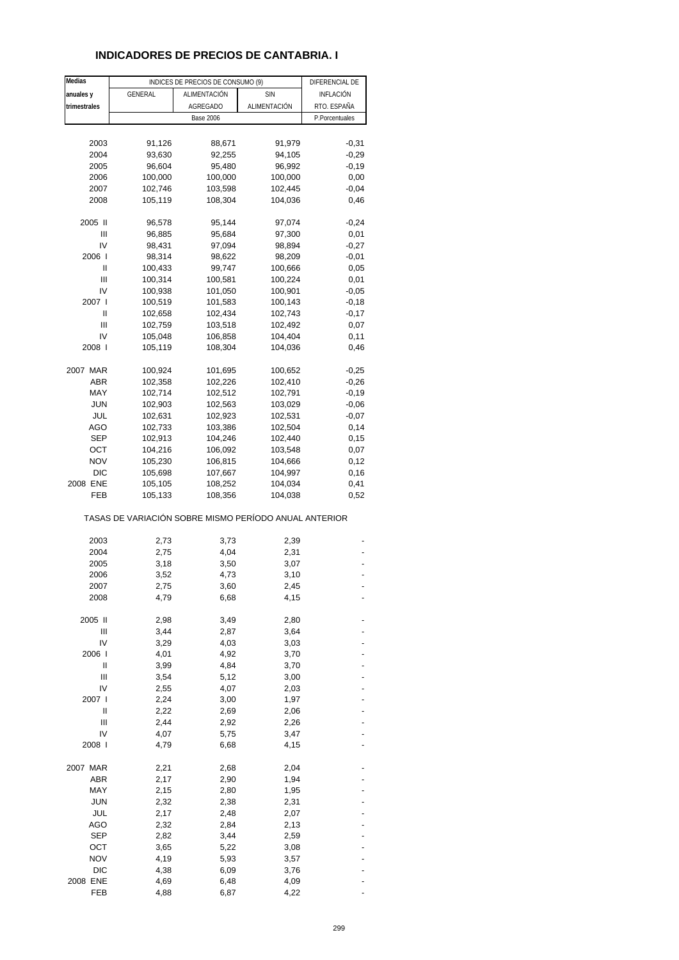# **INDICADORES DE PRECIOS DE CANTABRIA. I**

| Medias       |                                                       | INDICES DE PRECIOS DE CONSUMO (9) |              | DIFERENCIAL DE |
|--------------|-------------------------------------------------------|-----------------------------------|--------------|----------------|
| anuales y    | GENERAL                                               | ALIMENTACIÓN                      | <b>SIN</b>   | INFLACIÓN      |
| trimestrales |                                                       | AGREGADO                          | ALIMENTACIÓN | RTO. ESPAÑA    |
|              |                                                       | <b>Base 2006</b>                  |              | P.Porcentuales |
|              |                                                       |                                   |              |                |
| 2003         | 91,126                                                | 88,671                            | 91,979       | $-0,31$        |
| 2004         | 93,630                                                | 92,255                            | 94,105       | $-0,29$        |
| 2005         | 96,604                                                | 95,480                            | 96,992       | $-0,19$        |
| 2006         | 100,000                                               | 100,000                           | 100,000      | 0,00           |
| 2007         | 102,746                                               | 103,598                           | 102,445      | $-0,04$        |
| 2008         | 105,119                                               | 108,304                           | 104,036      | 0,46           |
| 2005 II      | 96,578                                                | 95,144                            | 97,074       | $-0,24$        |
| Ш            | 96,885                                                | 95,684                            | 97,300       | 0,01           |
| IV           | 98,431                                                | 97,094                            | 98,894       | $-0,27$        |
| 2006         | 98,314                                                | 98,622                            | 98,209       | $-0,01$        |
| Ш            | 100,433                                               | 99,747                            | 100,666      | 0,05           |
| Ш            | 100,314                                               | 100,581                           | 100,224      | 0,01           |
| IV           | 100,938                                               | 101,050                           | 100,901      | $-0,05$        |
| 2007         | 100,519                                               | 101,583                           | 100,143      | $-0,18$        |
| Ш            | 102,658                                               | 102,434                           | 102,743      | $-0,17$        |
| Ш            | 102,759                                               | 103,518                           | 102,492      | 0,07           |
| IV           | 105,048                                               | 106,858                           | 104,404      | 0,11           |
| 2008 l       | 105,119                                               | 108,304                           | 104,036      | 0,46           |
|              |                                                       |                                   |              |                |
| 2007 MAR     | 100,924                                               | 101,695                           | 100,652      | $-0,25$        |
| <b>ABR</b>   | 102,358                                               | 102,226                           | 102,410      | $-0,26$        |
| MAY          | 102,714                                               | 102,512                           | 102,791      | $-0,19$        |
| <b>JUN</b>   | 102,903                                               | 102,563                           | 103,029      | $-0,06$        |
| JUL          | 102,631                                               | 102,923                           | 102,531      | $-0,07$        |
| AGO          | 102,733                                               | 103,386                           | 102,504      | 0,14           |
| <b>SEP</b>   | 102,913                                               | 104,246                           | 102,440      | 0,15           |
| OCT          | 104,216                                               | 106,092                           | 103,548      | 0,07           |
| <b>NOV</b>   | 105,230                                               | 106,815                           | 104,666      | 0,12           |
| <b>DIC</b>   | 105,698                                               | 107,667                           | 104,997      | 0,16           |
| 2008 ENE     | 105,105                                               | 108,252                           | 104,034      | 0,41           |
| FEB          | 105,133                                               | 108,356                           | 104,038      | 0,52           |
|              | TASAS DE VARIACIÓN SOBRE MISMO PERÍODO ANUAL ANTERIOR |                                   |              |                |
| 2003         | 2,73                                                  | 3,73                              | 2,39         |                |
| 2004         | 2,75                                                  | 4,04                              | 2,31         |                |
| 2005         | 3,18                                                  | 3,50                              | 3,07         |                |
| 2006         | 3,52                                                  | 4,73                              | 3,10         |                |
| 2007         | 2,75                                                  | 3,60                              | 2,45         |                |
| 2008         | 4,79                                                  | 6,68                              | 4,15         |                |
|              |                                                       |                                   |              |                |
| 2005 II      | 2,98                                                  | 3,49                              | 2,80         |                |
| Ш            | 3,44                                                  | 2,87                              | 3,64         |                |
| IV           | 3,29                                                  | 4,03                              | 3,03         |                |
| 2006 l       | 4,01                                                  | 4,92                              | 3,70         |                |
| Ш            | 3,99                                                  | 4,84                              | 3,70         |                |
| Ш            | 3,54                                                  | 5,12                              | 3,00         |                |
| IV           | 2,55                                                  | 4,07                              | 2,03         |                |
| 2007 l       | 2,24                                                  | 3,00                              | 1,97         |                |
| II           | 2,22                                                  | 2,69                              | 2,06         |                |
| Ш            | 2,44                                                  | 2,92                              | 2,26         |                |
| IV           | 4,07                                                  | 5,75                              | 3,47         |                |
| 2008 l       | 4,79                                                  | 6,68                              | 4,15         |                |
| 2007 MAR     | 2,21                                                  | 2,68                              | 2,04         |                |
| ABR          | 2,17                                                  | 2,90                              | 1,94         |                |
| MAY          | 2,15                                                  | 2,80                              | 1,95         |                |
| <b>JUN</b>   | 2,32                                                  | 2,38                              | 2,31         |                |
| JUL          | 2,17                                                  | 2,48                              | 2,07         |                |
| AGO          | 2,32                                                  | 2,84                              | 2,13         |                |
| <b>SEP</b>   | 2,82                                                  | 3,44                              | 2,59         |                |
| ост          | 3,65                                                  | 5,22                              | 3,08         |                |
| <b>NOV</b>   | 4,19                                                  | 5,93                              | 3,57         |                |
| <b>DIC</b>   | 4,38                                                  | 6,09                              | 3,76         |                |
| 2008 ENE     | 4,69                                                  | 6,48                              | 4,09         |                |
| FEB          | 4,88                                                  | 6,87                              | 4,22         |                |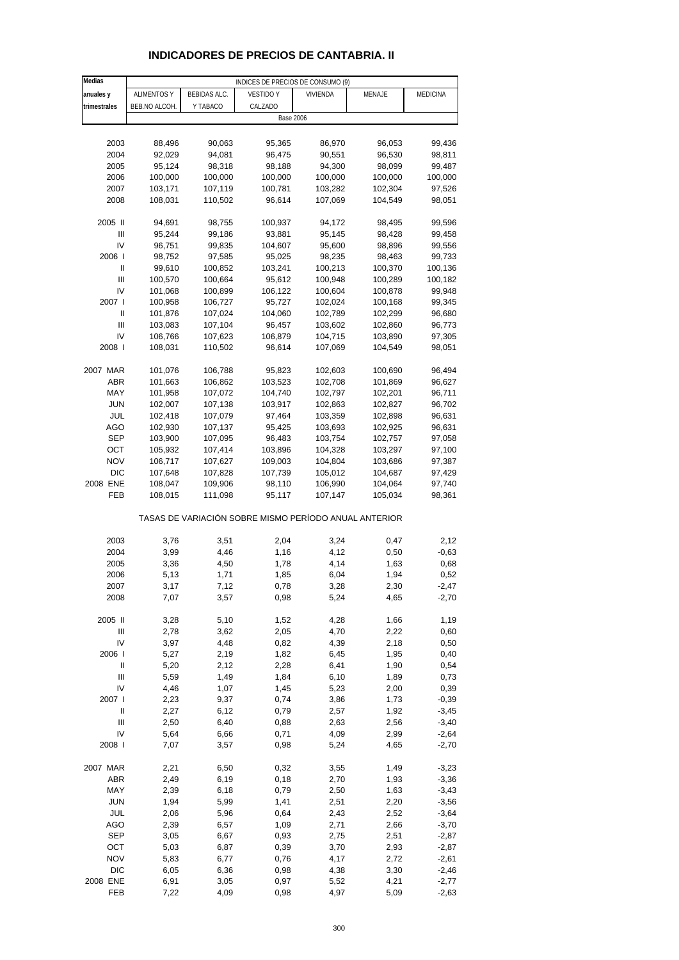| <b>Medias</b> |                    |              | INDICES DE PRECIOS DE CONSUMO (9)                     |          |         |                 |
|---------------|--------------------|--------------|-------------------------------------------------------|----------|---------|-----------------|
| anuales y     | <b>ALIMENTOS Y</b> | BEBIDAS ALC. | <b>VESTIDO Y</b>                                      | VIVIENDA | MENAJE  | <b>MEDICINA</b> |
| trimestrales  | BEB.NO ALCOH.      | Y TABACO     | CALZADO                                               |          |         |                 |
|               |                    |              | <b>Base 2006</b>                                      |          |         |                 |
|               |                    |              |                                                       |          |         |                 |
| 2003          | 88,496             | 90,063       | 95,365                                                | 86,970   | 96,053  | 99,436          |
| 2004          | 92,029             | 94,081       | 96,475                                                | 90,551   | 96,530  | 98,811          |
| 2005          | 95,124             | 98,318       | 98,188                                                | 94,300   | 98,099  | 99,487          |
| 2006          | 100,000            | 100,000      | 100,000                                               | 100,000  | 100,000 | 100,000         |
| 2007          | 103,171            | 107,119      | 100,781                                               | 103,282  | 102,304 | 97,526          |
| 2008          | 108,031            | 110,502      | 96,614                                                | 107,069  | 104,549 | 98,051          |
|               |                    |              |                                                       |          |         |                 |
| 2005 II       | 94,691             | 98,755       | 100,937                                               | 94,172   | 98,495  | 99,596          |
| Ш             | 95,244             | 99,186       | 93,881                                                | 95,145   | 98,428  | 99,458          |
| IV            | 96,751             | 99,835       | 104,607                                               | 95,600   | 98,896  | 99,556          |
| 2006          | 98,752             | 97,585       | 95,025                                                | 98,235   | 98,463  | 99,733          |
| Ш             | 99,610             | 100,852      | 103,241                                               | 100,213  | 100,370 | 100,136         |
| Ш             | 100,570            | 100,664      | 95,612                                                | 100,948  | 100,289 | 100,182         |
| IV            | 101,068            | 100,899      | 106,122                                               | 100,604  | 100,878 | 99,948          |
| 2007 l        | 100,958            | 106,727      | 95,727                                                | 102,024  | 100,168 | 99,345          |
| Ш             | 101,876            | 107,024      | 104,060                                               | 102,789  | 102,299 | 96,680          |
| Ш             | 103,083            | 107,104      | 96,457                                                | 103,602  | 102,860 | 96,773          |
| IV            | 106,766            | 107,623      | 106,879                                               | 104,715  | 103,890 | 97,305          |
| 2008          | 108,031            | 110,502      | 96,614                                                | 107,069  | 104,549 | 98,051          |
|               |                    |              |                                                       |          |         |                 |
| 2007 MAR      | 101,076            | 106,788      | 95,823                                                | 102,603  | 100,690 | 96,494          |
| ABR           | 101,663            | 106,862      | 103,523                                               | 102,708  | 101,869 | 96,627          |
| MAY           | 101,958            | 107,072      | 104,740                                               | 102,797  | 102,201 | 96,711          |
| <b>JUN</b>    | 102,007            | 107,138      | 103,917                                               | 102,863  | 102,827 | 96,702          |
| JUL           | 102,418            | 107,079      | 97,464                                                | 103,359  | 102,898 | 96,631          |
| AGO           | 102,930            | 107,137      | 95,425                                                | 103,693  | 102,925 | 96,631          |
| SEP           | 103,900            | 107,095      | 96,483                                                | 103,754  | 102,757 | 97,058          |
| OCT           | 105,932            | 107,414      | 103,896                                               | 104,328  | 103,297 | 97,100          |
| <b>NOV</b>    | 106,717            | 107,627      | 109,003                                               | 104,804  | 103,686 | 97,387          |
| <b>DIC</b>    | 107,648            | 107,828      | 107,739                                               | 105,012  | 104,687 | 97,429          |
| 2008 ENE      | 108,047            | 109,906      | 98,110                                                | 106,990  | 104,064 | 97,740          |
| FEB           | 108,015            | 111,098      | 95,117                                                | 107,147  | 105,034 | 98,361          |
|               |                    |              |                                                       |          |         |                 |
|               |                    |              | TASAS DE VARIACIÓN SOBRE MISMO PERÍODO ANUAL ANTERIOR |          |         |                 |
| 2003          | 3,76               | 3,51         | 2,04                                                  | 3,24     | 0,47    | 2,12            |
| 2004          | 3,99               | 4,46         | 1,16                                                  | 4,12     | 0,50    | $-0,63$         |
| 2005          | 3,36               | 4,50         | 1,78                                                  | 4,14     | 1,63    | 0,68            |
| 2006          | 5,13               | 1,71         | 1,85                                                  | 6,04     | 1,94    | 0,52            |
| 2007          | 3,17               | 7,12         | 0,78                                                  | 3,28     | 2,30    | $-2,47$         |
| 2008          | 7,07               | 3,57         | 0,98                                                  | 5,24     | 4,65    | $-2,70$         |
|               |                    |              |                                                       |          |         |                 |
| 2005 II       | 3,28               | 5,10         | 1,52                                                  | 4,28     | 1,66    | 1,19            |
| Ш             | 2,78               | 3,62         | 2,05                                                  | 4,70     | 2,22    | 0,60            |
| IV            | 3,97               | 4,48         | 0,82                                                  | 4,39     | 2,18    | 0,50            |
| 2006          | 5,27               | 2,19         | 1,82                                                  | 6,45     | 1,95    | 0,40            |
| $\sf II$      | 5,20               | 2,12         | 2,28                                                  | 6,41     | 1,90    | 0,54            |
| Ш             | 5,59               | 1,49         | 1,84                                                  | 6,10     | 1,89    | 0,73            |
| IV            | 4,46               | 1,07         | 1,45                                                  | 5,23     | 2,00    | 0,39            |
| 2007 l        | 2,23               | 9,37         | 0,74                                                  | 3,86     | 1,73    | $-0,39$         |
| Ш             | 2,27               | 6,12         | 0,79                                                  | 2,57     | 1,92    | $-3,45$         |
| Ш             | 2,50               | 6,40         | 0,88                                                  | 2,63     | 2,56    | $-3,40$         |
| IV            | 5,64               | 6,66         | 0,71                                                  | 4,09     | 2,99    | $-2,64$         |
| 2008          | 7,07               | 3,57         | 0,98                                                  | 5,24     | 4,65    | $-2,70$         |
|               |                    |              |                                                       |          |         |                 |
| 2007 MAR      | 2,21               | 6,50         | 0,32                                                  | 3,55     | 1,49    | $-3,23$         |
| ABR           | 2,49               | 6,19         | 0,18                                                  | 2,70     | 1,93    | $-3,36$         |
| MAY           | 2,39               | 6,18         | 0,79                                                  | 2,50     | 1,63    | $-3,43$         |
| <b>JUN</b>    | 1,94               | 5,99         | 1,41                                                  | 2,51     | 2,20    | $-3,56$         |
| JUL           | 2,06               | 5,96         | 0,64                                                  | 2,43     | 2,52    | $-3,64$         |
| AGO           | 2,39               | 6,57         | 1,09                                                  | 2,71     | 2,66    | $-3,70$         |
| <b>SEP</b>    | 3,05               | 6,67         | 0,93                                                  | 2,75     | 2,51    | $-2,87$         |
| OCT           | 5,03               | 6,87         | 0,39                                                  | 3,70     | 2,93    | $-2,87$         |
| <b>NOV</b>    | 5,83               | 6,77         | 0,76                                                  | 4,17     | 2,72    | $-2,61$         |
| DIC           | 6,05               | 6,36         | 0,98                                                  | 4,38     | 3,30    | $-2,46$         |
| 2008 ENE      | 6,91               | 3,05         | 0,97                                                  | 5,52     | 4,21    | $-2,77$         |
| FEB           | 7,22               | 4,09         | 0,98                                                  | 4,97     | 5,09    | $-2,63$         |

### **INDICADORES DE PRECIOS DE CANTABRIA. II**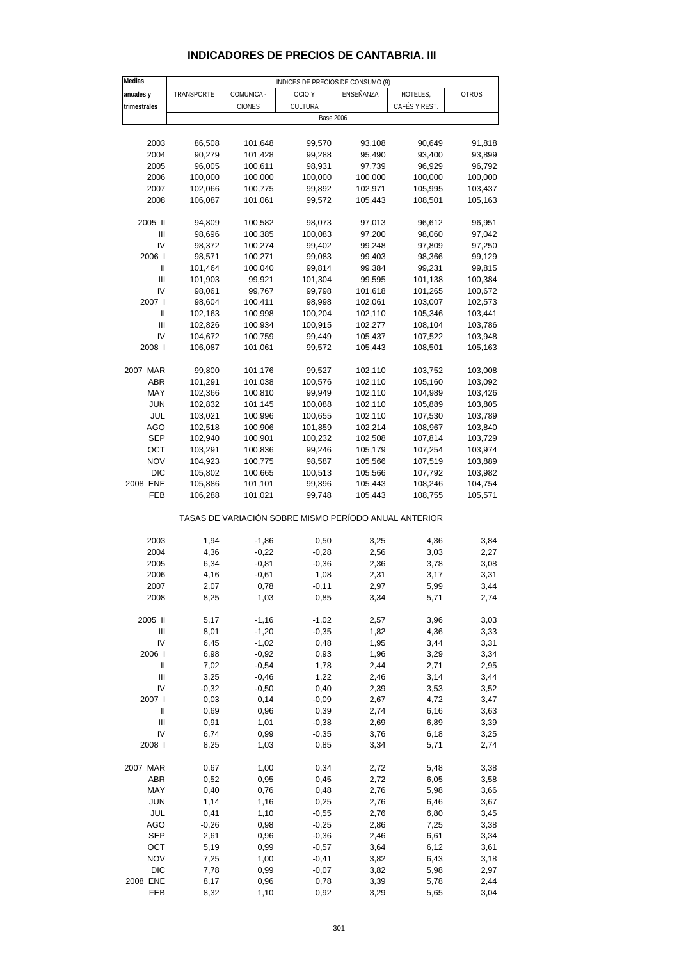| Medias         |            |               | INDICES DE PRECIOS DE CONSUMO (9)                     |           |               |              |
|----------------|------------|---------------|-------------------------------------------------------|-----------|---------------|--------------|
| anuales y      | TRANSPORTE | COMUNICA -    | OCIO Y                                                | ENSEÑANZA | HOTELES,      | <b>OTROS</b> |
| trimestrales   |            | <b>CIONES</b> | CULTURA                                               |           | CAFÉS Y REST. |              |
|                |            |               | <b>Base 2006</b>                                      |           |               |              |
|                |            |               |                                                       |           |               |              |
| 2003           | 86,508     | 101,648       | 99,570                                                | 93,108    | 90,649        | 91,818       |
| 2004           | 90,279     | 101,428       | 99,288                                                | 95,490    | 93,400        | 93,899       |
| 2005           | 96,005     | 100,611       | 98,931                                                | 97,739    | 96,929        | 96,792       |
| 2006           | 100,000    | 100,000       | 100,000                                               | 100,000   | 100,000       | 100,000      |
| 2007           | 102,066    | 100,775       | 99,892                                                | 102,971   | 105,995       | 103,437      |
|                |            |               |                                                       | 105,443   |               |              |
| 2008           | 106,087    | 101,061       | 99,572                                                |           | 108,501       | 105,163      |
|                |            |               |                                                       |           |               |              |
| 2005 II        | 94,809     | 100,582       | 98,073                                                | 97,013    | 96,612        | 96,951       |
| $\mathbf{III}$ | 98,696     | 100,385       | 100,083                                               | 97,200    | 98,060        | 97,042       |
| IV             | 98,372     | 100,274       | 99,402                                                | 99,248    | 97,809        | 97,250       |
| 2006           | 98,571     | 100,271       | 99,083                                                | 99,403    | 98,366        | 99,129       |
| Ш              | 101,464    | 100,040       | 99,814                                                | 99,384    | 99,231        | 99,815       |
| $\mathbf{III}$ | 101,903    | 99,921        | 101,304                                               | 99,595    | 101,138       | 100,384      |
| IV             | 98,061     | 99,767        | 99,798                                                | 101,618   | 101,265       | 100,672      |
| 2007 l         | 98,604     | 100,411       | 98,998                                                | 102,061   | 103,007       | 102,573      |
| Ш              | 102,163    | 100,998       | 100,204                                               | 102,110   | 105,346       | 103,441      |
| $\mathbf{III}$ | 102,826    | 100,934       | 100,915                                               | 102,277   | 108,104       | 103,786      |
| IV             | 104,672    | 100,759       | 99,449                                                | 105,437   | 107,522       | 103,948      |
| 2008           | 106,087    | 101,061       | 99,572                                                | 105,443   | 108,501       | 105,163      |
|                |            |               |                                                       |           |               |              |
| 2007 MAR       | 99,800     | 101,176       | 99,527                                                | 102,110   | 103,752       | 103,008      |
| ABR            | 101,291    | 101,038       | 100,576                                               | 102,110   | 105,160       | 103,092      |
| MAY            | 102,366    | 100,810       | 99,949                                                | 102,110   | 104,989       | 103,426      |
| <b>JUN</b>     | 102,832    | 101,145       | 100,088                                               | 102,110   | 105,889       | 103,805      |
| JUL            | 103,021    | 100,996       | 100,655                                               | 102,110   | 107,530       | 103,789      |
| AGO            | 102,518    | 100,906       | 101,859                                               | 102,214   | 108,967       | 103,840      |
| SEP            | 102,940    | 100,901       | 100,232                                               | 102,508   | 107,814       | 103,729      |
| OCT            | 103,291    | 100,836       | 99,246                                                | 105,179   | 107,254       | 103,974      |
| <b>NOV</b>     | 104,923    | 100,775       | 98,587                                                | 105,566   | 107,519       | 103,889      |
| <b>DIC</b>     | 105,802    | 100,665       | 100,513                                               | 105,566   | 107,792       | 103,982      |
| 2008 ENE       | 105,886    | 101,101       | 99,396                                                | 105,443   | 108,246       | 104,754      |
| FEB            | 106,288    | 101,021       | 99,748                                                | 105,443   | 108,755       | 105,571      |
|                |            |               |                                                       |           |               |              |
|                |            |               | TASAS DE VARIACIÓN SOBRE MISMO PERÍODO ANUAL ANTERIOR |           |               |              |
|                |            |               |                                                       |           |               |              |
| 2003           | 1,94       | $-1,86$       | 0,50                                                  | 3,25      | 4,36          | 3,84         |
| 2004           | 4,36       | $-0,22$       | $-0,28$                                               | 2,56      | 3,03          | 2,27         |
| 2005           | 6,34       | $-0,81$       | $-0,36$                                               | 2,36      | 3,78          | 3,08         |
| 2006           | 4,16       | $-0,61$       | 1,08                                                  | 2,31      | 3,17          | 3,31         |
| 2007           | 2,07       | 0,78          | $-0,11$                                               | 2,97      | 5,99          | 3,44         |
| 2008           | 8,25       | 1,03          | 0,85                                                  | 3,34      | 5,71          | 2,74         |
|                |            |               |                                                       |           |               |              |
| 2005 II        | 5,17       | $-1,16$       | $-1,02$                                               | 2,57      | 3,96          | 3,03         |
| Ш              | 8,01       | $-1,20$       | $-0,35$                                               | 1,82      | 4,36          | 3,33         |
| IV             | 6,45       | $-1,02$       | 0,48                                                  | 1,95      | 3,44          | 3,31         |
|                |            |               |                                                       |           |               |              |
| 2006           | 6,98       | $-0,92$       | 0,93                                                  | 1,96      | 3,29          | 3,34         |
| Ш              | 7,02       | $-0,54$       | 1,78                                                  | 2,44      | 2,71          | 2,95         |
| $\mathbf{III}$ | 3,25       | $-0,46$       | 1,22                                                  | 2,46      | 3,14          | 3,44         |
| IV             | $-0,32$    | $-0,50$       | 0,40                                                  | 2,39      | 3,53          | 3,52         |
| 2007 l         | 0,03       | 0,14          | $-0,09$                                               | 2,67      | 4,72          | 3,47         |
| Ш              | 0,69       | 0,96          | 0,39                                                  | 2,74      | 6,16          | 3,63         |
| Ш              | 0,91       | 1,01          | $-0,38$                                               | 2,69      | 6,89          | 3,39         |
| IV             | 6,74       | 0,99          | $-0,35$                                               | 3,76      | 6,18          | 3,25         |
| 2008           | 8,25       | 1,03          | 0,85                                                  | 3,34      | 5,71          | 2,74         |
|                |            |               |                                                       |           |               |              |
| 2007 MAR       | 0,67       | 1,00          | 0,34                                                  | 2,72      | 5,48          | 3,38         |
| <b>ABR</b>     | 0,52       | 0,95          | 0,45                                                  | 2,72      | 6,05          | 3,58         |
| MAY            | 0,40       | 0,76          | 0,48                                                  | 2,76      | 5,98          | 3,66         |
| <b>JUN</b>     | 1,14       | 1,16          | 0,25                                                  | 2,76      | 6,46          | 3,67         |
| JUL            | 0,41       | 1,10          | $-0,55$                                               | 2,76      | 6,80          | 3,45         |
| AGO            | $-0,26$    | 0,98          | $-0,25$                                               | 2,86      | 7,25          | 3,38         |
| <b>SEP</b>     | 2,61       | 0,96          | $-0,36$                                               | 2,46      | 6,61          | 3,34         |
| OCT            | 5,19       | 0,99          | $-0,57$                                               | 3,64      | 6,12          | 3,61         |
| <b>NOV</b>     | 7,25       | 1,00          | $-0,41$                                               | 3,82      | 6,43          | 3,18         |
| <b>DIC</b>     | 7,78       | 0,99          | $-0,07$                                               | 3,82      | 5,98          | 2,97         |
|                |            |               |                                                       |           |               |              |

### **INDICADORES DE PRECIOS DE CANTABRIA. III**

2008 ENE 8,17 0,96 0,78 3,39 5,78 2,44 FEB 8,32 1,10 0,92 3,29 5,65 3,04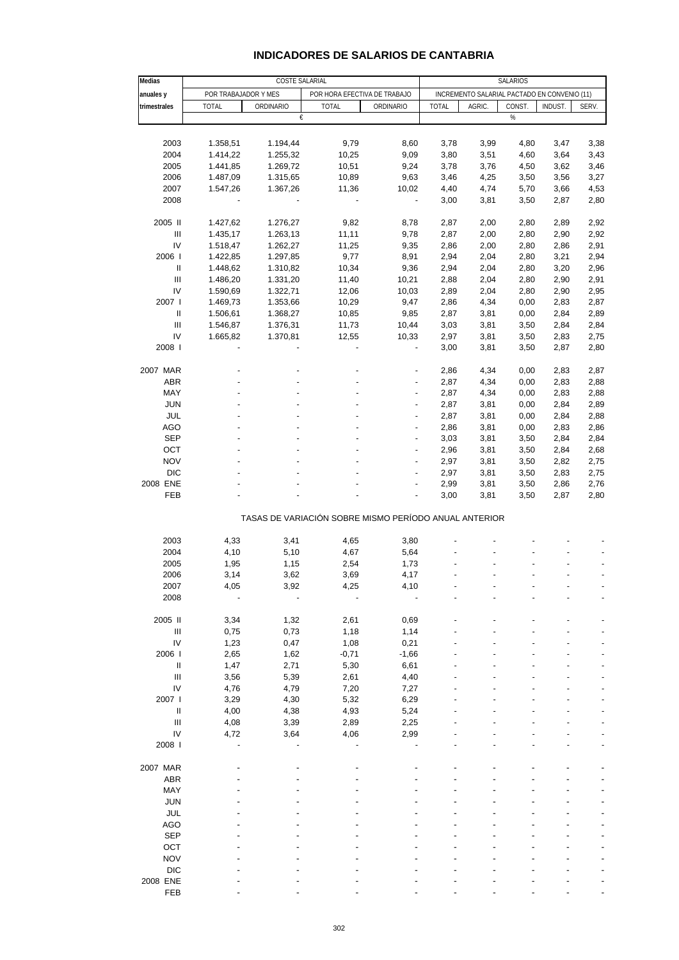# **INDICADORES DE SALARIOS DE CANTABRIA**

| Medias                             | <b>COSTE SALARIAL</b>                                |           |              |                                                       |                                              | SALARIOS |        |         |       |  |  |
|------------------------------------|------------------------------------------------------|-----------|--------------|-------------------------------------------------------|----------------------------------------------|----------|--------|---------|-------|--|--|
| anuales y                          | POR TRABAJADOR Y MES<br>POR HORA EFECTIVA DE TRABAJO |           |              |                                                       | INCREMENTO SALARIAL PACTADO EN CONVENIO (11) |          |        |         |       |  |  |
| trimestrales                       | <b>TOTAL</b>                                         | ORDINARIO | <b>TOTAL</b> | ORDINARIO                                             | <b>TOTAL</b>                                 | AGRIC.   | CONST. | INDUST. | SERV. |  |  |
|                                    |                                                      | €         |              |                                                       |                                              |          | $\%$   |         |       |  |  |
|                                    |                                                      |           |              |                                                       |                                              |          |        |         |       |  |  |
| 2003                               | 1.358,51                                             | 1.194,44  | 9,79         | 8,60                                                  | 3,78                                         | 3,99     | 4,80   | 3,47    | 3,38  |  |  |
| 2004                               | 1.414,22                                             | 1.255,32  | 10,25        | 9,09                                                  | 3,80                                         | 3,51     | 4,60   | 3,64    | 3,43  |  |  |
| 2005                               | 1.441,85                                             | 1.269,72  | 10,51        | 9,24                                                  | 3,78                                         | 3,76     | 4,50   | 3,62    | 3,46  |  |  |
| 2006                               | 1.487,09                                             | 1.315,65  | 10,89        | 9,63                                                  | 3,46                                         | 4,25     | 3,50   | 3,56    | 3,27  |  |  |
| 2007                               | 1.547,26                                             | 1.367,26  | 11,36        | 10,02                                                 | 4,40                                         | 4,74     | 5,70   | 3,66    | 4,53  |  |  |
| 2008                               |                                                      |           |              | ÷                                                     | 3,00                                         | 3,81     | 3,50   | 2,87    | 2,80  |  |  |
| 2005 II                            | 1.427,62                                             | 1.276,27  | 9,82         | 8,78                                                  | 2,87                                         | 2,00     | 2,80   | 2,89    | 2,92  |  |  |
| $\ensuremath{\mathsf{III}}\xspace$ | 1.435,17                                             | 1.263,13  | 11,11        | 9,78                                                  | 2,87                                         | 2,00     | 2,80   | 2,90    | 2,92  |  |  |
| IV                                 |                                                      |           |              |                                                       |                                              |          |        |         |       |  |  |
|                                    | 1.518,47                                             | 1.262,27  | 11,25        | 9,35                                                  | 2,86                                         | 2,00     | 2,80   | 2,86    | 2,91  |  |  |
| 2006                               | 1.422,85                                             | 1.297,85  | 9,77         | 8,91                                                  | 2,94                                         | 2,04     | 2,80   | 3,21    | 2,94  |  |  |
| Ш                                  | 1.448,62                                             | 1.310,82  | 10,34        | 9,36                                                  | 2,94                                         | 2,04     | 2,80   | 3,20    | 2,96  |  |  |
| $\ensuremath{\mathsf{III}}\xspace$ | 1.486,20                                             | 1.331,20  | 11,40        | 10,21                                                 | 2,88                                         | 2,04     | 2,80   | 2,90    | 2,91  |  |  |
| IV                                 | 1.590,69                                             | 1.322,71  | 12,06        | 10,03                                                 | 2,89                                         | 2,04     | 2,80   | 2,90    | 2,95  |  |  |
| 2007 l                             | 1.469,73                                             | 1.353,66  | 10,29        | 9,47                                                  | 2,86                                         | 4,34     | 0,00   | 2,83    | 2,87  |  |  |
| Ш                                  | 1.506,61                                             | 1.368,27  | 10,85        | 9,85                                                  | 2,87                                         | 3,81     | 0,00   | 2,84    | 2,89  |  |  |
| $\ensuremath{\mathsf{III}}\xspace$ | 1.546,87                                             | 1.376,31  | 11,73        | 10,44                                                 | 3,03                                         | 3,81     | 3,50   | 2,84    | 2,84  |  |  |
| IV                                 | 1.665,82                                             | 1.370,81  | 12,55        | 10,33                                                 | 2,97                                         | 3,81     | 3,50   | 2,83    | 2,75  |  |  |
| 2008                               |                                                      |           |              | $\qquad \qquad \blacksquare$                          | 3,00                                         | 3,81     | 3,50   | 2,87    | 2,80  |  |  |
|                                    |                                                      |           |              |                                                       |                                              |          |        |         |       |  |  |
| 2007 MAR                           |                                                      |           |              |                                                       | 2,86                                         | 4,34     | 0,00   | 2,83    | 2,87  |  |  |
| ABR                                |                                                      |           |              |                                                       | 2,87                                         | 4,34     | 0,00   | 2,83    | 2,88  |  |  |
| MAY                                |                                                      |           |              |                                                       | 2,87                                         | 4,34     | 0,00   | 2,83    | 2,88  |  |  |
| <b>JUN</b>                         |                                                      |           |              |                                                       | 2,87                                         | 3,81     | 0,00   | 2,84    | 2,89  |  |  |
| JUL                                |                                                      |           |              |                                                       | 2,87                                         | 3,81     | 0,00   | 2,84    | 2,88  |  |  |
| <b>AGO</b>                         |                                                      |           |              | $\overline{a}$                                        | 2,86                                         | 3,81     | 0,00   | 2,83    | 2,86  |  |  |
| <b>SEP</b>                         |                                                      |           |              | ÷                                                     | 3,03                                         | 3,81     | 3,50   | 2,84    | 2,84  |  |  |
| OCT                                |                                                      |           |              |                                                       | 2,96                                         | 3,81     | 3,50   | 2,84    | 2,68  |  |  |
| <b>NOV</b>                         |                                                      |           |              | ÷                                                     | 2,97                                         | 3,81     | 3,50   | 2,82    | 2,75  |  |  |
| <b>DIC</b>                         |                                                      |           |              |                                                       | 2,97                                         | 3,81     | 3,50   | 2,83    | 2,75  |  |  |
| 2008 ENE                           |                                                      |           |              |                                                       | 2,99                                         | 3,81     | 3,50   | 2,86    | 2,76  |  |  |
| FEB                                |                                                      |           |              |                                                       | 3,00                                         | 3,81     | 3,50   | 2,87    | 2,80  |  |  |
|                                    |                                                      |           |              | TASAS DE VARIACIÓN SOBRE MISMO PERÍODO ANUAL ANTERIOR |                                              |          |        |         |       |  |  |
|                                    |                                                      |           |              |                                                       |                                              |          |        |         |       |  |  |
| 2003                               | 4,33                                                 | 3,41      | 4,65         | 3,80                                                  |                                              |          |        |         |       |  |  |
| 2004                               | 4,10                                                 | 5,10      | 4,67         | 5,64                                                  |                                              |          |        |         |       |  |  |
| 2005                               | 1,95                                                 | 1,15      | 2,54         | 1,73                                                  |                                              |          |        |         |       |  |  |
| 2006                               | 3,14                                                 | 3,62      | 3,69         | 4,17                                                  |                                              |          |        |         |       |  |  |
| 2007                               | 4,05                                                 | 3,92      | 4,25         | 4,10                                                  |                                              |          |        |         |       |  |  |
| 2008                               |                                                      |           |              |                                                       |                                              |          |        |         |       |  |  |
| 2005 II                            | 3,34                                                 | 1,32      | 2,61         | 0,69                                                  |                                              |          |        |         |       |  |  |
| $\ensuremath{\mathsf{III}}\xspace$ | 0,75                                                 | 0,73      | 1,18         | 1,14                                                  |                                              |          |        |         |       |  |  |
| IV                                 | 1,23                                                 | 0,47      | 1,08         | 0,21                                                  |                                              |          |        |         |       |  |  |
| 2006                               | 2,65                                                 | 1,62      | $-0,71$      | $-1,66$                                               |                                              |          |        |         |       |  |  |
| Ш                                  | 1,47                                                 |           | 5,30         | 6,61                                                  |                                              |          |        |         |       |  |  |
|                                    |                                                      | 2,71      |              |                                                       |                                              |          |        |         |       |  |  |
| $\ensuremath{\mathsf{III}}\xspace$ | 3,56                                                 | 5,39      | 2,61         | 4,40                                                  |                                              |          |        |         |       |  |  |
| IV                                 | 4,76                                                 | 4,79      | 7,20         | 7,27                                                  |                                              |          |        |         |       |  |  |
| 2007 l                             | 3,29                                                 | 4,30      | 5,32         | 6,29                                                  |                                              |          |        |         |       |  |  |
| Ш                                  | 4,00                                                 | 4,38      | 4,93         | 5,24                                                  |                                              |          |        |         |       |  |  |
| Ш                                  | 4,08                                                 | 3,39      | 2,89         | 2,25                                                  |                                              |          |        |         |       |  |  |
| IV                                 | 4,72                                                 | 3,64      | 4,06         | 2,99                                                  |                                              |          |        |         |       |  |  |
| 2008                               |                                                      |           |              |                                                       |                                              |          |        |         |       |  |  |
| 2007 MAR                           |                                                      |           |              |                                                       |                                              |          |        |         |       |  |  |
| ABR                                |                                                      |           |              |                                                       |                                              |          |        |         |       |  |  |
|                                    |                                                      |           |              |                                                       |                                              |          |        |         |       |  |  |
| MAY                                |                                                      |           |              |                                                       |                                              |          |        |         |       |  |  |
| <b>JUN</b>                         |                                                      |           |              |                                                       |                                              |          |        |         |       |  |  |
| <b>JUL</b>                         |                                                      |           |              |                                                       |                                              |          |        |         |       |  |  |
| <b>AGO</b>                         |                                                      |           |              |                                                       |                                              |          |        |         |       |  |  |
| <b>SEP</b>                         |                                                      |           |              |                                                       |                                              |          |        |         |       |  |  |
| OCT                                |                                                      |           |              |                                                       |                                              |          |        |         |       |  |  |
| <b>NOV</b>                         |                                                      |           |              |                                                       |                                              |          |        |         |       |  |  |
| <b>DIC</b>                         |                                                      |           |              |                                                       |                                              |          |        |         |       |  |  |
| 2008 ENE                           |                                                      |           |              |                                                       |                                              |          |        |         |       |  |  |
| FEB                                |                                                      |           |              |                                                       |                                              |          |        |         |       |  |  |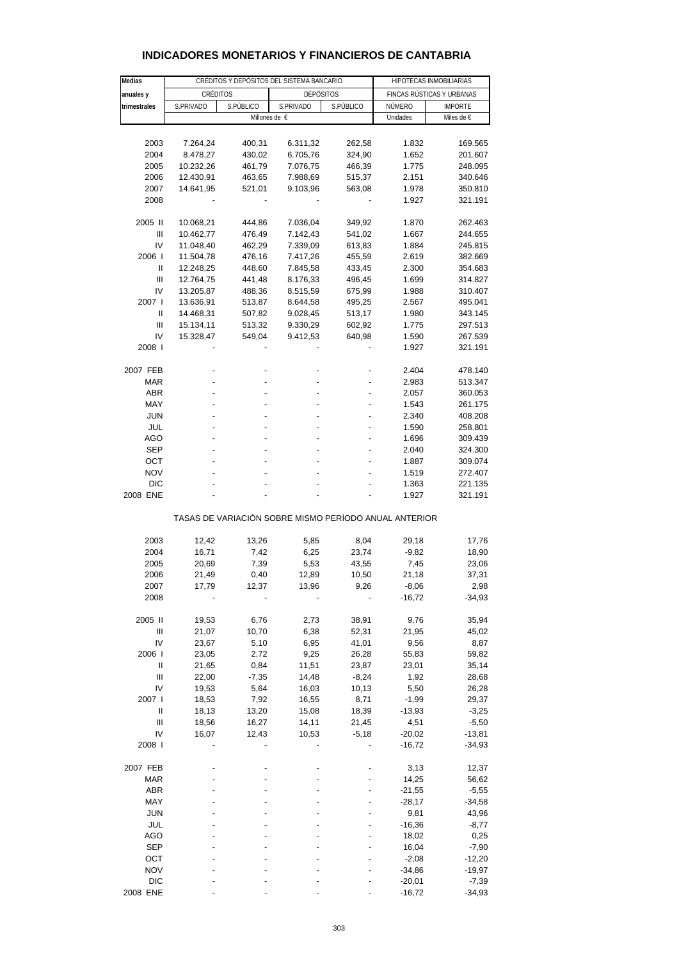| Medias                                                |           |                       | CRÉDITOS Y DEPÓSITOS DEL SISTEMA BANCARIO |           | HIPOTECAS INMOBILIARIAS   |                    |  |  |
|-------------------------------------------------------|-----------|-----------------------|-------------------------------------------|-----------|---------------------------|--------------------|--|--|
|                                                       |           |                       |                                           |           | FINCAS RÚSTICAS Y URBANAS |                    |  |  |
| anuales y<br>trimestrales                             | S.PRIVADO | CRÉDITOS<br>S.PÚBLICO | <b>DEPÓSITOS</b><br>S.PRIVADO             | S.PÚBLICO | NÚMERO                    | <b>IMPORTE</b>     |  |  |
|                                                       |           |                       | Millones de €                             |           | Unidades                  | Miles de €         |  |  |
|                                                       |           |                       |                                           |           |                           |                    |  |  |
| 2003                                                  | 7.264,24  | 400,31                | 6.311,32                                  | 262,58    | 1.832                     | 169.565            |  |  |
| 2004                                                  | 8.478,27  | 430,02                | 6.705,76                                  | 324,90    | 1.652                     | 201.607            |  |  |
| 2005                                                  | 10.232,26 | 461,79                | 7.076,75                                  | 466,39    | 1.775                     | 248.095            |  |  |
| 2006                                                  | 12.430,91 | 463,65                | 7.988,69                                  | 515,37    | 2.151                     | 340.646            |  |  |
| 2007                                                  | 14.641,95 | 521,01                | 9.103,96                                  | 563,08    | 1.978                     | 350.810            |  |  |
| 2008                                                  |           |                       |                                           |           | 1.927                     | 321.191            |  |  |
|                                                       |           |                       |                                           |           |                           |                    |  |  |
| 2005 II                                               | 10.068,21 | 444,86                | 7.036,04                                  | 349,92    | 1.870                     | 262.463            |  |  |
| Ш                                                     | 10.462,77 | 476,49                | 7.142,43                                  | 541,02    | 1.667                     | 244.655            |  |  |
| IV                                                    | 11.048,40 | 462,29                | 7.339,09                                  | 613,83    | 1.884                     | 245.815            |  |  |
| 2006                                                  | 11.504,78 | 476,16                | 7.417,26                                  | 455,59    | 2.619                     | 382.669            |  |  |
| Ш                                                     | 12.248,25 | 448,60                | 7.845,58                                  | 433,45    | 2.300                     | 354.683            |  |  |
| Ш                                                     | 12.764,75 | 441,48                | 8.176,33                                  | 496,45    | 1.699                     | 314.827            |  |  |
| IV                                                    | 13.205,87 | 488,36                | 8.515,59                                  | 675,99    | 1.988                     | 310.407            |  |  |
| 2007 l                                                | 13.636,91 | 513,87                | 8.644,58                                  | 495,25    | 2.567                     | 495.041            |  |  |
| Ш                                                     | 14.468,31 | 507,82                | 9.028,45                                  | 513,17    | 1.980                     | 343.145            |  |  |
| Ш                                                     | 15.134,11 | 513,32                | 9.330,29                                  | 602,92    | 1.775                     | 297.513            |  |  |
| IV                                                    | 15.328,47 | 549,04                | 9.412,53                                  | 640,98    | 1.590                     | 267.539            |  |  |
| 2008                                                  |           |                       |                                           |           | 1.927                     | 321.191            |  |  |
| 2007 FEB                                              |           |                       |                                           |           | 2.404                     |                    |  |  |
| MAR                                                   |           |                       |                                           |           | 2.983                     | 478.140<br>513.347 |  |  |
| <b>ABR</b>                                            |           |                       |                                           |           | 2.057                     | 360.053            |  |  |
| MAY                                                   |           |                       |                                           |           | 1.543                     | 261.175            |  |  |
| <b>JUN</b>                                            |           |                       |                                           |           | 2.340                     | 408.208            |  |  |
| JUL                                                   |           |                       |                                           |           | 1.590                     | 258.801            |  |  |
| AGO                                                   |           |                       |                                           |           | 1.696                     | 309.439            |  |  |
| <b>SEP</b>                                            |           |                       |                                           |           | 2.040                     | 324.300            |  |  |
| ОСТ                                                   |           |                       |                                           |           | 1.887                     | 309.074            |  |  |
| <b>NOV</b>                                            |           |                       |                                           |           | 1.519                     | 272.407            |  |  |
| DIC                                                   |           |                       |                                           |           | 1.363                     | 221.135            |  |  |
| 2008 ENE                                              |           |                       |                                           |           | 1.927                     | 321.191            |  |  |
| TASAS DE VARIACIÓN SOBRE MISMO PERÍODO ANUAL ANTERIOR |           |                       |                                           |           |                           |                    |  |  |
|                                                       |           |                       |                                           |           |                           |                    |  |  |
| 2003                                                  | 12,42     | 13,26                 | 5,85                                      | 8,04      | 29,18                     | 17,76              |  |  |
| 2004                                                  | 16,71     | 7,42                  | 6,25                                      | 23,74     | $-9,82$                   | 18,90              |  |  |
| 2005                                                  | 20,69     | 7,39                  | 5,53                                      | 43,55     | 7,45                      | 23,06              |  |  |
| 2006                                                  | 21,49     | 0,40                  | 12,89                                     | 10,50     | 21,18                     | 37,31              |  |  |
| 2007                                                  | 17,79     | 12,37                 | 13,96                                     | 9,26      | $-8,06$                   | 2,98               |  |  |
| 2008                                                  |           |                       |                                           |           | $-16,72$                  | $-34,93$           |  |  |
| 2005 II                                               | 19,53     | 6,76                  | 2,73                                      | 38,91     | 9,76                      | 35,94              |  |  |
| $\mathbf{III}$                                        | 21,07     | 10,70                 | 6,38                                      | 52,31     | 21,95                     | 45,02              |  |  |
| IV                                                    | 23,67     | 5,10                  | 6,95                                      | 41,01     | 9,56                      | 8,87               |  |  |
| 2006                                                  | 23,05     | 2,72                  | 9,25                                      | 26,28     | 55,83                     | 59,82              |  |  |
| Ш                                                     | 21,65     | 0,84                  | 11,51                                     | 23,87     | 23,01                     | 35,14              |  |  |
| Ш                                                     | 22,00     | $-7,35$               | 14,48                                     | $-8,24$   | 1,92                      | 28,68              |  |  |
| IV                                                    | 19,53     | 5,64                  | 16,03                                     | 10,13     | 5,50                      | 26,28              |  |  |
| 2007 l                                                | 18,53     | 7,92                  | 16,55                                     | 8,71      | $-1,99$                   | 29,37              |  |  |
| Ш                                                     | 18,13     | 13,20                 | 15,08                                     | 18,39     | $-13,93$                  | $-3,25$            |  |  |
| $\mathbf{III}$                                        | 18,56     | 16,27                 | 14,11                                     | 21,45     | 4,51                      | $-5,50$            |  |  |
| IV                                                    | 16,07     | 12,43                 | 10,53                                     | $-5,18$   | $-20,02$                  | -13,81             |  |  |
| 2008 l                                                |           |                       |                                           |           | $-16,72$                  | -34,93             |  |  |
|                                                       |           |                       |                                           |           |                           |                    |  |  |
| 2007 FEB                                              |           |                       |                                           |           | 3,13                      | 12,37              |  |  |
| <b>MAR</b>                                            |           |                       |                                           |           | 14,25                     | 56,62              |  |  |
| <b>ABR</b>                                            |           |                       |                                           |           | $-21,55$                  | $-5,55$            |  |  |
| MAY                                                   |           |                       |                                           |           | $-28,17$                  | $-34,58$           |  |  |
| JUN<br>JUL                                            |           |                       |                                           |           | 9,81                      | 43,96              |  |  |
| AGO                                                   |           |                       |                                           |           | $-16,36$<br>18,02         | $-8,77$<br>0,25    |  |  |
| <b>SEP</b>                                            |           |                       |                                           |           | 16,04                     | $-7,90$            |  |  |
| OCT                                                   |           |                       |                                           |           | $-2,08$                   | $-12,20$           |  |  |
| <b>NOV</b>                                            |           |                       |                                           |           | $-34,86$                  | $-19,97$           |  |  |
| <b>DIC</b>                                            |           |                       |                                           |           | $-20,01$                  | $-7,39$            |  |  |
| 2008 ENE                                              |           |                       |                                           |           | $-16,72$                  | $-34,93$           |  |  |

### **INDICADORES MONETARIOS Y FINANCIEROS DE CANTABRIA**